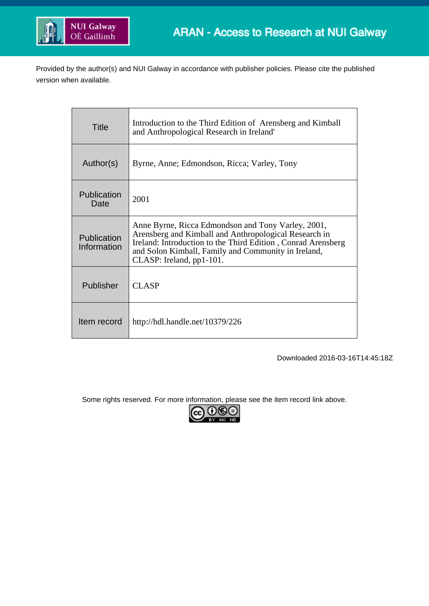

Provided by the author(s) and NUI Galway in accordance with publisher policies. Please cite the published version when available.

| Title                      | Introduction to the Third Edition of Arensberg and Kimball<br>and Anthropological Research in Ireland'                                                                                                                                                         |
|----------------------------|----------------------------------------------------------------------------------------------------------------------------------------------------------------------------------------------------------------------------------------------------------------|
| Author(s)                  | Byrne, Anne; Edmondson, Ricca; Varley, Tony                                                                                                                                                                                                                    |
| Publication<br>Date        | 2001                                                                                                                                                                                                                                                           |
| Publication<br>Information | Anne Byrne, Ricca Edmondson and Tony Varley, 2001,<br>Arensberg and Kimball and Anthropological Research in<br>Ireland: Introduction to the Third Edition, Conrad Arensberg<br>and Solon Kimball, Family and Community in Ireland,<br>CLASP: Ireland, pp1-101. |
| <b>Publisher</b>           | <b>CLASP</b>                                                                                                                                                                                                                                                   |
| Item record                | http://hdl.handle.net/10379/226                                                                                                                                                                                                                                |

Downloaded 2016-03-16T14:45:18Z

Some rights reserved. For more information, please see the item record link above.

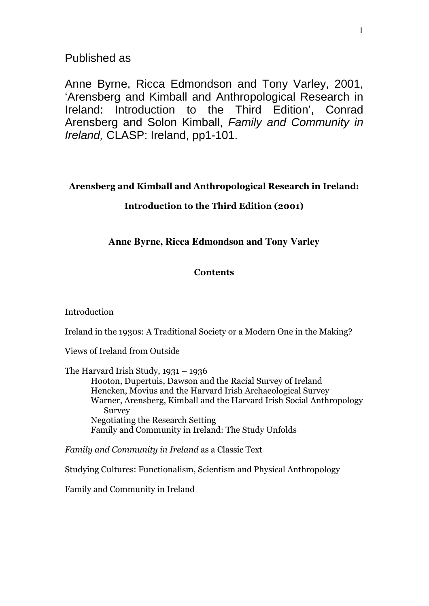## Published as

Anne Byrne, Ricca Edmondson and Tony Varley, 2001, 'Arensberg and Kimball and Anthropological Research in Ireland: Introduction to the Third Edition', Conrad Arensberg and Solon Kimball, *Family and Community in Ireland,* CLASP: Ireland, pp1-101.

## **Arensberg and Kimball and Anthropological Research in Ireland:**

## **Introduction to the Third Edition (2001)**

## **Anne Byrne, Ricca Edmondson and Tony Varley**

### **Contents**

Introduction

Ireland in the 1930s: A Traditional Society or a Modern One in the Making?

Views of Ireland from Outside

The Harvard Irish Study,  $1931 - 1936$ Hooton, Dupertuis, Dawson and the Racial Survey of Ireland Hencken, Movius and the Harvard Irish Archaeological Survey Warner, Arensberg, Kimball and the Harvard Irish Social Anthropology Survey Negotiating the Research Setting Family and Community in Ireland: The Study Unfolds

*Family and Community in Ireland* as a Classic Text

Studying Cultures: Functionalism, Scientism and Physical Anthropology

Family and Community in Ireland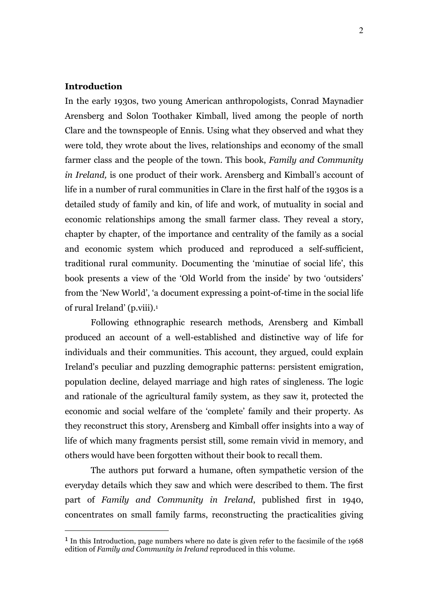### **Introduction**

In the early 1930s, two young American anthropologists, Conrad Maynadier Arensberg and Solon Toothaker Kimball, lived among the people of north Clare and the townspeople of Ennis. Using what they observed and what they were told, they wrote about the lives, relationships and economy of the small farmer class and the people of the town. This book, *Family and Community in Ireland,* is one product of their work. Arensberg and Kimball's account of life in a number of rural communities in Clare in the first half of the 1930s is a detailed study of family and kin, of life and work, of mutuality in social and economic relationships among the small farmer class. They reveal a story, chapter by chapter, of the importance and centrality of the family as a social and economic system which produced and reproduced a self-sufficient, traditional rural community. Documenting the 'minutiae of social life', this book presents a view of the 'Old World from the inside' by two 'outsiders' from the 'New World', 'a document expressing a point-of-time in the social life of rural Ireland' (p.viii).<sup>1</sup>

Following ethnographic research methods, Arensberg and Kimball produced an account of a well-established and distinctive way of life for individuals and their communities. This account, they argued, could explain Ireland's peculiar and puzzling demographic patterns: persistent emigration, population decline, delayed marriage and high rates of singleness. The logic and rationale of the agricultural family system, as they saw it, protected the economic and social welfare of the 'complete' family and their property. As they reconstruct this story, Arensberg and Kimball offer insights into a way of life of which many fragments persist still, some remain vivid in memory, and others would have been forgotten without their book to recall them.

The authors put forward a humane, often sympathetic version of the everyday details which they saw and which were described to them. The first part of *Family and Community in Ireland*, published first in 1940, concentrates on small family farms, reconstructing the practicalities giving

<sup>1</sup> In this Introduction, page numbers where no date is given refer to the facsimile of the 1968 edition of *Family and Community in Ireland* reproduced in this volume.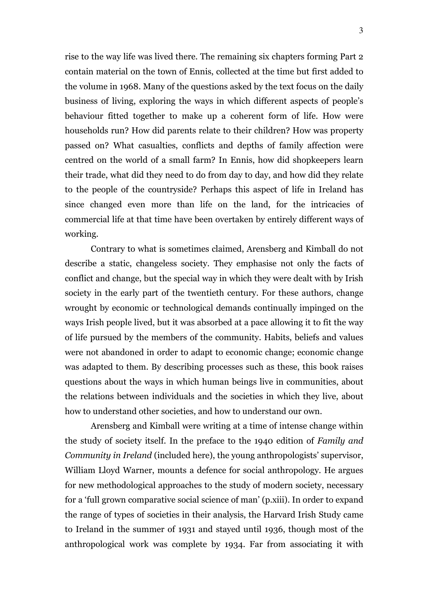rise to the way life was lived there. The remaining six chapters forming Part 2 contain material on the town of Ennis, collected at the time but first added to the volume in 1968. Many of the questions asked by the text focus on the daily business of living, exploring the ways in which different aspects of people's behaviour fitted together to make up a coherent form of life. How were households run? How did parents relate to their children? How was property passed on? What casualties, conflicts and depths of family affection were centred on the world of a small farm? In Ennis, how did shopkeepers learn their trade, what did they need to do from day to day, and how did they relate to the people of the countryside? Perhaps this aspect of life in Ireland has since changed even more than life on the land, for the intricacies of commercial life at that time have been overtaken by entirely different ways of working.

Contrary to what is sometimes claimed, Arensberg and Kimball do not describe a static, changeless society. They emphasise not only the facts of conflict and change, but the special way in which they were dealt with by Irish society in the early part of the twentieth century. For these authors, change wrought by economic or technological demands continually impinged on the ways Irish people lived, but it was absorbed at a pace allowing it to fit the way of life pursued by the members of the community. Habits, beliefs and values were not abandoned in order to adapt to economic change; economic change was adapted to them. By describing processes such as these, this book raises questions about the ways in which human beings live in communities, about the relations between individuals and the societies in which they live, about how to understand other societies, and how to understand our own.

Arensberg and Kimball were writing at a time of intense change within the study of society itself. In the preface to the 1940 edition of *Family and Community in Ireland* (included here), the young anthropologists' supervisor, William Lloyd Warner, mounts a defence for social anthropology. He argues for new methodological approaches to the study of modern society, necessary for a 'full grown comparative social science of man' (p.xiii). In order to expand the range of types of societies in their analysis, the Harvard Irish Study came to Ireland in the summer of 1931 and stayed until 1936, though most of the anthropological work was complete by 1934. Far from associating it with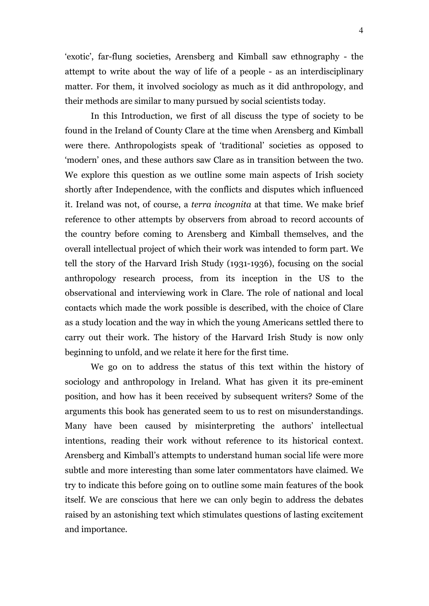'exotic', far-flung societies, Arensberg and Kimball saw ethnography - the attempt to write about the way of life of a people - as an interdisciplinary matter. For them, it involved sociology as much as it did anthropology, and their methods are similar to many pursued by social scientists today.

In this Introduction, we first of all discuss the type of society to be found in the Ireland of County Clare at the time when Arensberg and Kimball were there. Anthropologists speak of 'traditional' societies as opposed to 'modern' ones, and these authors saw Clare as in transition between the two. We explore this question as we outline some main aspects of Irish society shortly after Independence, with the conflicts and disputes which influenced it. Ireland was not, of course, a *terra incognita* at that time. We make brief reference to other attempts by observers from abroad to record accounts of the country before coming to Arensberg and Kimball themselves, and the overall intellectual project of which their work was intended to form part. We tell the story of the Harvard Irish Study (1931-1936), focusing on the social anthropology research process, from its inception in the US to the observational and interviewing work in Clare. The role of national and local contacts which made the work possible is described, with the choice of Clare as a study location and the way in which the young Americans settled there to carry out their work. The history of the Harvard Irish Study is now only beginning to unfold, and we relate it here for the first time.

We go on to address the status of this text within the history of sociology and anthropology in Ireland. What has given it its pre-eminent position, and how has it been received by subsequent writers? Some of the arguments this book has generated seem to us to rest on misunderstandings. Many have been caused by misinterpreting the authors' intellectual intentions, reading their work without reference to its historical context. Arensberg and Kimball's attempts to understand human social life were more subtle and more interesting than some later commentators have claimed. We try to indicate this before going on to outline some main features of the book itself. We are conscious that here we can only begin to address the debates raised by an astonishing text which stimulates questions of lasting excitement and importance.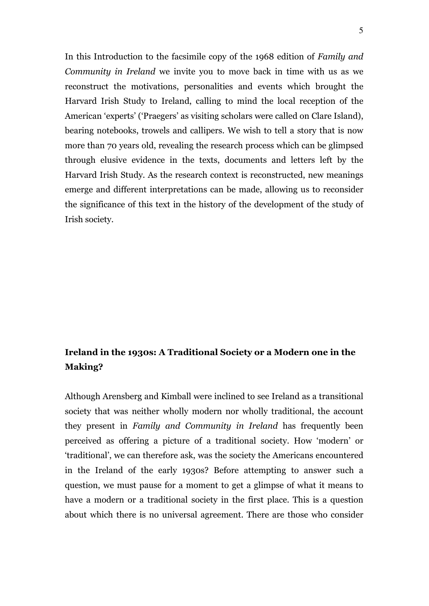In this Introduction to the facsimile copy of the 1968 edition of *Family and Community in Ireland* we invite you to move back in time with us as we reconstruct the motivations, personalities and events which brought the Harvard Irish Study to Ireland, calling to mind the local reception of the American 'experts' ('Praegers' as visiting scholars were called on Clare Island), bearing notebooks, trowels and callipers. We wish to tell a story that is now more than 70 years old, revealing the research process which can be glimpsed through elusive evidence in the texts, documents and letters left by the Harvard Irish Study. As the research context is reconstructed, new meanings emerge and different interpretations can be made, allowing us to reconsider the significance of this text in the history of the development of the study of Irish society.

# **Ireland in the 1930s: A Traditional Society or a Modern one in the Making?**

Although Arensberg and Kimball were inclined to see Ireland as a transitional society that was neither wholly modern nor wholly traditional, the account they present in *Family and Community in Ireland* has frequently been perceived as offering a picture of a traditional society. How 'modern' or 'traditional', we can therefore ask, was the society the Americans encountered in the Ireland of the early 1930s? Before attempting to answer such a question, we must pause for a moment to get a glimpse of what it means to have a modern or a traditional society in the first place. This is a question about which there is no universal agreement. There are those who consider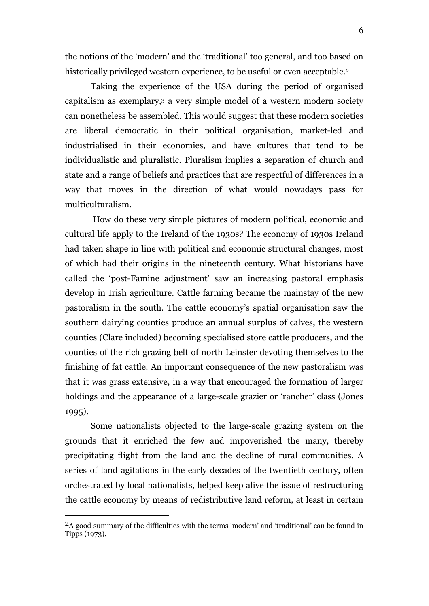the notions of the 'modern' and the 'traditional' too general, and too based on historically privileged western experience, to be useful or even acceptable.<sup>2</sup>

Taking the experience of the USA during the period of organised capitalism as exemplary,<sup>3</sup> a very simple model of a western modern society can nonetheless be assembled. This would suggest that these modern societies are liberal democratic in their political organisation, market-led and industrialised in their economies, and have cultures that tend to be individualistic and pluralistic. Pluralism implies a separation of church and state and a range of beliefs and practices that are respectful of differences in a way that moves in the direction of what would nowadays pass for multiculturalism.

How do these very simple pictures of modern political, economic and cultural life apply to the Ireland of the 1930s? The economy of 1930s Ireland had taken shape in line with political and economic structural changes, most of which had their origins in the nineteenth century. What historians have called the 'post-Famine adjustment' saw an increasing pastoral emphasis develop in Irish agriculture. Cattle farming became the mainstay of the new pastoralism in the south. The cattle economy's spatial organisation saw the southern dairying counties produce an annual surplus of calves, the western counties (Clare included) becoming specialised store cattle producers, and the counties of the rich grazing belt of north Leinster devoting themselves to the finishing of fat cattle. An important consequence of the new pastoralism was that it was grass extensive, in a way that encouraged the formation of larger holdings and the appearance of a large-scale grazier or 'rancher' class (Jones 1995).

Some nationalists objected to the large-scale grazing system on the grounds that it enriched the few and impoverished the many, thereby precipitating flight from the land and the decline of rural communities. A series of land agitations in the early decades of the twentieth century, often orchestrated by local nationalists, helped keep alive the issue of restructuring the cattle economy by means of redistributive land reform, at least in certain

<sup>2</sup>A good summary of the difficulties with the terms 'modern' and 'traditional' can be found in Tipps (1973).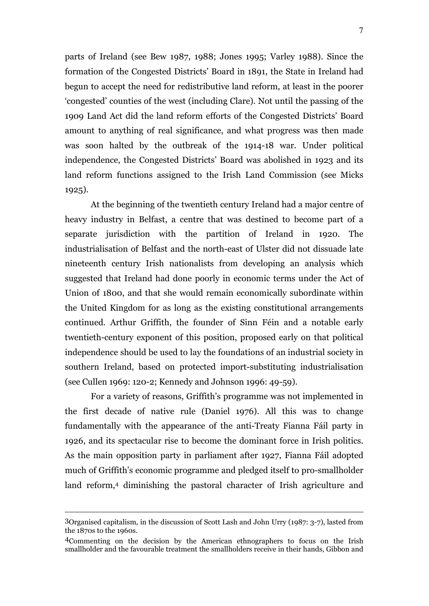parts of Ireland (see Bew 1987, 1988; Jones 1995; Varley 1988). Since the formation of the Congested Districts' Board in 1891, the State in Ireland had begun to accept the need for redistributive land reform, at least in the poorer 'congested' counties of the west (including Clare). Not until the passing of the 1909 Land Act did the land reform efforts of the Congested Districts' Board amount to anything of real significance, and what progress was then made was soon halted by the outbreak of the 1914-18 war. Under political independence, the Congested Districts' Board was abolished in 1923 and its land reform functions assigned to the Irish Land Commission (see Micks 1925).

At the beginning of the twentieth century Ireland had a major centre of heavy industry in Belfast, a centre that was destined to become part of a separate jurisdiction with the partition of Ireland in 1920. The industrialisation of Belfast and the north-east of Ulster did not dissuade late nineteenth century Irish nationalists from developing an analysis which suggested that Ireland had done poorly in economic terms under the Act of Union of 1800, and that she would remain economically subordinate within the United Kingdom for as long as the existing constitutional arrangements continued. Arthur Griffith, the founder of Sinn Féin and a notable early twentieth-century exponent of this position, proposed early on that political independence should be used to lay the foundations of an industrial society in southern Ireland, based on protected import-substituting industrialisation (see Cullen 1969: 120-2; Kennedy and Johnson 1996: 49-59).

For a variety of reasons, Griffith's programme was not implemented in the first decade of native rule (Daniel 1976). All this was to change fundamentally with the appearance of the anti-Treaty Fianna Fáil party in 1926, and its spectacular rise to become the dominant force in Irish politics. As the main opposition party in parliament after 1927, Fianna Fáil adopted much of Griffith's economic programme and pledged itself to pro-smallholder land reform,<sup>4</sup> diminishing the pastoral character of Irish agriculture and

<sup>3</sup>Organised capitalism, in the discussion of Scott Lash and John Urry (1987: 3-7), lasted from the 1870s to the 1960s.

<sup>4</sup>Commenting on the decision by the American ethnographers to focus on the Irish smallholder and the favourable treatment the smallholders receive in their hands, Gibbon and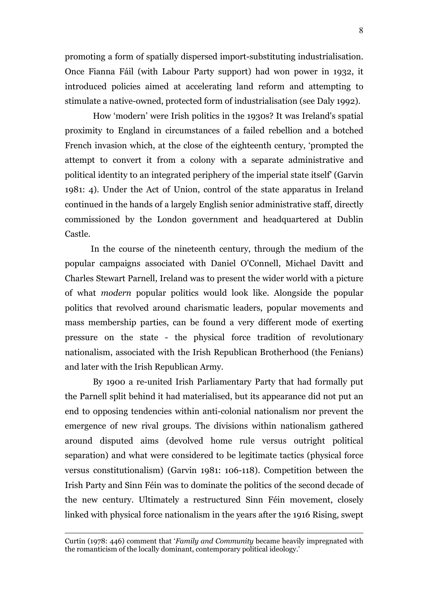promoting a form of spatially dispersed import-substituting industrialisation. Once Fianna Fáil (with Labour Party support) had won power in 1932, it introduced policies aimed at accelerating land reform and attempting to stimulate a native-owned, protected form of industrialisation (see Daly 1992).

How 'modern' were Irish politics in the 1930s? It was Ireland's spatial proximity to England in circumstances of a failed rebellion and a botched French invasion which, at the close of the eighteenth century, 'prompted the attempt to convert it from a colony with a separate administrative and political identity to an integrated periphery of the imperial state itself' (Garvin 1981: 4). Under the Act of Union, control of the state apparatus in Ireland continued in the hands of a largely English senior administrative staff, directly commissioned by the London government and headquartered at Dublin Castle.

In the course of the nineteenth century, through the medium of the popular campaigns associated with Daniel O'Connell, Michael Davitt and Charles Stewart Parnell, Ireland was to present the wider world with a picture of what *modern* popular politics would look like. Alongside the popular politics that revolved around charismatic leaders, popular movements and mass membership parties, can be found a very different mode of exerting pressure on the state - the physical force tradition of revolutionary nationalism, associated with the Irish Republican Brotherhood (the Fenians) and later with the Irish Republican Army.

By 1900 a re-united Irish Parliamentary Party that had formally put the Parnell split behind it had materialised, but its appearance did not put an end to opposing tendencies within anti-colonial nationalism nor prevent the emergence of new rival groups. The divisions within nationalism gathered around disputed aims (devolved home rule versus outright political separation) and what were considered to be legitimate tactics (physical force versus constitutionalism) (Garvin 1981: 106-118). Competition between the Irish Party and Sinn Féin was to dominate the politics of the second decade of the new century. Ultimately a restructured Sinn Féin movement, closely linked with physical force nationalism in the years after the 1916 Rising, swept

Curtin (1978: 446) comment that '*Family and Community* became heavily impregnated with the romanticism of the locally dominant, contemporary political ideology.'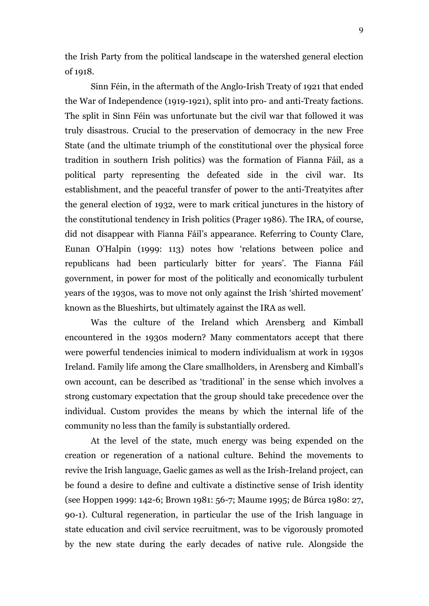the Irish Party from the political landscape in the watershed general election of 1918.

Sinn Féin, in the aftermath of the Anglo-Irish Treaty of 1921 that ended the War of Independence (1919-1921), split into pro- and anti-Treaty factions. The split in Sinn Féin was unfortunate but the civil war that followed it was truly disastrous. Crucial to the preservation of democracy in the new Free State (and the ultimate triumph of the constitutional over the physical force tradition in southern Irish politics) was the formation of Fianna Fáil, as a political party representing the defeated side in the civil war. Its establishment, and the peaceful transfer of power to the anti-Treatyites after the general election of 1932, were to mark critical junctures in the history of the constitutional tendency in Irish politics (Prager 1986). The IRA, of course, did not disappear with Fianna Fáil's appearance. Referring to County Clare, Eunan O'Halpin (1999: 113) notes how 'relations between police and republicans had been particularly bitter for years'. The Fianna Fáil government, in power for most of the politically and economically turbulent years of the 1930s, was to move not only against the Irish 'shirted movement' known as the Blueshirts, but ultimately against the IRA as well.

Was the culture of the Ireland which Arensberg and Kimball encountered in the 1930s modern? Many commentators accept that there were powerful tendencies inimical to modern individualism at work in 1930s Ireland. Family life among the Clare smallholders, in Arensberg and Kimball's own account, can be described as 'traditional' in the sense which involves a strong customary expectation that the group should take precedence over the individual. Custom provides the means by which the internal life of the community no less than the family is substantially ordered.

At the level of the state, much energy was being expended on the creation or regeneration of a national culture. Behind the movements to revive the Irish language, Gaelic games as well as the Irish-Ireland project, can be found a desire to define and cultivate a distinctive sense of Irish identity (see Hoppen 1999: 142-6; Brown 1981: 56-7; Maume 1995; de Búrca 1980: 27, 90-1). Cultural regeneration, in particular the use of the Irish language in state education and civil service recruitment, was to be vigorously promoted by the new state during the early decades of native rule. Alongside the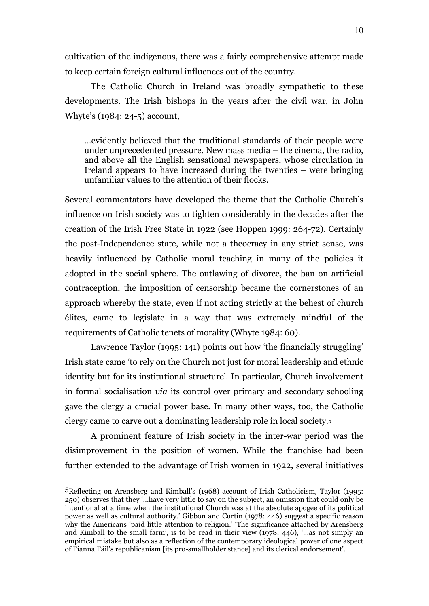cultivation of the indigenous, there was a fairly comprehensive attempt made to keep certain foreign cultural influences out of the country.

The Catholic Church in Ireland was broadly sympathetic to these developments. The Irish bishops in the years after the civil war, in John Whyte's (1984: 24-5) account,

…evidently believed that the traditional standards of their people were under unprecedented pressure. New mass media – the cinema, the radio, and above all the English sensational newspapers, whose circulation in Ireland appears to have increased during the twenties – were bringing unfamiliar values to the attention of their flocks.

Several commentators have developed the theme that the Catholic Church's influence on Irish society was to tighten considerably in the decades after the creation of the Irish Free State in 1922 (see Hoppen 1999: 264-72). Certainly the post-Independence state, while not a theocracy in any strict sense, was heavily influenced by Catholic moral teaching in many of the policies it adopted in the social sphere. The outlawing of divorce, the ban on artificial contraception, the imposition of censorship became the cornerstones of an approach whereby the state, even if not acting strictly at the behest of church élites, came to legislate in a way that was extremely mindful of the requirements of Catholic tenets of morality (Whyte 1984: 60).

Lawrence Taylor (1995: 141) points out how 'the financially struggling' Irish state came 'to rely on the Church not just for moral leadership and ethnic identity but for its institutional structure'. In particular, Church involvement in formal socialisation *via* its control over primary and secondary schooling gave the clergy a crucial power base. In many other ways, too, the Catholic clergy came to carve out a dominating leadership role in local society.<sup>5</sup>

A prominent feature of Irish society in the inter-war period was the disimprovement in the position of women. While the franchise had been further extended to the advantage of Irish women in 1922, several initiatives

<sup>5</sup>Reflecting on Arensberg and Kimball's (1968) account of Irish Catholicism, Taylor (1995: 250) observes that they '…have very little to say on the subject, an omission that could only be intentional at a time when the institutional Church was at the absolute apogee of its political power as well as cultural authority.' Gibbon and Curtin (1978: 446) suggest a specific reason why the Americans 'paid little attention to religion.' 'The significance attached by Arensberg and Kimball to the small farm', is to be read in their view (1978: 446), '…as not simply an empirical mistake but also as a reflection of the contemporary ideological power of one aspect of Fianna Fáil's republicanism [its pro-smallholder stance] and its clerical endorsement'.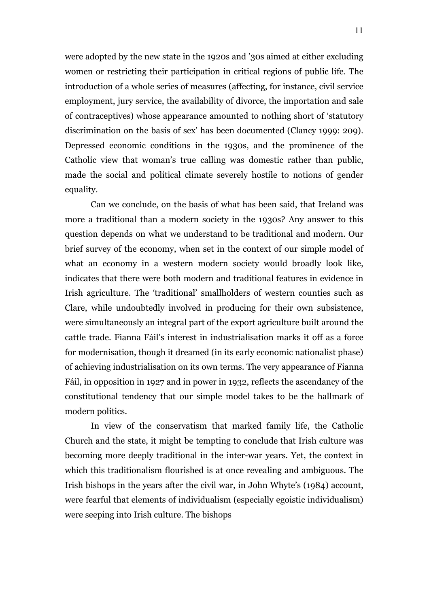were adopted by the new state in the 1920s and '30s aimed at either excluding women or restricting their participation in critical regions of public life. The introduction of a whole series of measures (affecting, for instance, civil service employment, jury service, the availability of divorce, the importation and sale of contraceptives) whose appearance amounted to nothing short of 'statutory discrimination on the basis of sex' has been documented (Clancy 1999: 209). Depressed economic conditions in the 1930s, and the prominence of the Catholic view that woman's true calling was domestic rather than public, made the social and political climate severely hostile to notions of gender equality.

Can we conclude, on the basis of what has been said, that Ireland was more a traditional than a modern society in the 1930s? Any answer to this question depends on what we understand to be traditional and modern. Our brief survey of the economy, when set in the context of our simple model of what an economy in a western modern society would broadly look like, indicates that there were both modern and traditional features in evidence in Irish agriculture. The 'traditional' smallholders of western counties such as Clare, while undoubtedly involved in producing for their own subsistence, were simultaneously an integral part of the export agriculture built around the cattle trade. Fianna Fáil's interest in industrialisation marks it off as a force for modernisation, though it dreamed (in its early economic nationalist phase) of achieving industrialisation on its own terms. The very appearance of Fianna Fáil, in opposition in 1927 and in power in 1932, reflects the ascendancy of the constitutional tendency that our simple model takes to be the hallmark of modern politics.

In view of the conservatism that marked family life, the Catholic Church and the state, it might be tempting to conclude that Irish culture was becoming more deeply traditional in the inter-war years. Yet, the context in which this traditionalism flourished is at once revealing and ambiguous. The Irish bishops in the years after the civil war, in John Whyte's (1984) account, were fearful that elements of individualism (especially egoistic individualism) were seeping into Irish culture. The bishops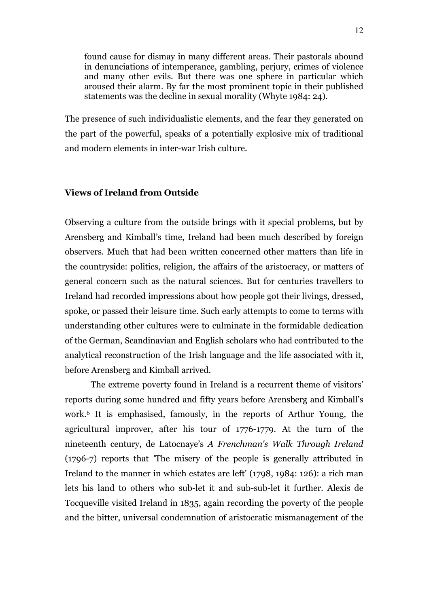found cause for dismay in many different areas. Their pastorals abound in denunciations of intemperance, gambling, perjury, crimes of violence and many other evils. But there was one sphere in particular which aroused their alarm. By far the most prominent topic in their published statements was the decline in sexual morality (Whyte 1984: 24).

The presence of such individualistic elements, and the fear they generated on the part of the powerful, speaks of a potentially explosive mix of traditional and modern elements in inter-war Irish culture.

#### **Views of Ireland from Outside**

Observing a culture from the outside brings with it special problems, but by Arensberg and Kimball's time, Ireland had been much described by foreign observers. Much that had been written concerned other matters than life in the countryside: politics, religion, the affairs of the aristocracy, or matters of general concern such as the natural sciences. But for centuries travellers to Ireland had recorded impressions about how people got their livings, dressed, spoke, or passed their leisure time. Such early attempts to come to terms with understanding other cultures were to culminate in the formidable dedication of the German, Scandinavian and English scholars who had contributed to the analytical reconstruction of the Irish language and the life associated with it, before Arensberg and Kimball arrived.

The extreme poverty found in Ireland is a recurrent theme of visitors' reports during some hundred and fifty years before Arensberg and Kimball's work.<sup>6</sup> It is emphasised, famously, in the reports of Arthur Young, the agricultural improver, after his tour of 1776-1779. At the turn of the nineteenth century, de Latocnaye's *A Frenchman's Walk Through Ireland* (1796-7) reports that 'The misery of the people is generally attributed in Ireland to the manner in which estates are left' (1798, 1984: 126): a rich man lets his land to others who sub-let it and sub-sub-let it further. Alexis de Tocqueville visited Ireland in 1835, again recording the poverty of the people and the bitter, universal condemnation of aristocratic mismanagement of the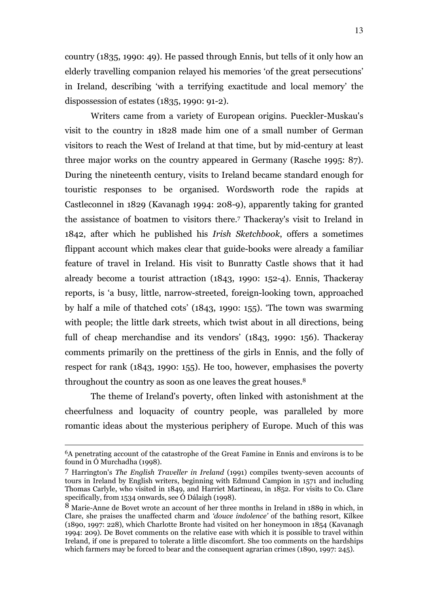country (1835, 1990: 49). He passed through Ennis, but tells of it only how an elderly travelling companion relayed his memories 'of the great persecutions' in Ireland, describing 'with a terrifying exactitude and local memory' the dispossession of estates (1835, 1990: 91-2).

Writers came from a variety of European origins. Pueckler-Muskau's visit to the country in 1828 made him one of a small number of German visitors to reach the West of Ireland at that time, but by mid-century at least three major works on the country appeared in Germany (Rasche 1995: 87). During the nineteenth century, visits to Ireland became standard enough for touristic responses to be organised. Wordsworth rode the rapids at Castleconnel in 1829 (Kavanagh 1994: 208-9), apparently taking for granted the assistance of boatmen to visitors there.<sup>7</sup> Thackeray's visit to Ireland in 1842, after which he published his *Irish Sketchbook*, offers a sometimes flippant account which makes clear that guide-books were already a familiar feature of travel in Ireland. His visit to Bunratty Castle shows that it had already become a tourist attraction (1843, 1990: 152-4). Ennis, Thackeray reports, is 'a busy, little, narrow-streeted, foreign-looking town, approached by half a mile of thatched cots' (1843, 1990: 155). 'The town was swarming with people; the little dark streets, which twist about in all directions, being full of cheap merchandise and its vendors' (1843, 1990: 156). Thackeray comments primarily on the prettiness of the girls in Ennis, and the folly of respect for rank (1843, 1990: 155). He too, however, emphasises the poverty throughout the country as soon as one leaves the great houses.<sup>8</sup>

The theme of Ireland's poverty, often linked with astonishment at the cheerfulness and loquacity of country people, was paralleled by more romantic ideas about the mysterious periphery of Europe. Much of this was

<sup>6</sup>A penetrating account of the catastrophe of the Great Famine in Ennis and environs is to be found in Ó Murchadha (1998).

<sup>7</sup> Harrington's *The English Traveller in Ireland* (1991) compiles twenty-seven accounts of tours in Ireland by English writers, beginning with Edmund Campion in 1571 and including Thomas Carlyle, who visited in 1849, and Harriet Martineau, in 1852. For visits to Co. Clare specifically, from 1534 onwards, see Ó Dálaigh (1998).

<sup>8</sup> Marie-Anne de Bovet wrote an account of her three months in Ireland in 1889 in which, in Clare, she praises the unaffected charm and *'douce indolence'* of the bathing resort, Kilkee (1890, 1997: 228), which Charlotte Bronte had visited on her honeymoon in 1854 (Kavanagh 1994: 209). De Bovet comments on the relative ease with which it is possible to travel within Ireland, if one is prepared to tolerate a little discomfort. She too comments on the hardships which farmers may be forced to bear and the consequent agrarian crimes (1890, 1997: 245).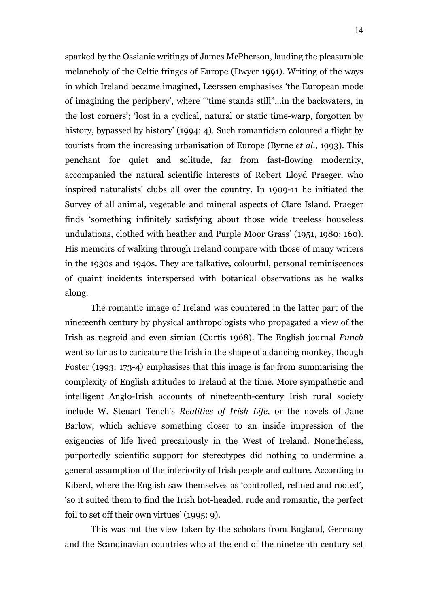sparked by the Ossianic writings of James McPherson, lauding the pleasurable melancholy of the Celtic fringes of Europe (Dwyer 1991). Writing of the ways in which Ireland became imagined, Leerssen emphasises 'the European mode of imagining the periphery', where '"time stands still"...in the backwaters, in the lost corners'; 'lost in a cyclical, natural or static time-warp, forgotten by history, bypassed by history' (1994: 4). Such romanticism coloured a flight by tourists from the increasing urbanisation of Europe (Byrne *et al*., 1993). This penchant for quiet and solitude, far from fast-flowing modernity, accompanied the natural scientific interests of Robert Lloyd Praeger, who inspired naturalists' clubs all over the country. In 1909-11 he initiated the Survey of all animal, vegetable and mineral aspects of Clare Island. Praeger finds 'something infinitely satisfying about those wide treeless houseless undulations, clothed with heather and Purple Moor Grass' (1951, 1980: 160). His memoirs of walking through Ireland compare with those of many writers in the 1930s and 1940s. They are talkative, colourful, personal reminiscences of quaint incidents interspersed with botanical observations as he walks along.

The romantic image of Ireland was countered in the latter part of the nineteenth century by physical anthropologists who propagated a view of the Irish as negroid and even simian (Curtis 1968). The English journal *Punch* went so far as to caricature the Irish in the shape of a dancing monkey, though Foster (1993: 173-4) emphasises that this image is far from summarising the complexity of English attitudes to Ireland at the time. More sympathetic and intelligent Anglo-Irish accounts of nineteenth-century Irish rural society include W. Steuart Tench's *Realities of Irish Life,* or the novels of Jane Barlow, which achieve something closer to an inside impression of the exigencies of life lived precariously in the West of Ireland. Nonetheless, purportedly scientific support for stereotypes did nothing to undermine a general assumption of the inferiority of Irish people and culture. According to Kiberd, where the English saw themselves as 'controlled, refined and rooted', 'so it suited them to find the Irish hot-headed, rude and romantic, the perfect foil to set off their own virtues' (1995: 9).

This was not the view taken by the scholars from England, Germany and the Scandinavian countries who at the end of the nineteenth century set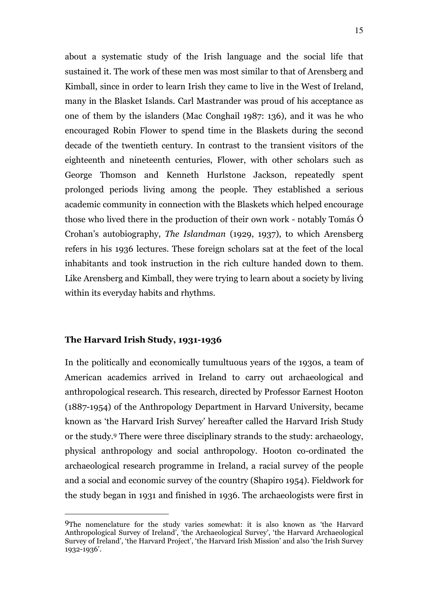about a systematic study of the Irish language and the social life that sustained it. The work of these men was most similar to that of Arensberg and Kimball, since in order to learn Irish they came to live in the West of Ireland, many in the Blasket Islands. Carl Mastrander was proud of his acceptance as one of them by the islanders (Mac Conghail 1987: 136), and it was he who encouraged Robin Flower to spend time in the Blaskets during the second decade of the twentieth century. In contrast to the transient visitors of the eighteenth and nineteenth centuries, Flower, with other scholars such as George Thomson and Kenneth Hurlstone Jackson, repeatedly spent prolonged periods living among the people. They established a serious academic community in connection with the Blaskets which helped encourage those who lived there in the production of their own work - notably Tomás Ó Crohan's autobiography, *The Islandman* (1929, 1937), to which Arensberg refers in his 1936 lectures. These foreign scholars sat at the feet of the local inhabitants and took instruction in the rich culture handed down to them. Like Arensberg and Kimball, they were trying to learn about a society by living within its everyday habits and rhythms.

#### **The Harvard Irish Study, 1931-1936**

In the politically and economically tumultuous years of the 1930s, a team of American academics arrived in Ireland to carry out archaeological and anthropological research. This research, directed by Professor Earnest Hooton (1887-1954) of the Anthropology Department in Harvard University, became known as 'the Harvard Irish Survey' hereafter called the Harvard Irish Study or the study.<sup>9</sup> There were three disciplinary strands to the study: archaeology, physical anthropology and social anthropology. Hooton co-ordinated the archaeological research programme in Ireland, a racial survey of the people and a social and economic survey of the country (Shapiro 1954). Fieldwork for the study began in 1931 and finished in 1936. The archaeologists were first in

<sup>9</sup>The nomenclature for the study varies somewhat: it is also known as 'the Harvard Anthropological Survey of Ireland', 'the Archaeological Survey', 'the Harvard Archaeological Survey of Ireland', 'the Harvard Project', 'the Harvard Irish Mission' and also 'the Irish Survey 1932-1936'.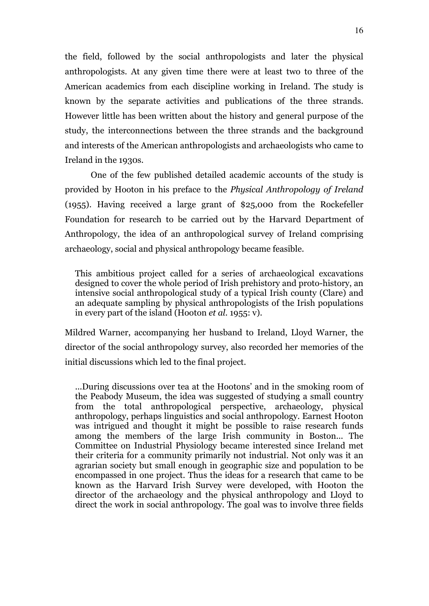the field, followed by the social anthropologists and later the physical anthropologists. At any given time there were at least two to three of the American academics from each discipline working in Ireland. The study is known by the separate activities and publications of the three strands. However little has been written about the history and general purpose of the study, the interconnections between the three strands and the background and interests of the American anthropologists and archaeologists who came to Ireland in the 1930s.

One of the few published detailed academic accounts of the study is provided by Hooton in his preface to the *Physical Anthropology of Ireland* (1955). Having received a large grant of \$25,000 from the Rockefeller Foundation for research to be carried out by the Harvard Department of Anthropology, the idea of an anthropological survey of Ireland comprising archaeology, social and physical anthropology became feasible.

This ambitious project called for a series of archaeological excavations designed to cover the whole period of Irish prehistory and proto-history, an intensive social anthropological study of a typical Irish county (Clare) and an adequate sampling by physical anthropologists of the Irish populations in every part of the island (Hooton *et al.* 1955: v).

Mildred Warner, accompanying her husband to Ireland, Lloyd Warner, the director of the social anthropology survey, also recorded her memories of the initial discussions which led to the final project.

...During discussions over tea at the Hootons' and in the smoking room of the Peabody Museum, the idea was suggested of studying a small country from the total anthropological perspective, archaeology, physical anthropology, perhaps linguistics and social anthropology. Earnest Hooton was intrigued and thought it might be possible to raise research funds among the members of the large Irish community in Boston... The Committee on Industrial Physiology became interested since Ireland met their criteria for a community primarily not industrial. Not only was it an agrarian society but small enough in geographic size and population to be encompassed in one project. Thus the ideas for a research that came to be known as the Harvard Irish Survey were developed, with Hooton the director of the archaeology and the physical anthropology and Lloyd to direct the work in social anthropology. The goal was to involve three fields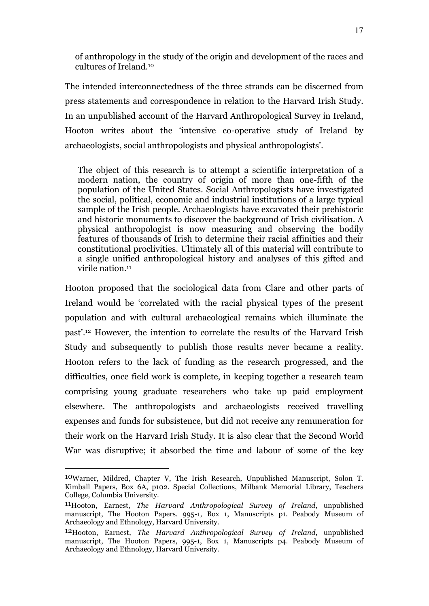of anthropology in the study of the origin and development of the races and cultures of Ireland.<sup>10</sup>

The intended interconnectedness of the three strands can be discerned from press statements and correspondence in relation to the Harvard Irish Study. In an unpublished account of the Harvard Anthropological Survey in Ireland, Hooton writes about the 'intensive co-operative study of Ireland by archaeologists, social anthropologists and physical anthropologists'.

The object of this research is to attempt a scientific interpretation of a modern nation, the country of origin of more than one-fifth of the population of the United States. Social Anthropologists have investigated the social, political, economic and industrial institutions of a large typical sample of the Irish people. Archaeologists have excavated their prehistoric and historic monuments to discover the background of Irish civilisation. A physical anthropologist is now measuring and observing the bodily features of thousands of Irish to determine their racial affinities and their constitutional proclivities. Ultimately all of this material will contribute to a single unified anthropological history and analyses of this gifted and virile nation.<sup>11</sup>

Hooton proposed that the sociological data from Clare and other parts of Ireland would be 'correlated with the racial physical types of the present population and with cultural archaeological remains which illuminate the past'.<sup>12</sup> However, the intention to correlate the results of the Harvard Irish Study and subsequently to publish those results never became a reality. Hooton refers to the lack of funding as the research progressed, and the difficulties, once field work is complete, in keeping together a research team comprising young graduate researchers who take up paid employment elsewhere. The anthropologists and archaeologists received travelling expenses and funds for subsistence, but did not receive any remuneration for their work on the Harvard Irish Study. It is also clear that the Second World War was disruptive; it absorbed the time and labour of some of the key

<sup>10</sup>Warner, Mildred, Chapter V, The Irish Research, Unpublished Manuscript, Solon T. Kimball Papers, Box 6A, p102. Special Collections, Milbank Memorial Library, Teachers College, Columbia University.

<sup>11</sup>Hooton, Earnest, *The Harvard Anthropological Survey of Ireland*, unpublished manuscript, The Hooton Papers. 995-1, Box 1, Manuscripts p1. Peabody Museum of Archaeology and Ethnology, Harvard University.

<sup>12</sup>Hooton, Earnest, *The Harvard Anthropological Survey of Ireland*, unpublished manuscript, The Hooton Papers, 995-1, Box 1, Manuscripts p4. Peabody Museum of Archaeology and Ethnology, Harvard University.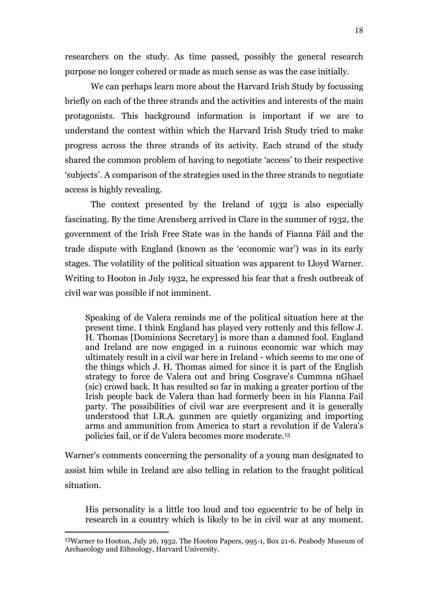researchers on the study. As time passed, possibly the general research purpose no longer cohered or made as much sense as was the case initially.

We can perhaps learn more about the Harvard Irish Study by focussing briefly on each of the three strands and the activities and interests of the main protagonists. This background information is important if we are to understand the context within which the Harvard Irish Study tried to make progress across the three strands of its activity. Each strand of the study shared the common problem of having to negotiate 'access' to their respective 'subjects'. A comparison of the strategies used in the three strands to negotiate access is highly revealing.

The context presented by the Ireland of 1932 is also especially fascinating. By the time Arensberg arrived in Clare in the summer of 1932, the government of the Irish Free State was in the hands of Fianna Fáil and the trade dispute with England (known as the 'economic war') was in its early stages. The volatility of the political situation was apparent to Lloyd Warner. Writing to Hooton in July 1932, he expressed his fear that a fresh outbreak of civil war was possible if not imminent.

Speaking of de Valera reminds me of the political situation here at the present time. I think England has played very rottenly and this fellow J. H. Thomas [Dominions Secretary] is more than a damned fool. England and Ireland are now engaged in a ruinous economic war which may ultimately result in a civil war here in Ireland - which seems to me one of the things which J. H. Thomas aimed for since it is part of the English strategy to force de Valera out and bring Cosgrave's Cummna nGhael (sic) crowd back. It has resulted so far in making a greater portion of the Irish people back de Valera than had formerly been in his Fianna Fail party. The possibilities of civil war are everpresent and it is generally understood that I.R.A. gunmen are quietly organizing and importing arms and ammunition from America to start a revolution if de Valera's policies fail, or if de Valera becomes more moderate.<sup>13</sup>

Warner's comments concerning the personality of a young man designated to assist him while in Ireland are also telling in relation to the fraught political situation.

His personality is a little too loud and too egocentric to be of help in research in a country which is likely to be in civil war at any moment.

<sup>13</sup>Warner to Hooton, July 26, 1932. The Hooton Papers, 995-1, Box 21-6. Peabody Museum of Archaeology and Ethnology, Harvard University.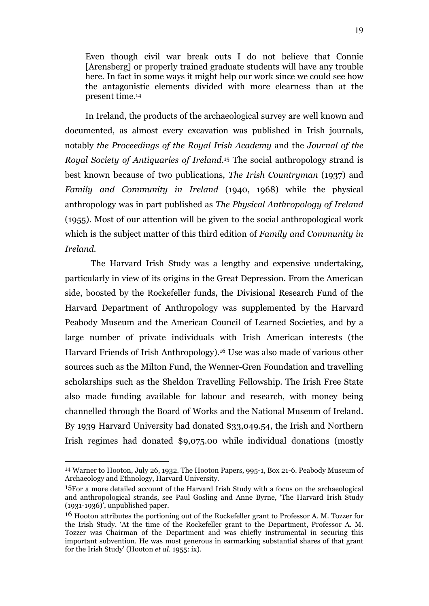Even though civil war break outs I do not believe that Connie [Arensberg] or properly trained graduate students will have any trouble here. In fact in some ways it might help our work since we could see how the antagonistic elements divided with more clearness than at the present time.<sup>14</sup>

In Ireland, the products of the archaeological survey are well known and documented, as almost every excavation was published in Irish journals, notably *the Proceedings of the Royal Irish Academy* and the *Journal of the Royal Society of Antiquaries of Ireland*. <sup>15</sup> The social anthropology strand is best known because of two publications, *The Irish Countryman* (1937) and *Family and Community in Ireland* (1940, 1968) while the physical anthropology was in part published as *The Physical Anthropology of Ireland* (1955). Most of our attention will be given to the social anthropological work which is the subject matter of this third edition of *Family and Community in Ireland.*

The Harvard Irish Study was a lengthy and expensive undertaking, particularly in view of its origins in the Great Depression. From the American side, boosted by the Rockefeller funds, the Divisional Research Fund of the Harvard Department of Anthropology was supplemented by the Harvard Peabody Museum and the American Council of Learned Societies, and by a large number of private individuals with Irish American interests (the Harvard Friends of Irish Anthropology).<sup>16</sup> Use was also made of various other sources such as the Milton Fund, the Wenner-Gren Foundation and travelling scholarships such as the Sheldon Travelling Fellowship. The Irish Free State also made funding available for labour and research, with money being channelled through the Board of Works and the National Museum of Ireland. By 1939 Harvard University had donated \$33,049.54, the Irish and Northern Irish regimes had donated \$9,075.00 while individual donations (mostly

<sup>14</sup> Warner to Hooton, July 26, 1932. The Hooton Papers, 995-1, Box 21-6. Peabody Museum of Archaeology and Ethnology, Harvard University.

<sup>15</sup>For a more detailed account of the Harvard Irish Study with a focus on the archaeological and anthropological strands, see Paul Gosling and Anne Byrne, 'The Harvard Irish Study (1931-1936)', unpublished paper.

<sup>16</sup> Hooton attributes the portioning out of the Rockefeller grant to Professor A. M. Tozzer for the Irish Study. 'At the time of the Rockefeller grant to the Department, Professor A. M. Tozzer was Chairman of the Department and was chiefly instrumental in securing this important subvention. He was most generous in earmarking substantial shares of that grant for the Irish Study' (Hooton *et al.* 1955: ix).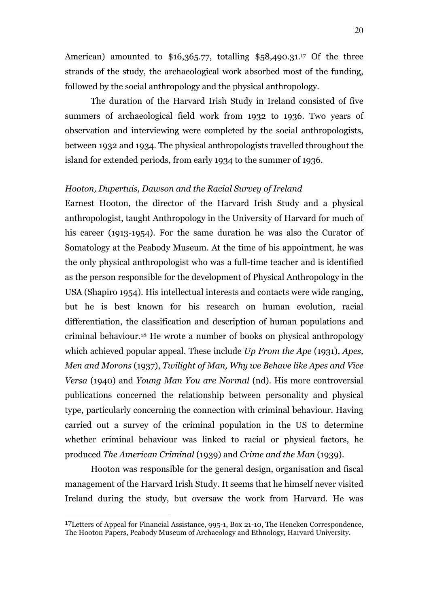American) amounted to  $$16,365.77$ , totalling  $$58,490.31<sup>17</sup>$  Of the three strands of the study, the archaeological work absorbed most of the funding, followed by the social anthropology and the physical anthropology.

The duration of the Harvard Irish Study in Ireland consisted of five summers of archaeological field work from 1932 to 1936. Two years of observation and interviewing were completed by the social anthropologists, between 1932 and 1934. The physical anthropologists travelled throughout the island for extended periods, from early 1934 to the summer of 1936.

#### *Hooton, Dupertuis, Dawson and the Racial Survey of Ireland*

Earnest Hooton, the director of the Harvard Irish Study and a physical anthropologist, taught Anthropology in the University of Harvard for much of his career (1913-1954). For the same duration he was also the Curator of Somatology at the Peabody Museum. At the time of his appointment, he was the only physical anthropologist who was a full-time teacher and is identified as the person responsible for the development of Physical Anthropology in the USA (Shapiro 1954). His intellectual interests and contacts were wide ranging, but he is best known for his research on human evolution, racial differentiation, the classification and description of human populations and criminal behaviour.<sup>18</sup> He wrote a number of books on physical anthropology which achieved popular appeal. These include *Up From the Ape* (1931), *Apes, Men and Morons* (1937), *Twilight of Man, Why we Behave like Apes and Vice Versa* (1940) and *Young Man You are Normal* (nd). His more controversial publications concerned the relationship between personality and physical type, particularly concerning the connection with criminal behaviour. Having carried out a survey of the criminal population in the US to determine whether criminal behaviour was linked to racial or physical factors, he produced *The American Criminal* (1939) and *Crime and the Man* (1939).

Hooton was responsible for the general design, organisation and fiscal management of the Harvard Irish Study. It seems that he himself never visited Ireland during the study, but oversaw the work from Harvard. He was

<sup>17</sup>Letters of Appeal for Financial Assistance, 995-1, Box 21-10, The Hencken Correspondence, The Hooton Papers, Peabody Museum of Archaeology and Ethnology, Harvard University.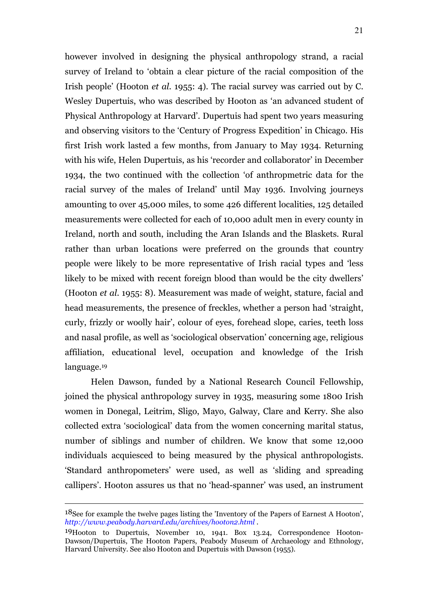however involved in designing the physical anthropology strand, a racial survey of Ireland to 'obtain a clear picture of the racial composition of the Irish people' (Hooton *et al.* 1955: 4). The racial survey was carried out by C. Wesley Dupertuis, who was described by Hooton as 'an advanced student of Physical Anthropology at Harvard'. Dupertuis had spent two years measuring and observing visitors to the 'Century of Progress Expedition' in Chicago. His first Irish work lasted a few months, from January to May 1934. Returning with his wife, Helen Dupertuis, as his 'recorder and collaborator' in December 1934, the two continued with the collection 'of anthropmetric data for the racial survey of the males of Ireland' until May 1936. Involving journeys amounting to over 45,000 miles, to some 426 different localities, 125 detailed measurements were collected for each of 10,000 adult men in every county in Ireland, north and south, including the Aran Islands and the Blaskets. Rural rather than urban locations were preferred on the grounds that country people were likely to be more representative of Irish racial types and 'less likely to be mixed with recent foreign blood than would be the city dwellers' (Hooton *et al.* 1955: 8). Measurement was made of weight, stature, facial and head measurements, the presence of freckles, whether a person had 'straight, curly, frizzly or woolly hair', colour of eyes, forehead slope, caries, teeth loss and nasal profile, as well as 'sociological observation' concerning age, religious affiliation, educational level, occupation and knowledge of the Irish language.<sup>19</sup>

Helen Dawson, funded by a National Research Council Fellowship, joined the physical anthropology survey in 1935, measuring some 1800 Irish women in Donegal, Leitrim, Sligo, Mayo, Galway, Clare and Kerry. She also collected extra 'sociological' data from the women concerning marital status, number of siblings and number of children. We know that some 12,000 individuals acquiesced to being measured by the physical anthropologists. 'Standard anthropometers' were used, as well as 'sliding and spreading callipers'. Hooton assures us that no 'head-spanner' was used, an instrument

<sup>18</sup>See for example the twelve pages listing the 'Inventory of the Papers of Earnest A Hooton', *http://www.peabody.harvard.edu/archives/hooton2.html* .

<sup>19</sup>Hooton to Dupertuis, November 10, 1941. Box 13.24, Correspondence Hooton-Dawson/Dupertuis, The Hooton Papers, Peabody Museum of Archaeology and Ethnology, Harvard University. See also Hooton and Dupertuis with Dawson (1955).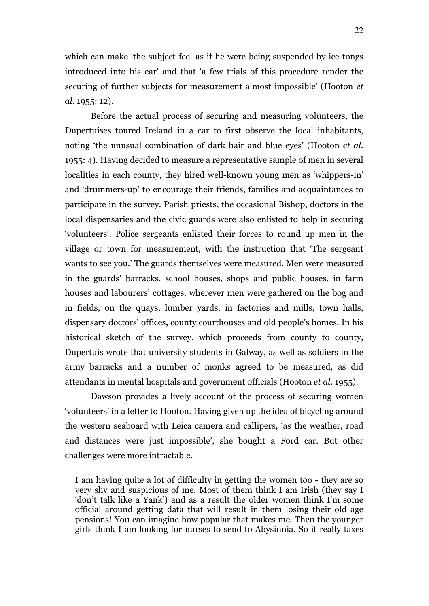which can make 'the subject feel as if he were being suspended by ice-tongs introduced into his ear' and that 'a few trials of this procedure render the securing of further subjects for measurement almost impossible' (Hooton *et al.* 1955: 12).

Before the actual process of securing and measuring volunteers, the Dupertuises toured Ireland in a car to first observe the local inhabitants, noting 'the unusual combination of dark hair and blue eyes' (Hooton *et al.* 1955: 4). Having decided to measure a representative sample of men in several localities in each county, they hired well-known young men as 'whippers-in' and 'drummers-up' to encourage their friends, families and acquaintances to participate in the survey. Parish priests, the occasional Bishop, doctors in the local dispensaries and the civic guards were also enlisted to help in securing 'volunteers'. Police sergeants enlisted their forces to round up men in the village or town for measurement, with the instruction that 'The sergeant wants to see you.' The guards themselves were measured. Men were measured in the guards' barracks, school houses, shops and public houses, in farm houses and labourers' cottages, wherever men were gathered on the bog and in fields, on the quays, lumber yards, in factories and mills, town halls, dispensary doctors' offices, county courthouses and old people's homes. In his historical sketch of the survey, which proceeds from county to county, Dupertuis wrote that university students in Galway, as well as soldiers in the army barracks and a number of monks agreed to be measured, as did attendants in mental hospitals and government officials (Hooton *et al.* 1955).

Dawson provides a lively account of the process of securing women 'volunteers' in a letter to Hooton. Having given up the idea of bicycling around the western seaboard with Leica camera and callipers, 'as the weather, road and distances were just impossible', she bought a Ford car. But other challenges were more intractable.

I am having quite a lot of difficulty in getting the women too - they are so very shy and suspicious of me. Most of them think I am Irish (they say I 'don't talk like a Yank') and as a result the older women think I'm some official around getting data that will result in them losing their old age pensions! You can imagine how popular that makes me. Then the younger girls think I am looking for nurses to send to Abysinnia. So it really taxes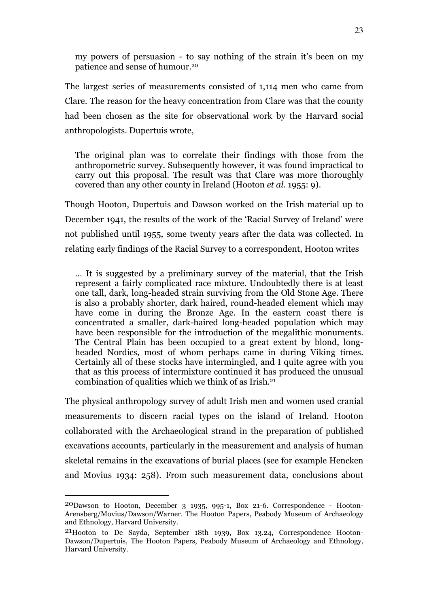my powers of persuasion - to say nothing of the strain it's been on my patience and sense of humour.<sup>20</sup>

The largest series of measurements consisted of 1,114 men who came from Clare. The reason for the heavy concentration from Clare was that the county had been chosen as the site for observational work by the Harvard social anthropologists. Dupertuis wrote,

The original plan was to correlate their findings with those from the anthropometric survey. Subsequently however, it was found impractical to carry out this proposal. The result was that Clare was more thoroughly covered than any other county in Ireland (Hooton *et al.* 1955: 9).

Though Hooton, Dupertuis and Dawson worked on the Irish material up to December 1941, the results of the work of the 'Racial Survey of Ireland' were not published until 1955, some twenty years after the data was collected. In relating early findings of the Racial Survey to a correspondent, Hooton writes

… It is suggested by a preliminary survey of the material, that the Irish represent a fairly complicated race mixture. Undoubtedly there is at least one tall, dark, long-headed strain surviving from the Old Stone Age. There is also a probably shorter, dark haired, round-headed element which may have come in during the Bronze Age. In the eastern coast there is concentrated a smaller, dark-haired long-headed population which may have been responsible for the introduction of the megalithic monuments. The Central Plain has been occupied to a great extent by blond, longheaded Nordics, most of whom perhaps came in during Viking times. Certainly all of these stocks have intermingled, and I quite agree with you that as this process of intermixture continued it has produced the unusual combination of qualities which we think of as Irish.<sup>21</sup>

The physical anthropology survey of adult Irish men and women used cranial measurements to discern racial types on the island of Ireland. Hooton collaborated with the Archaeological strand in the preparation of published excavations accounts, particularly in the measurement and analysis of human skeletal remains in the excavations of burial places (see for example Hencken and Movius 1934: 258). From such measurement data, conclusions about

<sup>20</sup>Dawson to Hooton, December 3 1935, 995-1, Box 21-6. Correspondence - Hooton-Arensberg/Movius/Dawson/Warner. The Hooton Papers, Peabody Museum of Archaeology and Ethnology, Harvard University.

<sup>21</sup>Hooton to De Sayda, September 18th 1939, Box 13.24, Correspondence Hooton-Dawson/Dupertuis, The Hooton Papers, Peabody Museum of Archaeology and Ethnology, Harvard University.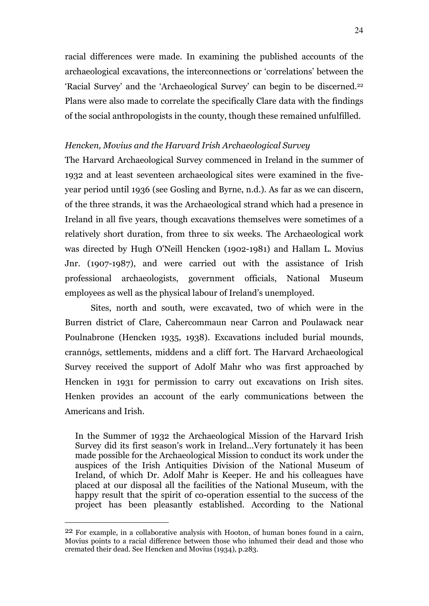racial differences were made. In examining the published accounts of the archaeological excavations, the interconnections or 'correlations' between the 'Racial Survey' and the 'Archaeological Survey' can begin to be discerned.<sup>22</sup> Plans were also made to correlate the specifically Clare data with the findings of the social anthropologists in the county, though these remained unfulfilled.

#### *Hencken, Movius and the Harvard Irish Archaeological Survey*

The Harvard Archaeological Survey commenced in Ireland in the summer of 1932 and at least seventeen archaeological sites were examined in the fiveyear period until 1936 (see Gosling and Byrne, n.d.). As far as we can discern, of the three strands, it was the Archaeological strand which had a presence in Ireland in all five years, though excavations themselves were sometimes of a relatively short duration, from three to six weeks. The Archaeological work was directed by Hugh O'Neill Hencken (1902-1981) and Hallam L. Movius Jnr. (1907-1987), and were carried out with the assistance of Irish professional archaeologists, government officials, National Museum employees as well as the physical labour of Ireland's unemployed.

Sites, north and south, were excavated, two of which were in the Burren district of Clare, Cahercommaun near Carron and Poulawack near Poulnabrone (Hencken 1935, 1938). Excavations included burial mounds, crannógs, settlements, middens and a cliff fort. The Harvard Archaeological Survey received the support of Adolf Mahr who was first approached by Hencken in 1931 for permission to carry out excavations on Irish sites. Henken provides an account of the early communications between the Americans and Irish.

In the Summer of 1932 the Archaeological Mission of the Harvard Irish Survey did its first season's work in Ireland...Very fortunately it has been made possible for the Archaeological Mission to conduct its work under the auspices of the Irish Antiquities Division of the National Museum of Ireland, of which Dr. Adolf Mahr is Keeper. He and his colleagues have placed at our disposal all the facilities of the National Museum, with the happy result that the spirit of co-operation essential to the success of the project has been pleasantly established. According to the National

<sup>22</sup> For example, in a collaborative analysis with Hooton, of human bones found in a cairn, Movius points to a racial difference between those who inhumed their dead and those who cremated their dead. See Hencken and Movius (1934), p.283.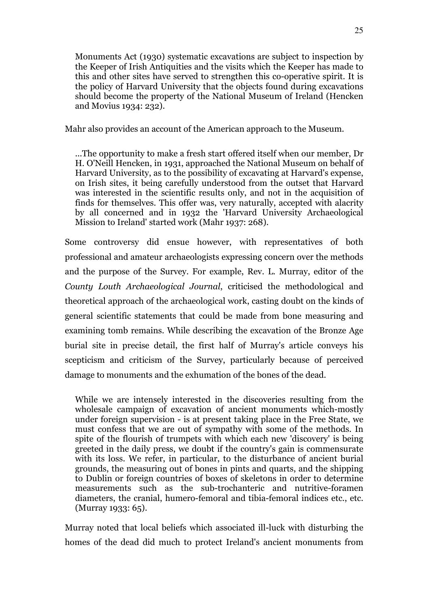Monuments Act (1930) systematic excavations are subject to inspection by the Keeper of Irish Antiquities and the visits which the Keeper has made to this and other sites have served to strengthen this co-operative spirit. It is the policy of Harvard University that the objects found during excavations should become the property of the National Museum of Ireland (Hencken and Movius 1934: 232).

Mahr also provides an account of the American approach to the Museum.

...The opportunity to make a fresh start offered itself when our member, Dr H. O'Neill Hencken, in 1931, approached the National Museum on behalf of Harvard University, as to the possibility of excavating at Harvard's expense, on Irish sites, it being carefully understood from the outset that Harvard was interested in the scientific results only, and not in the acquisition of finds for themselves. This offer was, very naturally, accepted with alacrity by all concerned and in 1932 the 'Harvard University Archaeological Mission to Ireland' started work (Mahr 1937: 268).

Some controversy did ensue however, with representatives of both professional and amateur archaeologists expressing concern over the methods and the purpose of the Survey. For example, Rev. L. Murray, editor of the *County Louth Archaeological Journal*, criticised the methodological and theoretical approach of the archaeological work, casting doubt on the kinds of general scientific statements that could be made from bone measuring and examining tomb remains. While describing the excavation of the Bronze Age burial site in precise detail, the first half of Murray's article conveys his scepticism and criticism of the Survey, particularly because of perceived damage to monuments and the exhumation of the bones of the dead.

While we are intensely interested in the discoveries resulting from the wholesale campaign of excavation of ancient monuments which-mostly under foreign supervision - is at present taking place in the Free State, we must confess that we are out of sympathy with some of the methods. In spite of the flourish of trumpets with which each new 'discovery' is being greeted in the daily press, we doubt if the country's gain is commensurate with its loss. We refer, in particular, to the disturbance of ancient burial grounds, the measuring out of bones in pints and quarts, and the shipping to Dublin or foreign countries of boxes of skeletons in order to determine measurements such as the sub-trochanteric and nutritive-foramen diameters, the cranial, humero-femoral and tibia-femoral indices etc., etc. (Murray 1933: 65).

Murray noted that local beliefs which associated ill-luck with disturbing the homes of the dead did much to protect Ireland's ancient monuments from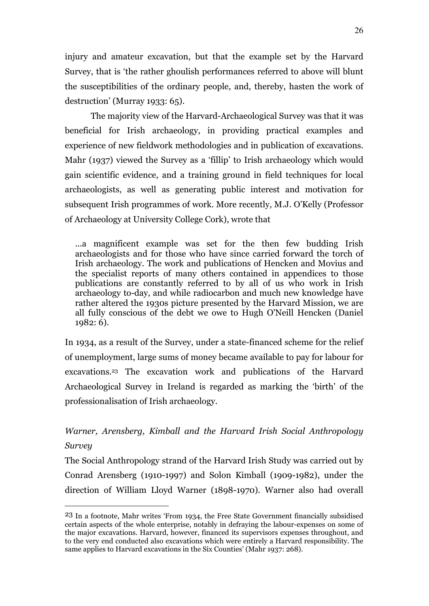injury and amateur excavation, but that the example set by the Harvard Survey, that is 'the rather ghoulish performances referred to above will blunt the susceptibilities of the ordinary people, and, thereby, hasten the work of destruction' (Murray 1933: 65).

The majority view of the Harvard-Archaeological Survey was that it was beneficial for Irish archaeology, in providing practical examples and experience of new fieldwork methodologies and in publication of excavations. Mahr (1937) viewed the Survey as a 'fillip' to Irish archaeology which would gain scientific evidence, and a training ground in field techniques for local archaeologists, as well as generating public interest and motivation for subsequent Irish programmes of work. More recently, M.J. O'Kelly (Professor of Archaeology at University College Cork), wrote that

...a magnificent example was set for the then few budding Irish archaeologists and for those who have since carried forward the torch of Irish archaeology. The work and publications of Hencken and Movius and the specialist reports of many others contained in appendices to those publications are constantly referred to by all of us who work in Irish archaeology to-day, and while radiocarbon and much new knowledge have rather altered the 1930s picture presented by the Harvard Mission, we are all fully conscious of the debt we owe to Hugh O'Neill Hencken (Daniel 1982: 6).

In 1934, as a result of the Survey, under a state-financed scheme for the relief of unemployment, large sums of money became available to pay for labour for excavations.<sup>23</sup> The excavation work and publications of the Harvard Archaeological Survey in Ireland is regarded as marking the 'birth' of the professionalisation of Irish archaeology.

## *Warner, Arensberg, Kimball and the Harvard Irish Social Anthropology Survey*

The Social Anthropology strand of the Harvard Irish Study was carried out by Conrad Arensberg (1910-1997) and Solon Kimball (1909-1982), under the direction of William Lloyd Warner (1898-1970). Warner also had overall

<sup>23</sup> In a footnote, Mahr writes 'From 1934, the Free State Government financially subsidised certain aspects of the whole enterprise, notably in defraying the labour-expenses on some of the major excavations. Harvard, however, financed its supervisors expenses throughout, and to the very end conducted also excavations which were entirely a Harvard responsibility. The same applies to Harvard excavations in the Six Counties' (Mahr 1937: 268).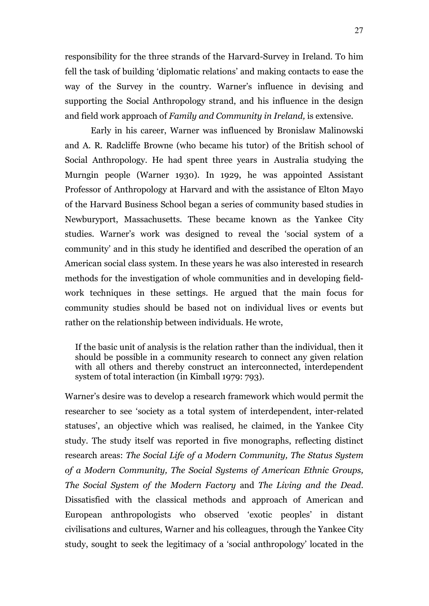responsibility for the three strands of the Harvard-Survey in Ireland. To him fell the task of building 'diplomatic relations' and making contacts to ease the way of the Survey in the country. Warner's influence in devising and supporting the Social Anthropology strand, and his influence in the design and field work approach of *Family and Community in Ireland,* is extensive.

Early in his career, Warner was influenced by Bronislaw Malinowski and A. R. Radcliffe Browne (who became his tutor) of the British school of Social Anthropology. He had spent three years in Australia studying the Murngin people (Warner 1930). In 1929, he was appointed Assistant Professor of Anthropology at Harvard and with the assistance of Elton Mayo of the Harvard Business School began a series of community based studies in Newburyport, Massachusetts. These became known as the Yankee City studies. Warner's work was designed to reveal the 'social system of a community' and in this study he identified and described the operation of an American social class system. In these years he was also interested in research methods for the investigation of whole communities and in developing fieldwork techniques in these settings. He argued that the main focus for community studies should be based not on individual lives or events but rather on the relationship between individuals. He wrote,

If the basic unit of analysis is the relation rather than the individual, then it should be possible in a community research to connect any given relation with all others and thereby construct an interconnected, interdependent system of total interaction (in Kimball 1979: 793).

Warner's desire was to develop a research framework which would permit the researcher to see 'society as a total system of interdependent, inter-related statuses', an objective which was realised, he claimed, in the Yankee City study. The study itself was reported in five monographs, reflecting distinct research areas: *The Social Life of a Modern Community, The Status System of a Modern Community, The Social Systems of American Ethnic Groups, The Social System of the Modern Factory* and *The Living and the Dead*. Dissatisfied with the classical methods and approach of American and European anthropologists who observed 'exotic peoples' in distant civilisations and cultures, Warner and his colleagues, through the Yankee City study, sought to seek the legitimacy of a 'social anthropology' located in the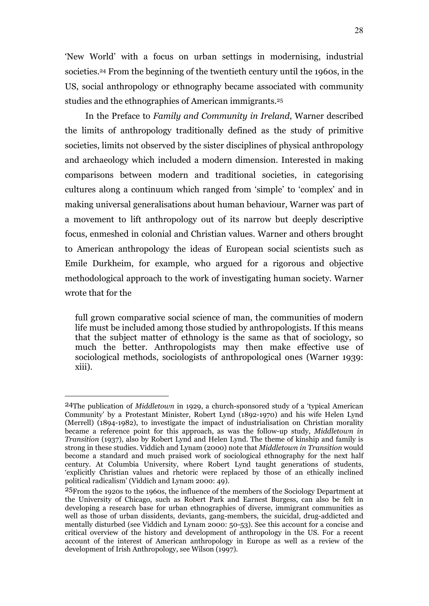'New World' with a focus on urban settings in modernising, industrial societies.<sup>24</sup> From the beginning of the twentieth century until the 1960s, in the US, social anthropology or ethnography became associated with community studies and the ethnographies of American immigrants.<sup>25</sup>

In the Preface to *Family and Community in Ireland*, Warner described the limits of anthropology traditionally defined as the study of primitive societies, limits not observed by the sister disciplines of physical anthropology and archaeology which included a modern dimension. Interested in making comparisons between modern and traditional societies, in categorising cultures along a continuum which ranged from 'simple' to 'complex' and in making universal generalisations about human behaviour, Warner was part of a movement to lift anthropology out of its narrow but deeply descriptive focus, enmeshed in colonial and Christian values. Warner and others brought to American anthropology the ideas of European social scientists such as Emile Durkheim, for example, who argued for a rigorous and objective methodological approach to the work of investigating human society. Warner wrote that for the

full grown comparative social science of man, the communities of modern life must be included among those studied by anthropologists. If this means that the subject matter of ethnology is the same as that of sociology, so much the better. Anthropologists may then make effective use of sociological methods, sociologists of anthropological ones (Warner 1939: xiii).

<sup>24</sup>The publication of *Middletown* in 1929, a church-sponsored study of a 'typical American Community' by a Protestant Minister, Robert Lynd (1892-1970) and his wife Helen Lynd (Merrell) (1894-1982), to investigate the impact of industrialisation on Christian morality became a reference point for this approach, as was the follow-up study, *Middletown in Transition* (1937), also by Robert Lynd and Helen Lynd. The theme of kinship and family is strong in these studies. Viddich and Lynam (2000) note that *Middletown in Transition* would become a standard and much praised work of sociological ethnography for the next half century. At Columbia University, where Robert Lynd taught generations of students, 'explicitly Christian values and rhetoric were replaced by those of an ethically inclined political radicalism' (Viddich and Lynam 2000: 49).

<sup>25</sup>From the 1920s to the 1960s, the influence of the members of the Sociology Department at the University of Chicago, such as Robert Park and Earnest Burgess, can also be felt in developing a research base for urban ethnographies of diverse, immigrant communities as well as those of urban dissidents, deviants, gang-members, the suicidal, drug-addicted and mentally disturbed (see Viddich and Lynam 2000: 50-53). See this account for a concise and critical overview of the history and development of anthropology in the US. For a recent account of the interest of American anthropology in Europe as well as a review of the development of Irish Anthropology, see Wilson (1997).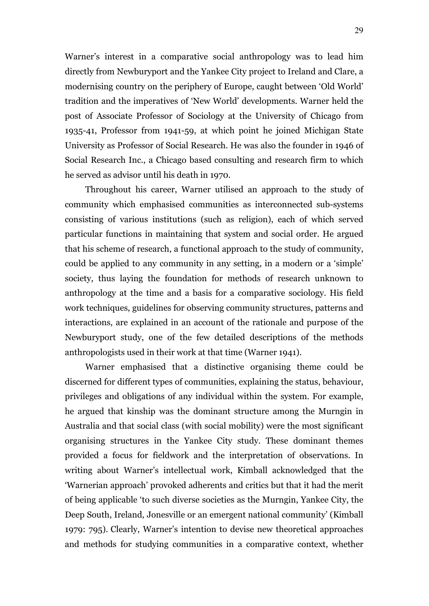Warner's interest in a comparative social anthropology was to lead him directly from Newburyport and the Yankee City project to Ireland and Clare, a modernising country on the periphery of Europe, caught between 'Old World' tradition and the imperatives of 'New World' developments. Warner held the post of Associate Professor of Sociology at the University of Chicago from 1935-41, Professor from 1941-59, at which point he joined Michigan State University as Professor of Social Research. He was also the founder in 1946 of Social Research Inc., a Chicago based consulting and research firm to which he served as advisor until his death in 1970.

Throughout his career, Warner utilised an approach to the study of community which emphasised communities as interconnected sub-systems consisting of various institutions (such as religion), each of which served particular functions in maintaining that system and social order. He argued that his scheme of research, a functional approach to the study of community, could be applied to any community in any setting, in a modern or a 'simple' society, thus laying the foundation for methods of research unknown to anthropology at the time and a basis for a comparative sociology. His field work techniques, guidelines for observing community structures, patterns and interactions, are explained in an account of the rationale and purpose of the Newburyport study, one of the few detailed descriptions of the methods anthropologists used in their work at that time (Warner 1941).

Warner emphasised that a distinctive organising theme could be discerned for different types of communities, explaining the status, behaviour, privileges and obligations of any individual within the system. For example, he argued that kinship was the dominant structure among the Murngin in Australia and that social class (with social mobility) were the most significant organising structures in the Yankee City study. These dominant themes provided a focus for fieldwork and the interpretation of observations. In writing about Warner's intellectual work, Kimball acknowledged that the 'Warnerian approach' provoked adherents and critics but that it had the merit of being applicable 'to such diverse societies as the Murngin, Yankee City, the Deep South, Ireland, Jonesville or an emergent national community' (Kimball 1979: 795). Clearly, Warner's intention to devise new theoretical approaches and methods for studying communities in a comparative context, whether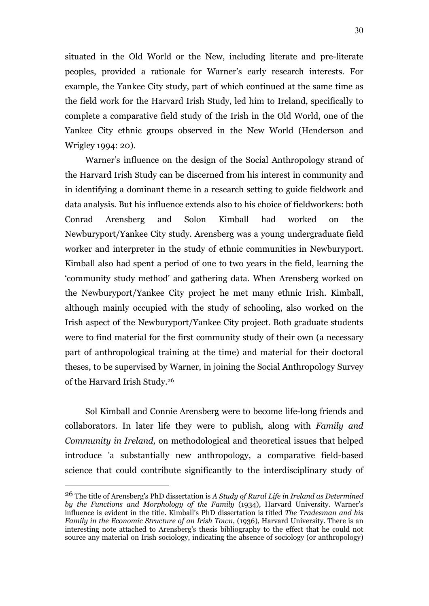situated in the Old World or the New, including literate and pre-literate peoples, provided a rationale for Warner's early research interests. For example, the Yankee City study, part of which continued at the same time as the field work for the Harvard Irish Study, led him to Ireland, specifically to complete a comparative field study of the Irish in the Old World, one of the Yankee City ethnic groups observed in the New World (Henderson and Wrigley 1994: 20).

Warner's influence on the design of the Social Anthropology strand of the Harvard Irish Study can be discerned from his interest in community and in identifying a dominant theme in a research setting to guide fieldwork and data analysis. But his influence extends also to his choice of fieldworkers: both Conrad Arensberg and Solon Kimball had worked on the Newburyport/Yankee City study. Arensberg was a young undergraduate field worker and interpreter in the study of ethnic communities in Newburyport. Kimball also had spent a period of one to two years in the field, learning the 'community study method' and gathering data. When Arensberg worked on the Newburyport/Yankee City project he met many ethnic Irish. Kimball, although mainly occupied with the study of schooling, also worked on the Irish aspect of the Newburyport/Yankee City project. Both graduate students were to find material for the first community study of their own (a necessary part of anthropological training at the time) and material for their doctoral theses, to be supervised by Warner, in joining the Social Anthropology Survey of the Harvard Irish Study.<sup>26</sup>

Sol Kimball and Connie Arensberg were to become life-long friends and collaborators. In later life they were to publish, along with *Family and Community in Ireland,* on methodological and theoretical issues that helped introduce 'a substantially new anthropology, a comparative field-based science that could contribute significantly to the interdisciplinary study of

<sup>26</sup> The title of Arensberg's PhD dissertation is *A Study of Rural Life in Ireland as Determined by the Functions and Morphology of the Family* (1934), Harvard University. Warner's influence is evident in the title. Kimball's PhD dissertation is titled *The Tradesman and his Family in the Economic Structure of an Irish Town*, (1936), Harvard University. There is an interesting note attached to Arensberg's thesis bibliography to the effect that he could not source any material on Irish sociology, indicating the absence of sociology (or anthropology)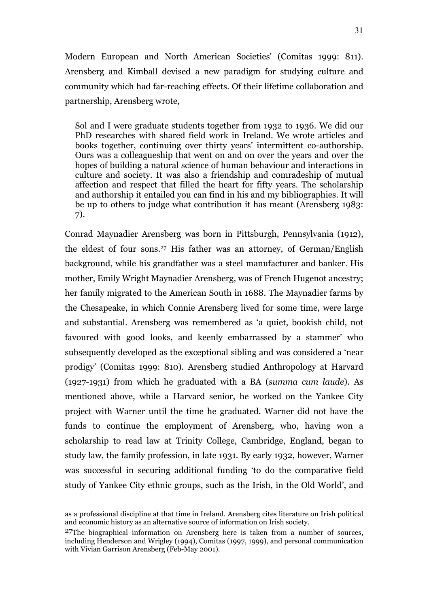Modern European and North American Societies' (Comitas 1999: 811). Arensberg and Kimball devised a new paradigm for studying culture and community which had far-reaching effects. Of their lifetime collaboration and partnership, Arensberg wrote,

Sol and I were graduate students together from 1932 to 1936. We did our PhD researches with shared field work in Ireland. We wrote articles and books together, continuing over thirty years' intermittent co-authorship. Ours was a colleagueship that went on and on over the years and over the hopes of building a natural science of human behaviour and interactions in culture and society. It was also a friendship and comradeship of mutual affection and respect that filled the heart for fifty years. The scholarship and authorship it entailed you can find in his and my bibliographies. It will be up to others to judge what contribution it has meant (Arensberg 1983: 7).

Conrad Maynadier Arensberg was born in Pittsburgh, Pennsylvania (1912), the eldest of four sons.<sup>27</sup> His father was an attorney, of German/English background, while his grandfather was a steel manufacturer and banker. His mother, Emily Wright Maynadier Arensberg, was of French Hugenot ancestry; her family migrated to the American South in 1688. The Maynadier farms by the Chesapeake, in which Connie Arensberg lived for some time, were large and substantial. Arensberg was remembered as 'a quiet, bookish child, not favoured with good looks, and keenly embarrassed by a stammer' who subsequently developed as the exceptional sibling and was considered a 'near prodigy' (Comitas 1999: 810). Arensberg studied Anthropology at Harvard (1927-1931) from which he graduated with a BA (*summa cum laude*)*.* As mentioned above, while a Harvard senior, he worked on the Yankee City project with Warner until the time he graduated. Warner did not have the funds to continue the employment of Arensberg, who, having won a scholarship to read law at Trinity College, Cambridge, England, began to study law, the family profession, in late 1931. By early 1932, however, Warner was successful in securing additional funding 'to do the comparative field study of Yankee City ethnic groups, such as the Irish, in the Old World', and

as a professional discipline at that time in Ireland. Arensberg cites literature on Irish political and economic history as an alternative source of information on Irish society.

<sup>27</sup>The biographical information on Arensberg here is taken from a number of sources, including Henderson and Wrigley (1994), Comitas (1997, 1999), and personal communication with Vivian Garrison Arensberg (Feb-May 2001).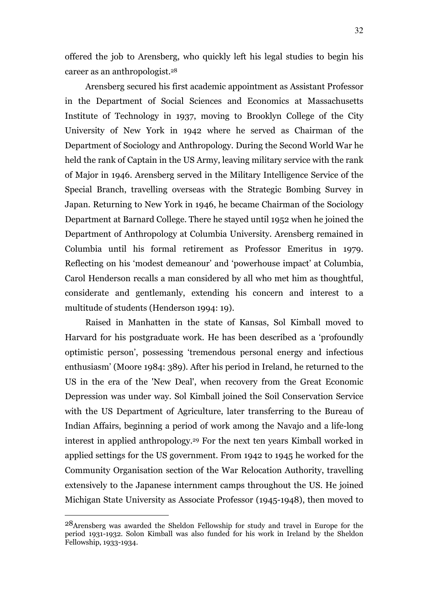offered the job to Arensberg, who quickly left his legal studies to begin his career as an anthropologist.<sup>28</sup>

Arensberg secured his first academic appointment as Assistant Professor in the Department of Social Sciences and Economics at Massachusetts Institute of Technology in 1937, moving to Brooklyn College of the City University of New York in 1942 where he served as Chairman of the Department of Sociology and Anthropology. During the Second World War he held the rank of Captain in the US Army, leaving military service with the rank of Major in 1946. Arensberg served in the Military Intelligence Service of the Special Branch, travelling overseas with the Strategic Bombing Survey in Japan. Returning to New York in 1946, he became Chairman of the Sociology Department at Barnard College. There he stayed until 1952 when he joined the Department of Anthropology at Columbia University. Arensberg remained in Columbia until his formal retirement as Professor Emeritus in 1979. Reflecting on his 'modest demeanour' and 'powerhouse impact' at Columbia, Carol Henderson recalls a man considered by all who met him as thoughtful, considerate and gentlemanly, extending his concern and interest to a multitude of students (Henderson 1994: 19).

Raised in Manhatten in the state of Kansas, Sol Kimball moved to Harvard for his postgraduate work. He has been described as a 'profoundly optimistic person', possessing 'tremendous personal energy and infectious enthusiasm' (Moore 1984: 389). After his period in Ireland, he returned to the US in the era of the 'New Deal', when recovery from the Great Economic Depression was under way. Sol Kimball joined the Soil Conservation Service with the US Department of Agriculture, later transferring to the Bureau of Indian Affairs, beginning a period of work among the Navajo and a life-long interest in applied anthropology.<sup>29</sup> For the next ten years Kimball worked in applied settings for the US government. From 1942 to 1945 he worked for the Community Organisation section of the War Relocation Authority, travelling extensively to the Japanese internment camps throughout the US. He joined Michigan State University as Associate Professor (1945-1948), then moved to

<sup>28</sup>Arensberg was awarded the Sheldon Fellowship for study and travel in Europe for the period 1931-1932. Solon Kimball was also funded for his work in Ireland by the Sheldon Fellowship, 1933-1934.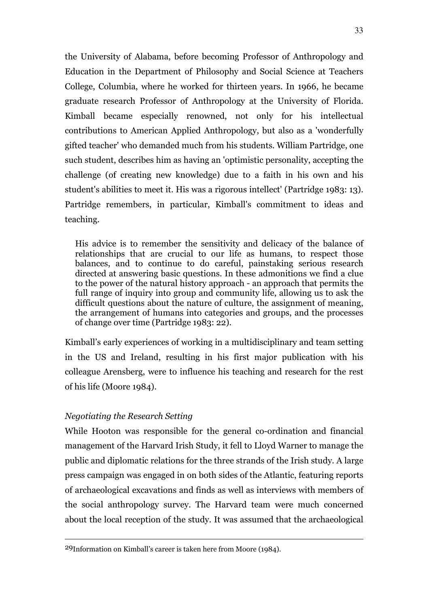the University of Alabama, before becoming Professor of Anthropology and Education in the Department of Philosophy and Social Science at Teachers College, Columbia, where he worked for thirteen years. In 1966, he became graduate research Professor of Anthropology at the University of Florida. Kimball became especially renowned, not only for his intellectual contributions to American Applied Anthropology, but also as a 'wonderfully gifted teacher' who demanded much from his students. William Partridge, one such student, describes him as having an 'optimistic personality, accepting the challenge (of creating new knowledge) due to a faith in his own and his student's abilities to meet it. His was a rigorous intellect' (Partridge 1983: 13). Partridge remembers, in particular, Kimball's commitment to ideas and teaching.

His advice is to remember the sensitivity and delicacy of the balance of relationships that are crucial to our life as humans, to respect those balances, and to continue to do careful, painstaking serious research directed at answering basic questions. In these admonitions we find a clue to the power of the natural history approach - an approach that permits the full range of inquiry into group and community life, allowing us to ask the difficult questions about the nature of culture, the assignment of meaning, the arrangement of humans into categories and groups, and the processes of change over time (Partridge 1983: 22).

Kimball's early experiences of working in a multidisciplinary and team setting in the US and Ireland, resulting in his first major publication with his colleague Arensberg, were to influence his teaching and research for the rest of his life (Moore 1984).

#### *Negotiating the Research Setting*

While Hooton was responsible for the general co-ordination and financial management of the Harvard Irish Study, it fell to Lloyd Warner to manage the public and diplomatic relations for the three strands of the Irish study. A large press campaign was engaged in on both sides of the Atlantic, featuring reports of archaeological excavations and finds as well as interviews with members of the social anthropology survey. The Harvard team were much concerned about the local reception of the study. It was assumed that the archaeological

<sup>29</sup>Information on Kimball's career is taken here from Moore (1984).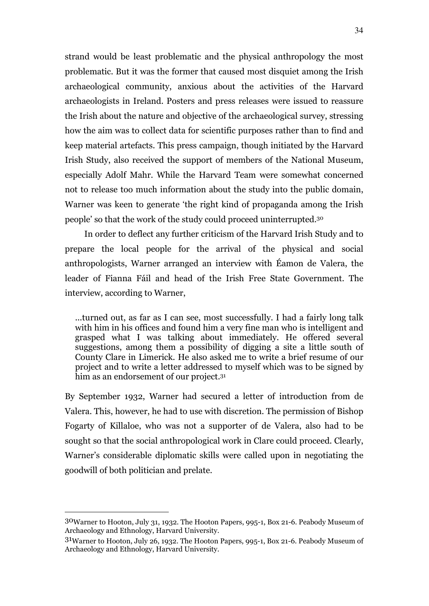strand would be least problematic and the physical anthropology the most problematic. But it was the former that caused most disquiet among the Irish archaeological community, anxious about the activities of the Harvard archaeologists in Ireland. Posters and press releases were issued to reassure the Irish about the nature and objective of the archaeological survey, stressing how the aim was to collect data for scientific purposes rather than to find and keep material artefacts. This press campaign, though initiated by the Harvard Irish Study, also received the support of members of the National Museum, especially Adolf Mahr. While the Harvard Team were somewhat concerned not to release too much information about the study into the public domain, Warner was keen to generate 'the right kind of propaganda among the Irish people' so that the work of the study could proceed uninterrupted.<sup>30</sup>

In order to deflect any further criticism of the Harvard Irish Study and to prepare the local people for the arrival of the physical and social anthropologists, Warner arranged an interview with Éamon de Valera, the leader of Fianna Fáil and head of the Irish Free State Government. The interview, according to Warner,

...turned out, as far as I can see, most successfully. I had a fairly long talk with him in his offices and found him a very fine man who is intelligent and grasped what I was talking about immediately. He offered several suggestions, among them a possibility of digging a site a little south of County Clare in Limerick. He also asked me to write a brief resume of our project and to write a letter addressed to myself which was to be signed by him as an endorsement of our project.<sup>31</sup>

By September 1932, Warner had secured a letter of introduction from de Valera. This, however, he had to use with discretion. The permission of Bishop Fogarty of Killaloe, who was not a supporter of de Valera, also had to be sought so that the social anthropological work in Clare could proceed. Clearly, Warner's considerable diplomatic skills were called upon in negotiating the goodwill of both politician and prelate.

<sup>30</sup>Warner to Hooton, July 31, 1932. The Hooton Papers, 995-1, Box 21-6. Peabody Museum of Archaeology and Ethnology, Harvard University.

<sup>31</sup>Warner to Hooton, July 26, 1932. The Hooton Papers, 995-1, Box 21-6. Peabody Museum of Archaeology and Ethnology, Harvard University.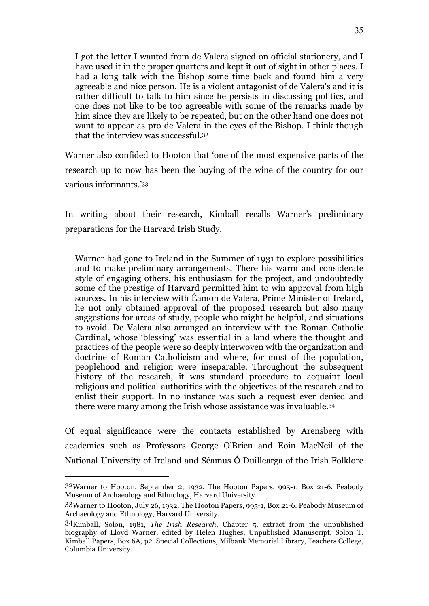I got the letter I wanted from de Valera signed on official stationery, and I have used it in the proper quarters and kept it out of sight in other places. I had a long talk with the Bishop some time back and found him a very agreeable and nice person. He is a violent antagonist of de Valera's and it is rather difficult to talk to him since he persists in discussing politics, and one does not like to be too agreeable with some of the remarks made by him since they are likely to be repeated, but on the other hand one does not want to appear as pro de Valera in the eyes of the Bishop. I think though that the interview was successful.<sup>32</sup>

Warner also confided to Hooton that 'one of the most expensive parts of the research up to now has been the buying of the wine of the country for our various informants.'<sup>33</sup>

In writing about their research, Kimball recalls Warner's preliminary preparations for the Harvard Irish Study.

Warner had gone to Ireland in the Summer of 1931 to explore possibilities and to make preliminary arrangements. There his warm and considerate style of engaging others, his enthusiasm for the project, and undoubtedly some of the prestige of Harvard permitted him to win approval from high sources. In his interview with Éamon de Valera, Prime Minister of Ireland, he not only obtained approval of the proposed research but also many suggestions for areas of study, people who might be helpful, and situations to avoid. De Valera also arranged an interview with the Roman Catholic Cardinal, whose 'blessing' was essential in a land where the thought and practices of the people were so deeply interwoven with the organization and doctrine of Roman Catholicism and where, for most of the population, peoplehood and religion were inseparable. Throughout the subsequent history of the research, it was standard procedure to acquaint local religious and political authorities with the objectives of the research and to enlist their support. In no instance was such a request ever denied and there were many among the Irish whose assistance was invaluable.<sup>34</sup>

Of equal significance were the contacts established by Arensberg with academics such as Professors George O'Brien and Eoin MacNeil of the National University of Ireland and Séamus Ó Duillearga of the Irish Folklore

<sup>32</sup>Warner to Hooton, September 2, 1932. The Hooton Papers, 995-1, Box 21-6. Peabody Museum of Archaeology and Ethnology, Harvard University.

<sup>33</sup>Warner to Hooton, July 26, 1932. The Hooton Papers, 995-1, Box 21-6. Peabody Museum of Archaeology and Ethnology, Harvard University.

<sup>34</sup>Kimball, Solon, 1981, *The Irish Research*, Chapter 5, extract from the unpublished biography of Lloyd Warner, edited by Helen Hughes, Unpublished Manuscript, Solon T. Kimball Papers, Box 6A, p2. Special Collections, Milbank Memorial Library, Teachers College, Columbia University.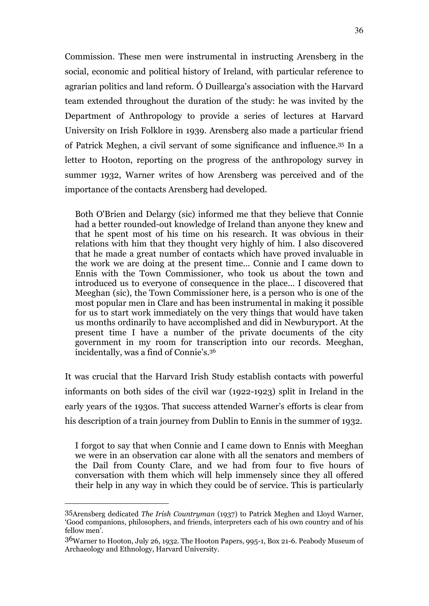Commission. These men were instrumental in instructing Arensberg in the social, economic and political history of Ireland, with particular reference to agrarian politics and land reform. Ó Duillearga's association with the Harvard team extended throughout the duration of the study: he was invited by the Department of Anthropology to provide a series of lectures at Harvard University on Irish Folklore in 1939. Arensberg also made a particular friend of Patrick Meghen, a civil servant of some significance and influence.<sup>35</sup> In a letter to Hooton, reporting on the progress of the anthropology survey in summer 1932, Warner writes of how Arensberg was perceived and of the importance of the contacts Arensberg had developed.

Both O'Brien and Delargy (sic) informed me that they believe that Connie had a better rounded-out knowledge of Ireland than anyone they knew and that he spent most of his time on his research. It was obvious in their relations with him that they thought very highly of him. I also discovered that he made a great number of contacts which have proved invaluable in the work we are doing at the present time... Connie and I came down to Ennis with the Town Commissioner, who took us about the town and introduced us to everyone of consequence in the place... I discovered that Meeghan (sic), the Town Commissioner here, is a person who is one of the most popular men in Clare and has been instrumental in making it possible for us to start work immediately on the very things that would have taken us months ordinarily to have accomplished and did in Newburyport. At the present time I have a number of the private documents of the city government in my room for transcription into our records. Meeghan, incidentally, was a find of Connie's.<sup>36</sup>

It was crucial that the Harvard Irish Study establish contacts with powerful informants on both sides of the civil war (1922-1923) split in Ireland in the early years of the 1930s. That success attended Warner's efforts is clear from his description of a train journey from Dublin to Ennis in the summer of 1932.

I forgot to say that when Connie and I came down to Ennis with Meeghan we were in an observation car alone with all the senators and members of the Dail from County Clare, and we had from four to five hours of conversation with them which will help immensely since they all offered their help in any way in which they could be of service. This is particularly

<sup>35</sup>Arensberg dedicated *The Irish Countryman* (1937) to Patrick Meghen and Lloyd Warner, 'Good companions, philosophers, and friends, interpreters each of his own country and of his fellow men'.

<sup>36</sup>Warner to Hooton, July 26, 1932. The Hooton Papers, 995-1, Box 21-6. Peabody Museum of Archaeology and Ethnology, Harvard University.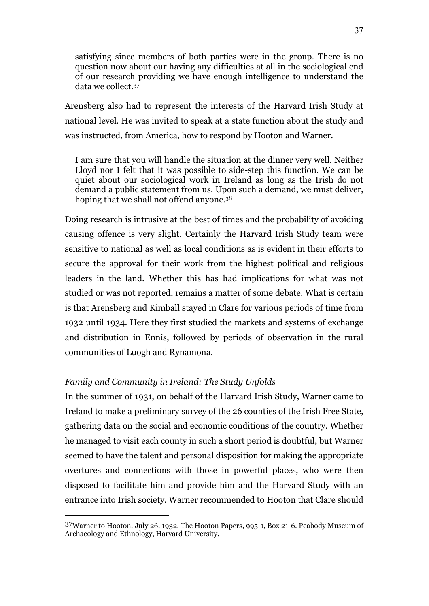satisfying since members of both parties were in the group. There is no question now about our having any difficulties at all in the sociological end of our research providing we have enough intelligence to understand the data we collect.<sup>37</sup>

Arensberg also had to represent the interests of the Harvard Irish Study at national level. He was invited to speak at a state function about the study and was instructed, from America, how to respond by Hooton and Warner.

I am sure that you will handle the situation at the dinner very well. Neither Lloyd nor I felt that it was possible to side-step this function. We can be quiet about our sociological work in Ireland as long as the Irish do not demand a public statement from us. Upon such a demand, we must deliver, hoping that we shall not offend anyone.<sup>38</sup>

Doing research is intrusive at the best of times and the probability of avoiding causing offence is very slight. Certainly the Harvard Irish Study team were sensitive to national as well as local conditions as is evident in their efforts to secure the approval for their work from the highest political and religious leaders in the land. Whether this has had implications for what was not studied or was not reported, remains a matter of some debate. What is certain is that Arensberg and Kimball stayed in Clare for various periods of time from 1932 until 1934. Here they first studied the markets and systems of exchange and distribution in Ennis, followed by periods of observation in the rural communities of Luogh and Rynamona.

## *Family and Community in Ireland: The Study Unfolds*

In the summer of 1931, on behalf of the Harvard Irish Study, Warner came to Ireland to make a preliminary survey of the 26 counties of the Irish Free State, gathering data on the social and economic conditions of the country. Whether he managed to visit each county in such a short period is doubtful, but Warner seemed to have the talent and personal disposition for making the appropriate overtures and connections with those in powerful places, who were then disposed to facilitate him and provide him and the Harvard Study with an entrance into Irish society. Warner recommended to Hooton that Clare should

<sup>37</sup>Warner to Hooton, July 26, 1932. The Hooton Papers, 995-1, Box 21-6. Peabody Museum of Archaeology and Ethnology, Harvard University.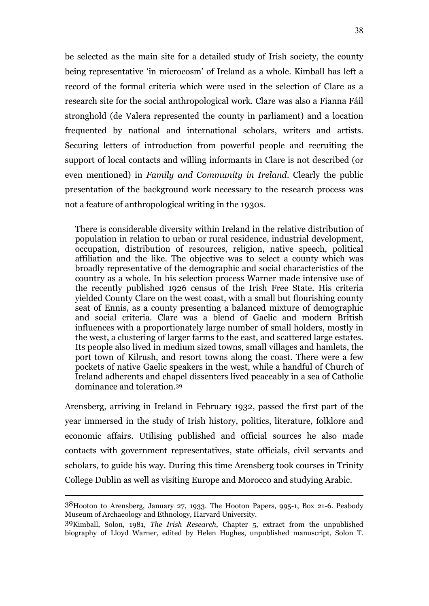be selected as the main site for a detailed study of Irish society, the county being representative 'in microcosm' of Ireland as a whole. Kimball has left a record of the formal criteria which were used in the selection of Clare as a research site for the social anthropological work. Clare was also a Fianna Fáil stronghold (de Valera represented the county in parliament) and a location frequented by national and international scholars, writers and artists. Securing letters of introduction from powerful people and recruiting the support of local contacts and willing informants in Clare is not described (or even mentioned) in *Family and Community in Ireland*. Clearly the public presentation of the background work necessary to the research process was not a feature of anthropological writing in the 1930s.

There is considerable diversity within Ireland in the relative distribution of population in relation to urban or rural residence, industrial development, occupation, distribution of resources, religion, native speech, political affiliation and the like. The objective was to select a county which was broadly representative of the demographic and social characteristics of the country as a whole. In his selection process Warner made intensive use of the recently published 1926 census of the Irish Free State. His criteria yielded County Clare on the west coast, with a small but flourishing county seat of Ennis, as a county presenting a balanced mixture of demographic and social criteria. Clare was a blend of Gaelic and modern British influences with a proportionately large number of small holders, mostly in the west, a clustering of larger farms to the east, and scattered large estates. Its people also lived in medium sized towns, small villages and hamlets, the port town of Kilrush, and resort towns along the coast. There were a few pockets of native Gaelic speakers in the west, while a handful of Church of Ireland adherents and chapel dissenters lived peaceably in a sea of Catholic dominance and toleration.<sup>39</sup>

Arensberg, arriving in Ireland in February 1932, passed the first part of the year immersed in the study of Irish history, politics, literature, folklore and economic affairs. Utilising published and official sources he also made contacts with government representatives, state officials, civil servants and scholars, to guide his way. During this time Arensberg took courses in Trinity College Dublin as well as visiting Europe and Morocco and studying Arabic.

<sup>38</sup>Hooton to Arensberg, January 27, 1933. The Hooton Papers, 995-1, Box 21-6. Peabody Museum of Archaeology and Ethnology, Harvard University.

<sup>39</sup>Kimball, Solon, 1981, *The Irish Research*, Chapter 5, extract from the unpublished biography of Lloyd Warner, edited by Helen Hughes, unpublished manuscript, Solon T.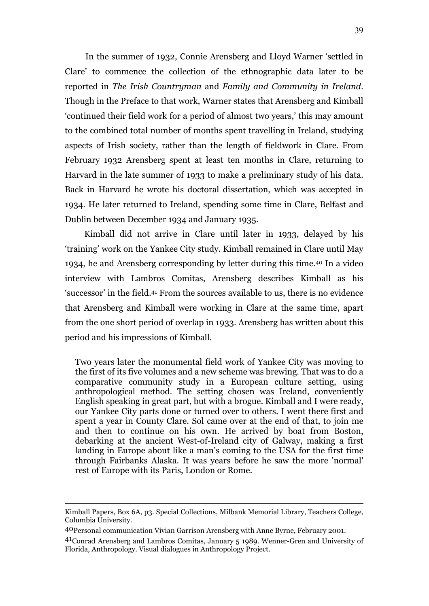In the summer of 1932, Connie Arensberg and Lloyd Warner 'settled in Clare' to commence the collection of the ethnographic data later to be reported in *The Irish Countryman* and *Family and Community in Ireland*. Though in the Preface to that work, Warner states that Arensberg and Kimball 'continued their field work for a period of almost two years,' this may amount to the combined total number of months spent travelling in Ireland, studying aspects of Irish society, rather than the length of fieldwork in Clare. From February 1932 Arensberg spent at least ten months in Clare, returning to Harvard in the late summer of 1933 to make a preliminary study of his data. Back in Harvard he wrote his doctoral dissertation, which was accepted in 1934. He later returned to Ireland, spending some time in Clare, Belfast and Dublin between December 1934 and January 1935.

Kimball did not arrive in Clare until later in 1933, delayed by his 'training' work on the Yankee City study. Kimball remained in Clare until May 1934, he and Arensberg corresponding by letter during this time.<sup>40</sup> In a video interview with Lambros Comitas, Arensberg describes Kimball as his 'successor' in the field.<sup>41</sup> From the sources available to us, there is no evidence that Arensberg and Kimball were working in Clare at the same time, apart from the one short period of overlap in 1933. Arensberg has written about this period and his impressions of Kimball.

Two years later the monumental field work of Yankee City was moving to the first of its five volumes and a new scheme was brewing. That was to do a comparative community study in a European culture setting, using anthropological method. The setting chosen was Ireland, conveniently English speaking in great part, but with a brogue. Kimball and I were ready, our Yankee City parts done or turned over to others. I went there first and spent a year in County Clare. Sol came over at the end of that, to join me and then to continue on his own. He arrived by boat from Boston, debarking at the ancient West-of-Ireland city of Galway, making a first landing in Europe about like a man's coming to the USA for the first time through Fairbanks Alaska. It was years before he saw the more 'normal' rest of Europe with its Paris, London or Rome.

Kimball Papers, Box 6A, p3. Special Collections, Milbank Memorial Library, Teachers College, Columbia University.

<sup>40</sup>Personal communication Vivian Garrison Arensberg with Anne Byrne, February 2001.

<sup>41</sup>Conrad Arensberg and Lambros Comitas, January 5 1989. Wenner-Gren and University of Florida, Anthropology. Visual dialogues in Anthropology Project.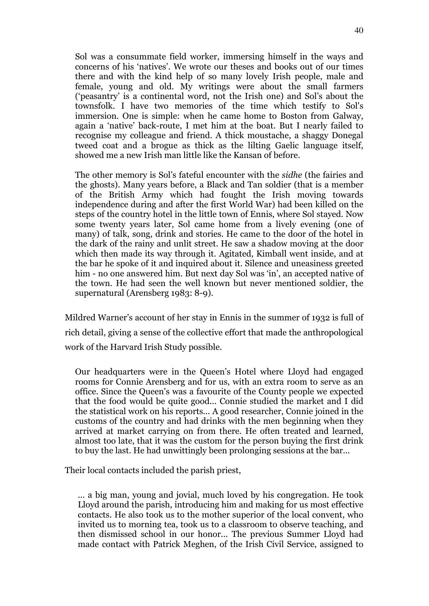Sol was a consummate field worker, immersing himself in the ways and concerns of his 'natives'. We wrote our theses and books out of our times there and with the kind help of so many lovely Irish people, male and female, young and old. My writings were about the small farmers ('peasantry' is a continental word, not the Irish one) and Sol's about the townsfolk. I have two memories of the time which testify to Sol's immersion. One is simple: when he came home to Boston from Galway, again a 'native' back-route, I met him at the boat. But I nearly failed to recognise my colleague and friend. A thick moustache, a shaggy Donegal tweed coat and a brogue as thick as the lilting Gaelic language itself, showed me a new Irish man little like the Kansan of before.

The other memory is Sol's fateful encounter with the *sidhe* (the fairies and the ghosts). Many years before, a Black and Tan soldier (that is a member of the British Army which had fought the Irish moving towards independence during and after the first World War) had been killed on the steps of the country hotel in the little town of Ennis, where Sol stayed. Now some twenty years later, Sol came home from a lively evening (one of many) of talk, song, drink and stories. He came to the door of the hotel in the dark of the rainy and unlit street. He saw a shadow moving at the door which then made its way through it. Agitated, Kimball went inside, and at the bar he spoke of it and inquired about it. Silence and uneasiness greeted him - no one answered him. But next day Sol was 'in', an accepted native of the town. He had seen the well known but never mentioned soldier, the supernatural (Arensberg 1983: 8-9).

Mildred Warner's account of her stay in Ennis in the summer of 1932 is full of rich detail, giving a sense of the collective effort that made the anthropological work of the Harvard Irish Study possible.

Our headquarters were in the Queen's Hotel where Lloyd had engaged rooms for Connie Arensberg and for us, with an extra room to serve as an office. Since the Queen's was a favourite of the County people we expected that the food would be quite good... Connie studied the market and I did the statistical work on his reports... A good researcher, Connie joined in the customs of the country and had drinks with the men beginning when they arrived at market carrying on from there. He often treated and learned, almost too late, that it was the custom for the person buying the first drink to buy the last. He had unwittingly been prolonging sessions at the bar...

Their local contacts included the parish priest,

... a big man, young and jovial, much loved by his congregation. He took Lloyd around the parish, introducing him and making for us most effective contacts. He also took us to the mother superior of the local convent, who invited us to morning tea, took us to a classroom to observe teaching, and then dismissed school in our honor... The previous Summer Lloyd had made contact with Patrick Meghen, of the Irish Civil Service, assigned to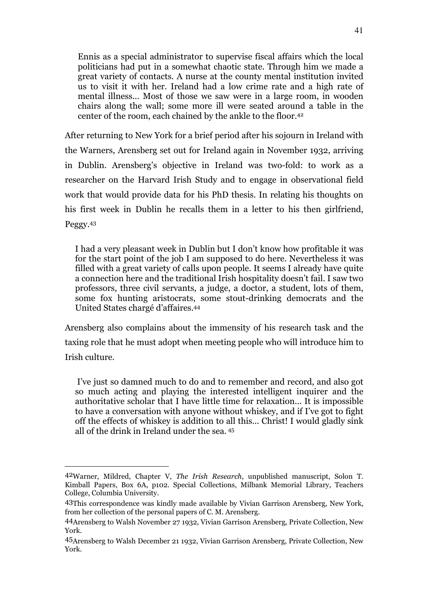Ennis as a special administrator to supervise fiscal affairs which the local politicians had put in a somewhat chaotic state. Through him we made a great variety of contacts. A nurse at the county mental institution invited us to visit it with her. Ireland had a low crime rate and a high rate of mental illness... Most of those we saw were in a large room, in wooden chairs along the wall; some more ill were seated around a table in the center of the room, each chained by the ankle to the floor.<sup>42</sup>

After returning to New York for a brief period after his sojourn in Ireland with the Warners, Arensberg set out for Ireland again in November 1932, arriving in Dublin. Arensberg's objective in Ireland was two-fold: to work as a researcher on the Harvard Irish Study and to engage in observational field work that would provide data for his PhD thesis. In relating his thoughts on his first week in Dublin he recalls them in a letter to his then girlfriend, Peggy.<sup>43</sup>

I had a very pleasant week in Dublin but I don't know how profitable it was for the start point of the job I am supposed to do here. Nevertheless it was filled with a great variety of calls upon people. It seems I already have quite a connection here and the traditional Irish hospitality doesn't fail. I saw two professors, three civil servants, a judge, a doctor, a student, lots of them, some fox hunting aristocrats, some stout-drinking democrats and the United States chargé d'affaires.<sup>44</sup>

Arensberg also complains about the immensity of his research task and the taxing role that he must adopt when meeting people who will introduce him to Irish culture.

I've just so damned much to do and to remember and record, and also got so much acting and playing the interested intelligent inquirer and the authoritative scholar that I have little time for relaxation... It is impossible to have a conversation with anyone without whiskey, and if I've got to fight off the effects of whiskey is addition to all this... Christ! I would gladly sink all of the drink in Ireland under the sea. <sup>45</sup>

<sup>42</sup>Warner, Mildred, Chapter V, *The Irish Research*, unpublished manuscript, Solon T. Kimball Papers, Box 6A, p102. Special Collections, Milbank Memorial Library, Teachers College, Columbia University.

<sup>43</sup>This correspondence was kindly made available by Vivian Garrison Arensberg, New York, from her collection of the personal papers of C. M. Arensberg.

<sup>44</sup>Arensberg to Walsh November 27 1932, Vivian Garrison Arensberg, Private Collection, New York.

<sup>45</sup>Arensberg to Walsh December 21 1932, Vivian Garrison Arensberg, Private Collection, New York.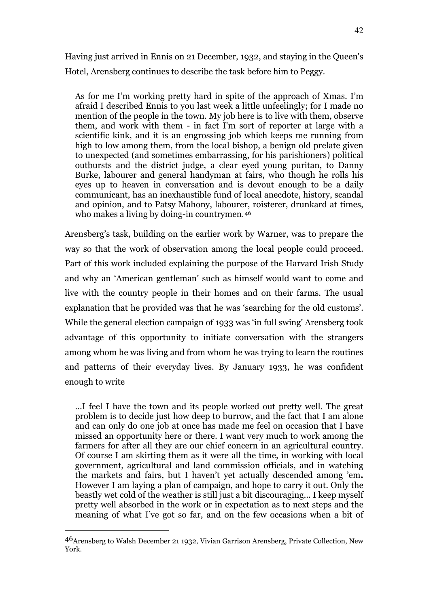Having just arrived in Ennis on 21 December, 1932, and staying in the Queen's Hotel, Arensberg continues to describe the task before him to Peggy.

As for me I'm working pretty hard in spite of the approach of Xmas. I'm afraid I described Ennis to you last week a little unfeelingly; for I made no mention of the people in the town. My job here is to live with them, observe them, and work with them - in fact I'm sort of reporter at large with a scientific kink, and it is an engrossing job which keeps me running from high to low among them, from the local bishop, a benign old prelate given to unexpected (and sometimes embarrassing, for his parishioners) political outbursts and the district judge, a clear eyed young puritan, to Danny Burke, labourer and general handyman at fairs, who though he rolls his eyes up to heaven in conversation and is devout enough to be a daily communicant, has an inexhaustible fund of local anecdote, history, scandal and opinion, and to Patsy Mahony, labourer, roisterer, drunkard at times, who makes a living by doing-in countrymen. 46

Arensberg's task, building on the earlier work by Warner, was to prepare the way so that the work of observation among the local people could proceed. Part of this work included explaining the purpose of the Harvard Irish Study and why an 'American gentleman' such as himself would want to come and live with the country people in their homes and on their farms. The usual explanation that he provided was that he was 'searching for the old customs'. While the general election campaign of 1933 was 'in full swing' Arensberg took advantage of this opportunity to initiate conversation with the strangers among whom he was living and from whom he was trying to learn the routines and patterns of their everyday lives. By January 1933, he was confident enough to write

...I feel I have the town and its people worked out pretty well. The great problem is to decide just how deep to burrow, and the fact that I am alone and can only do one job at once has made me feel on occasion that I have missed an opportunity here or there. I want very much to work among the farmers for after all they are our chief concern in an agricultural country. Of course I am skirting them as it were all the time, in working with local government, agricultural and land commission officials, and in watching the markets and fairs, but I haven't yet actually descended among 'em**.** However I am laying a plan of campaign, and hope to carry it out. Only the beastly wet cold of the weather is still just a bit discouraging... I keep myself pretty well absorbed in the work or in expectation as to next steps and the meaning of what I've got so far, and on the few occasions when a bit of

<sup>46</sup>Arensberg to Walsh December 21 1932, Vivian Garrison Arensberg, Private Collection, New York.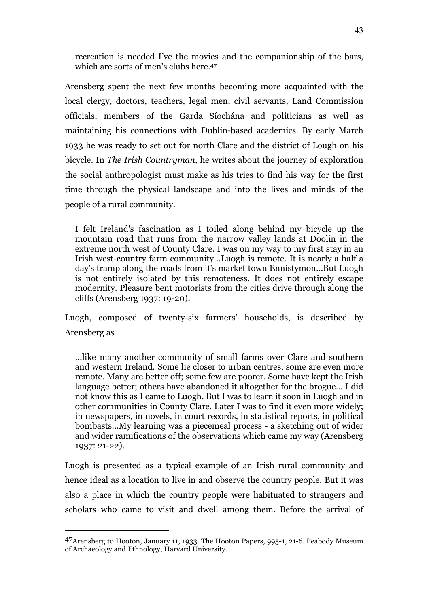recreation is needed I've the movies and the companionship of the bars, which are sorts of men's clubs here.<sup>47</sup>

Arensberg spent the next few months becoming more acquainted with the local clergy, doctors, teachers, legal men, civil servants, Land Commission officials, members of the Garda Síochána and politicians as well as maintaining his connections with Dublin-based academics. By early March 1933 he was ready to set out for north Clare and the district of Lough on his bicycle. In *The Irish Countryman,* he writes about the journey of exploration the social anthropologist must make as his tries to find his way for the first time through the physical landscape and into the lives and minds of the people of a rural community.

I felt Ireland's fascination as I toiled along behind my bicycle up the mountain road that runs from the narrow valley lands at Doolin in the extreme north west of County Clare. I was on my way to my first stay in an Irish west-country farm community...Luogh is remote. It is nearly a half a day's tramp along the roads from it's market town Ennistymon...But Luogh is not entirely isolated by this remoteness. It does not entirely escape modernity. Pleasure bent motorists from the cities drive through along the cliffs (Arensberg 1937: 19-20).

Luogh, composed of twenty-six farmers' households, is described by Arensberg as

...like many another community of small farms over Clare and southern and western Ireland. Some lie closer to urban centres, some are even more remote. Many are better off; some few are poorer. Some have kept the Irish language better; others have abandoned it altogether for the brogue... I did not know this as I came to Luogh. But I was to learn it soon in Luogh and in other communities in County Clare. Later I was to find it even more widely; in newspapers, in novels, in court records, in statistical reports, in political bombasts...My learning was a piecemeal process - a sketching out of wider and wider ramifications of the observations which came my way (Arensberg 1937: 21-22).

Luogh is presented as a typical example of an Irish rural community and hence ideal as a location to live in and observe the country people. But it was also a place in which the country people were habituated to strangers and scholars who came to visit and dwell among them. Before the arrival of

<sup>47</sup>Arensberg to Hooton, January 11, 1933. The Hooton Papers, 995-1, 21-6. Peabody Museum of Archaeology and Ethnology, Harvard University.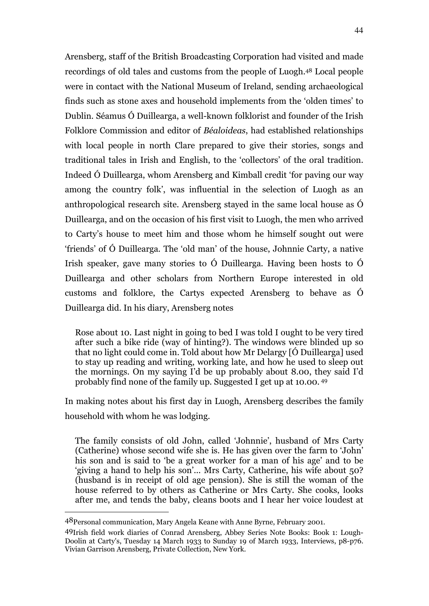Arensberg, staff of the British Broadcasting Corporation had visited and made recordings of old tales and customs from the people of Luogh.<sup>48</sup> Local people were in contact with the National Museum of Ireland, sending archaeological finds such as stone axes and household implements from the 'olden times' to Dublin. Séamus Ó Duillearga, a well-known folklorist and founder of the Irish Folklore Commission and editor of *Béaloideas*, had established relationships with local people in north Clare prepared to give their stories, songs and traditional tales in Irish and English, to the 'collectors' of the oral tradition. Indeed Ó Duillearga, whom Arensberg and Kimball credit 'for paving our way among the country folk', was influential in the selection of Luogh as an anthropological research site. Arensberg stayed in the same local house as Ó Duillearga, and on the occasion of his first visit to Luogh, the men who arrived to Carty's house to meet him and those whom he himself sought out were 'friends' of Ó Duillearga. The 'old man' of the house, Johnnie Carty, a native Irish speaker, gave many stories to Ó Duillearga. Having been hosts to Ó Duillearga and other scholars from Northern Europe interested in old customs and folklore, the Cartys expected Arensberg to behave as Ó Duillearga did. In his diary, Arensberg notes

Rose about 10. Last night in going to bed I was told I ought to be very tired after such a bike ride (way of hinting?). The windows were blinded up so that no light could come in. Told about how Mr Delargy [Ó Duillearga] used to stay up reading and writing, working late, and how he used to sleep out the mornings. On my saying I'd be up probably about 8.00, they said I'd probably find none of the family up. Suggested I get up at 10.00. <sup>49</sup>

In making notes about his first day in Luogh, Arensberg describes the family household with whom he was lodging.

The family consists of old John, called 'Johnnie', husband of Mrs Carty (Catherine) whose second wife she is. He has given over the farm to 'John' his son and is said to 'be a great worker for a man of his age' and to be 'giving a hand to help his son'... Mrs Carty, Catherine, his wife about 50? (husband is in receipt of old age pension). She is still the woman of the house referred to by others as Catherine or Mrs Carty. She cooks, looks after me, and tends the baby, cleans boots and I hear her voice loudest at

<sup>48</sup>Personal communication, Mary Angela Keane with Anne Byrne, February 2001.

<sup>49</sup>Irish field work diaries of Conrad Arensberg, Abbey Series Note Books: Book 1: Lough-Doolin at Carty's, Tuesday 14 March 1933 to Sunday 19 of March 1933, Interviews, p8-p76. Vivian Garrison Arensberg, Private Collection, New York.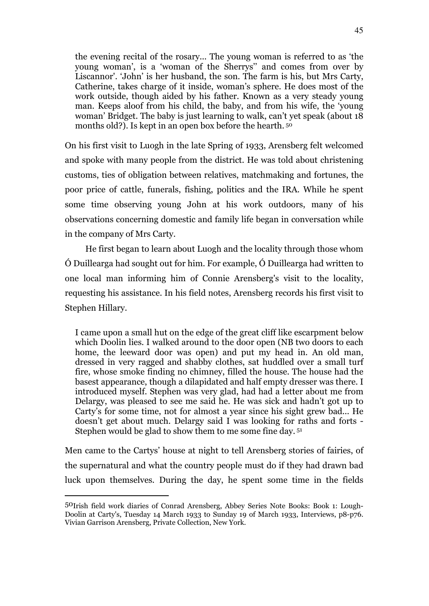the evening recital of the rosary... The young woman is referred to as 'the young woman', is a 'woman of the Sherrys'' and comes from over by Liscannor'. 'John' is her husband, the son. The farm is his, but Mrs Carty, Catherine, takes charge of it inside, woman's sphere. He does most of the work outside, though aided by his father. Known as a very steady young man. Keeps aloof from his child, the baby, and from his wife, the 'young woman' Bridget. The baby is just learning to walk, can't yet speak (about 18 months old?). Is kept in an open box before the hearth. <sup>50</sup>

On his first visit to Luogh in the late Spring of 1933, Arensberg felt welcomed and spoke with many people from the district. He was told about christening customs, ties of obligation between relatives, matchmaking and fortunes, the poor price of cattle, funerals, fishing, politics and the IRA. While he spent some time observing young John at his work outdoors, many of his observations concerning domestic and family life began in conversation while in the company of Mrs Carty.

He first began to learn about Luogh and the locality through those whom Ó Duillearga had sought out for him. For example, Ó Duillearga had written to one local man informing him of Connie Arensberg's visit to the locality, requesting his assistance. In his field notes, Arensberg records his first visit to Stephen Hillary.

I came upon a small hut on the edge of the great cliff like escarpment below which Doolin lies. I walked around to the door open (NB two doors to each home, the leeward door was open) and put my head in. An old man, dressed in very ragged and shabby clothes, sat huddled over a small turf fire, whose smoke finding no chimney, filled the house. The house had the basest appearance, though a dilapidated and half empty dresser was there. I introduced myself. Stephen was very glad, had had a letter about me from Delargy, was pleased to see me said he. He was sick and hadn't got up to Carty's for some time, not for almost a year since his sight grew bad... He doesn't get about much. Delargy said I was looking for raths and forts - Stephen would be glad to show them to me some fine day. <sup>51</sup>

Men came to the Cartys' house at night to tell Arensberg stories of fairies, of the supernatural and what the country people must do if they had drawn bad luck upon themselves. During the day, he spent some time in the fields

<sup>50</sup>Irish field work diaries of Conrad Arensberg, Abbey Series Note Books: Book 1: Lough-Doolin at Carty's, Tuesday 14 March 1933 to Sunday 19 of March 1933, Interviews, p8-p76. Vivian Garrison Arensberg, Private Collection, New York.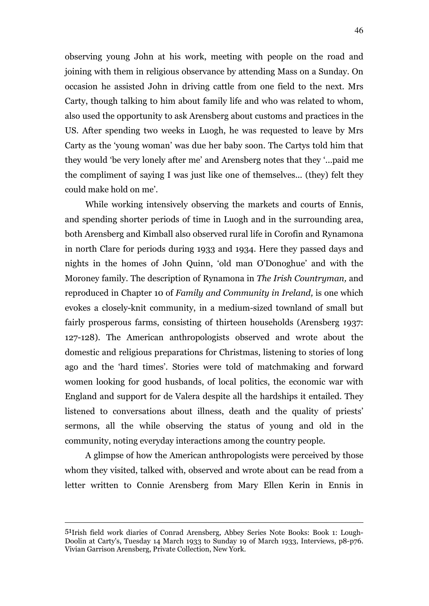observing young John at his work, meeting with people on the road and joining with them in religious observance by attending Mass on a Sunday. On occasion he assisted John in driving cattle from one field to the next. Mrs Carty, though talking to him about family life and who was related to whom, also used the opportunity to ask Arensberg about customs and practices in the US. After spending two weeks in Luogh, he was requested to leave by Mrs Carty as the 'young woman' was due her baby soon. The Cartys told him that they would 'be very lonely after me' and Arensberg notes that they '...paid me the compliment of saying I was just like one of themselves... (they) felt they could make hold on me'.

While working intensively observing the markets and courts of Ennis, and spending shorter periods of time in Luogh and in the surrounding area, both Arensberg and Kimball also observed rural life in Corofin and Rynamona in north Clare for periods during 1933 and 1934. Here they passed days and nights in the homes of John Quinn, 'old man O'Donoghue' and with the Moroney family. The description of Rynamona in *The Irish Countryman,* and reproduced in Chapter 10 of *Family and Community in Ireland,* is one which evokes a closely-knit community, in a medium-sized townland of small but fairly prosperous farms, consisting of thirteen households (Arensberg 1937: 127-128). The American anthropologists observed and wrote about the domestic and religious preparations for Christmas, listening to stories of long ago and the 'hard times'. Stories were told of matchmaking and forward women looking for good husbands, of local politics, the economic war with England and support for de Valera despite all the hardships it entailed. They listened to conversations about illness, death and the quality of priests' sermons, all the while observing the status of young and old in the community, noting everyday interactions among the country people.

A glimpse of how the American anthropologists were perceived by those whom they visited, talked with, observed and wrote about can be read from a letter written to Connie Arensberg from Mary Ellen Kerin in Ennis in

<sup>51</sup>Irish field work diaries of Conrad Arensberg, Abbey Series Note Books: Book 1: Lough-Doolin at Carty's, Tuesday 14 March 1933 to Sunday 19 of March 1933, Interviews, p8-p76. Vivian Garrison Arensberg, Private Collection, New York.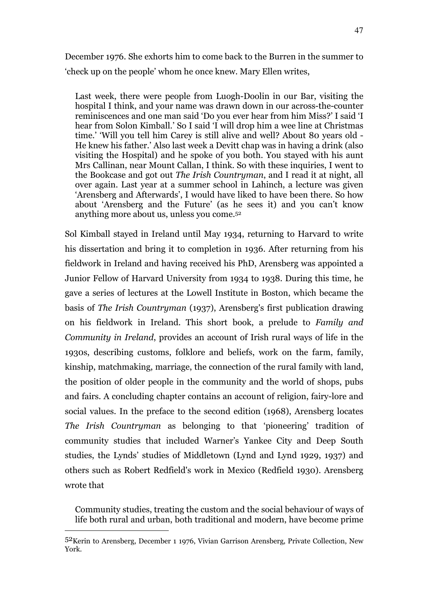December 1976. She exhorts him to come back to the Burren in the summer to 'check up on the people' whom he once knew. Mary Ellen writes,

Last week, there were people from Luogh-Doolin in our Bar, visiting the hospital I think, and your name was drawn down in our across-the-counter reminiscences and one man said 'Do you ever hear from him Miss?' I said 'I hear from Solon Kimball.' So I said 'I will drop him a wee line at Christmas time.' 'Will you tell him Carey is still alive and well? About 80 years old - He knew his father.' Also last week a Devitt chap was in having a drink (also visiting the Hospital) and he spoke of you both. You stayed with his aunt Mrs Callinan, near Mount Callan, I think. So with these inquiries, I went to the Bookcase and got out *The Irish Countryman*, and I read it at night, all over again. Last year at a summer school in Lahinch, a lecture was given 'Arensberg and Afterwards', I would have liked to have been there. So how about 'Arensberg and the Future' (as he sees it) and you can't know anything more about us, unless you come.<sup>52</sup>

Sol Kimball stayed in Ireland until May 1934, returning to Harvard to write his dissertation and bring it to completion in 1936. After returning from his fieldwork in Ireland and having received his PhD, Arensberg was appointed a Junior Fellow of Harvard University from 1934 to 1938. During this time, he gave a series of lectures at the Lowell Institute in Boston, which became the basis of *The Irish Countryman* (1937), Arensberg's first publication drawing on his fieldwork in Ireland. This short book, a prelude to *Family and Community in Ireland*, provides an account of Irish rural ways of life in the 1930s, describing customs, folklore and beliefs, work on the farm, family, kinship, matchmaking, marriage, the connection of the rural family with land, the position of older people in the community and the world of shops, pubs and fairs. A concluding chapter contains an account of religion, fairy-lore and social values. In the preface to the second edition (1968), Arensberg locates *The Irish Countryman* as belonging to that 'pioneering' tradition of community studies that included Warner's Yankee City and Deep South studies, the Lynds' studies of Middletown (Lynd and Lynd 1929, 1937) and others such as Robert Redfield's work in Mexico (Redfield 1930). Arensberg wrote that

Community studies, treating the custom and the social behaviour of ways of life both rural and urban, both traditional and modern, have become prime

<sup>52</sup>Kerin to Arensberg, December 1 1976, Vivian Garrison Arensberg, Private Collection, New York.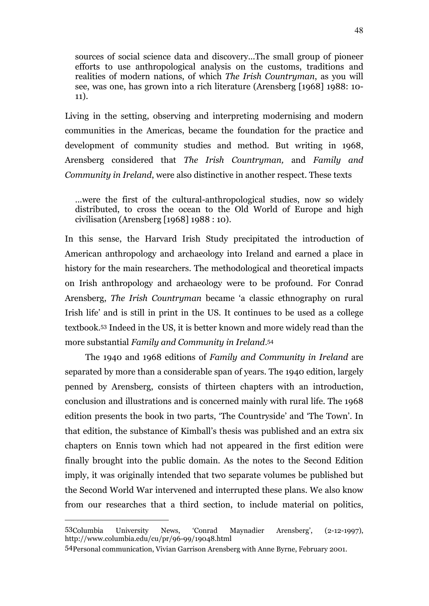sources of social science data and discovery...The small group of pioneer efforts to use anthropological analysis on the customs, traditions and realities of modern nations, of which *The Irish Countryman*, as you will see, was one, has grown into a rich literature (Arensberg [1968] 1988: 10- 11).

Living in the setting, observing and interpreting modernising and modern communities in the Americas, became the foundation for the practice and development of community studies and method. But writing in 1968, Arensberg considered that *The Irish Countryman,* and *Family and Community in Ireland*, were also distinctive in another respect. These texts

…were the first of the cultural-anthropological studies, now so widely distributed, to cross the ocean to the Old World of Europe and high civilisation (Arensberg [1968] 1988 : 10).

In this sense, the Harvard Irish Study precipitated the introduction of American anthropology and archaeology into Ireland and earned a place in history for the main researchers. The methodological and theoretical impacts on Irish anthropology and archaeology were to be profound. For Conrad Arensberg, *The Irish Countryman* became 'a classic ethnography on rural Irish life' and is still in print in the US. It continues to be used as a college textbook.<sup>53</sup> Indeed in the US, it is better known and more widely read than the more substantial *Family and Community in Ireland*. 54

The 1940 and 1968 editions of *Family and Community in Ireland* are separated by more than a considerable span of years. The 1940 edition, largely penned by Arensberg, consists of thirteen chapters with an introduction, conclusion and illustrations and is concerned mainly with rural life. The 1968 edition presents the book in two parts, 'The Countryside' and 'The Town'. In that edition, the substance of Kimball's thesis was published and an extra six chapters on Ennis town which had not appeared in the first edition were finally brought into the public domain. As the notes to the Second Edition imply, it was originally intended that two separate volumes be published but the Second World War intervened and interrupted these plans. We also know from our researches that a third section, to include material on politics,

<sup>53</sup>Columbia University News, 'Conrad Maynadier Arensberg', (2-12-1997), http://www.columbia.edu/cu/pr/96-99/19048.html

<sup>54</sup>Personal communication, Vivian Garrison Arensberg with Anne Byrne, February 2001.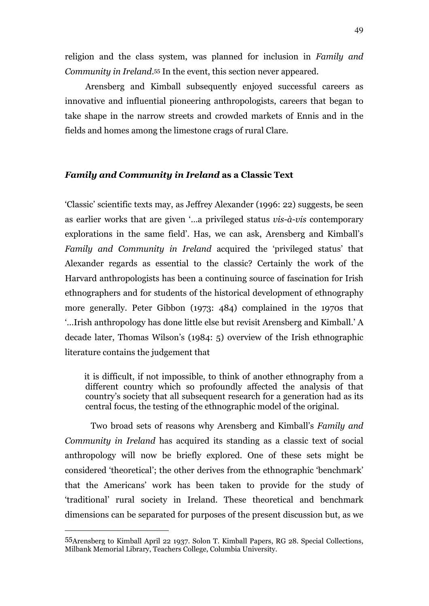religion and the class system, was planned for inclusion in *Family and Community in Ireland*. <sup>55</sup> In the event, this section never appeared.

Arensberg and Kimball subsequently enjoyed successful careers as innovative and influential pioneering anthropologists, careers that began to take shape in the narrow streets and crowded markets of Ennis and in the fields and homes among the limestone crags of rural Clare.

## *Family and Community in Ireland* **as a Classic Text**

'Classic' scientific texts may, as Jeffrey Alexander (1996: 22) suggests, be seen as earlier works that are given '…a privileged status *vis-à-vis* contemporary explorations in the same field'. Has, we can ask, Arensberg and Kimball's *Family and Community in Ireland* acquired the 'privileged status' that Alexander regards as essential to the classic? Certainly the work of the Harvard anthropologists has been a continuing source of fascination for Irish ethnographers and for students of the historical development of ethnography more generally. Peter Gibbon (1973: 484) complained in the 1970s that '…Irish anthropology has done little else but revisit Arensberg and Kimball.' A decade later, Thomas Wilson's (1984: 5) overview of the Irish ethnographic literature contains the judgement that

it is difficult, if not impossible, to think of another ethnography from a different country which so profoundly affected the analysis of that country's society that all subsequent research for a generation had as its central focus, the testing of the ethnographic model of the original.

Two broad sets of reasons why Arensberg and Kimball's *Family and Community in Ireland* has acquired its standing as a classic text of social anthropology will now be briefly explored. One of these sets might be considered 'theoretical'; the other derives from the ethnographic 'benchmark' that the Americans' work has been taken to provide for the study of 'traditional' rural society in Ireland. These theoretical and benchmark dimensions can be separated for purposes of the present discussion but, as we

<sup>55</sup>Arensberg to Kimball April 22 1937. Solon T. Kimball Papers, RG 28. Special Collections, Milbank Memorial Library, Teachers College, Columbia University.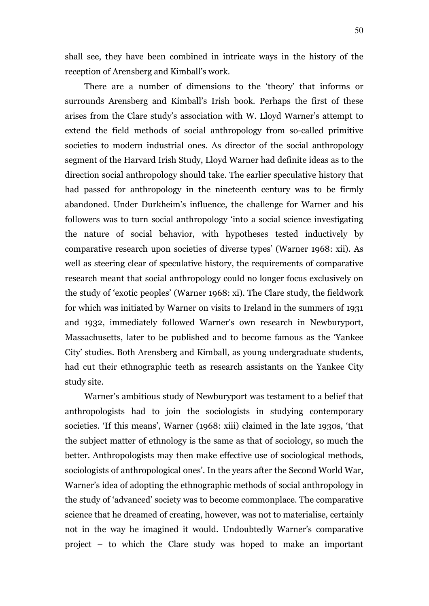shall see, they have been combined in intricate ways in the history of the reception of Arensberg and Kimball's work.

There are a number of dimensions to the 'theory' that informs or surrounds Arensberg and Kimball's Irish book. Perhaps the first of these arises from the Clare study's association with W. Lloyd Warner's attempt to extend the field methods of social anthropology from so-called primitive societies to modern industrial ones. As director of the social anthropology segment of the Harvard Irish Study, Lloyd Warner had definite ideas as to the direction social anthropology should take. The earlier speculative history that had passed for anthropology in the nineteenth century was to be firmly abandoned. Under Durkheim's influence, the challenge for Warner and his followers was to turn social anthropology 'into a social science investigating the nature of social behavior, with hypotheses tested inductively by comparative research upon societies of diverse types' (Warner 1968: xii). As well as steering clear of speculative history, the requirements of comparative research meant that social anthropology could no longer focus exclusively on the study of 'exotic peoples' (Warner 1968: xi). The Clare study, the fieldwork for which was initiated by Warner on visits to Ireland in the summers of 1931 and 1932, immediately followed Warner's own research in Newburyport, Massachusetts, later to be published and to become famous as the 'Yankee City' studies. Both Arensberg and Kimball, as young undergraduate students, had cut their ethnographic teeth as research assistants on the Yankee City study site.

Warner's ambitious study of Newburyport was testament to a belief that anthropologists had to join the sociologists in studying contemporary societies. 'If this means', Warner (1968: xiii) claimed in the late 1930s, 'that the subject matter of ethnology is the same as that of sociology, so much the better. Anthropologists may then make effective use of sociological methods, sociologists of anthropological ones'. In the years after the Second World War, Warner's idea of adopting the ethnographic methods of social anthropology in the study of 'advanced' society was to become commonplace. The comparative science that he dreamed of creating, however, was not to materialise, certainly not in the way he imagined it would. Undoubtedly Warner's comparative project – to which the Clare study was hoped to make an important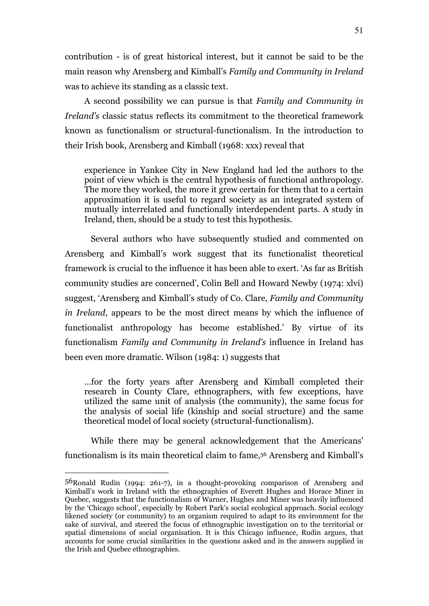contribution - is of great historical interest, but it cannot be said to be the main reason why Arensberg and Kimball's *Family and Community in Ireland* was to achieve its standing as a classic text.

A second possibility we can pursue is that *Family and Community in Ireland's* classic status reflects its commitment to the theoretical framework known as functionalism or structural-functionalism. In the introduction to their Irish book, Arensberg and Kimball (1968: xxx) reveal that

experience in Yankee City in New England had led the authors to the point of view which is the central hypothesis of functional anthropology. The more they worked, the more it grew certain for them that to a certain approximation it is useful to regard society as an integrated system of mutually interrelated and functionally interdependent parts. A study in Ireland, then, should be a study to test this hypothesis.

Several authors who have subsequently studied and commented on Arensberg and Kimball's work suggest that its functionalist theoretical framework is crucial to the influence it has been able to exert. 'As far as British community studies are concerned', Colin Bell and Howard Newby (1974: xlvi) suggest, 'Arensberg and Kimball's study of Co. Clare, *Family and Community in Ireland*, appears to be the most direct means by which the influence of functionalist anthropology has become established.' By virtue of its functionalism *Family and Community in Ireland's* influence in Ireland has been even more dramatic. Wilson (1984: 1) suggests that

…for the forty years after Arensberg and Kimball completed their research in County Clare, ethnographers, with few exceptions, have utilized the same unit of analysis (the community), the same focus for the analysis of social life (kinship and social structure) and the same theoretical model of local society (structural-functionalism).

While there may be general acknowledgement that the Americans' functionalism is its main theoretical claim to fame,<sup>56</sup> Arensberg and Kimball's

<sup>56</sup>Ronald Rudin (1994: 261-7), in a thought-provoking comparison of Arensberg and Kimball's work in Ireland with the ethnographies of Everett Hughes and Horace Miner in Quebec, suggests that the functionalism of Warner, Hughes and Miner was heavily influenced by the 'Chicago school', especially by Robert Park's social ecological approach. Social ecology likened society (or community) to an organism required to adapt to its environment for the sake of survival, and steered the focus of ethnographic investigation on to the territorial or spatial dimensions of social organisation. It is this Chicago influence, Rudin argues, that accounts for some crucial similarities in the questions asked and in the answers supplied in the Irish and Quebec ethnographies.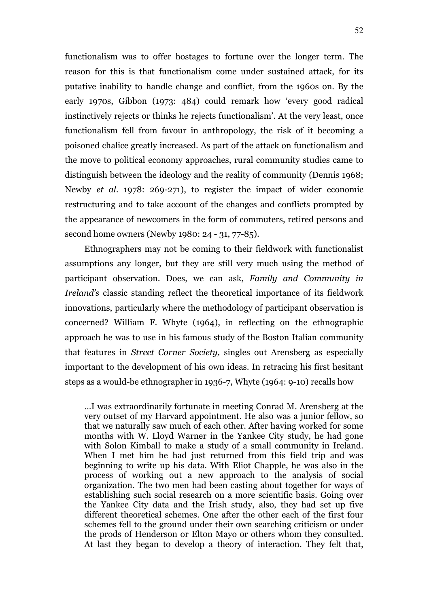functionalism was to offer hostages to fortune over the longer term. The reason for this is that functionalism come under sustained attack, for its putative inability to handle change and conflict, from the 1960s on. By the early 1970s, Gibbon (1973: 484) could remark how 'every good radical instinctively rejects or thinks he rejects functionalism'. At the very least, once functionalism fell from favour in anthropology, the risk of it becoming a poisoned chalice greatly increased. As part of the attack on functionalism and the move to political economy approaches, rural community studies came to distinguish between the ideology and the reality of community (Dennis 1968; Newby *et al.* 1978: 269-271), to register the impact of wider economic restructuring and to take account of the changes and conflicts prompted by the appearance of newcomers in the form of commuters, retired persons and second home owners (Newby 1980: 24 - 31, 77-85).

Ethnographers may not be coming to their fieldwork with functionalist assumptions any longer, but they are still very much using the method of participant observation. Does, we can ask, *Family and Community in Ireland's* classic standing reflect the theoretical importance of its fieldwork innovations, particularly where the methodology of participant observation is concerned? William F. Whyte (1964), in reflecting on the ethnographic approach he was to use in his famous study of the Boston Italian community that features in *Street Corner Society,* singles out Arensberg as especially important to the development of his own ideas. In retracing his first hesitant steps as a would-be ethnographer in 1936-7, Whyte (1964: 9-10) recalls how

…I was extraordinarily fortunate in meeting Conrad M. Arensberg at the very outset of my Harvard appointment. He also was a junior fellow, so that we naturally saw much of each other. After having worked for some months with W. Lloyd Warner in the Yankee City study, he had gone with Solon Kimball to make a study of a small community in Ireland. When I met him he had just returned from this field trip and was beginning to write up his data. With Eliot Chapple, he was also in the process of working out a new approach to the analysis of social organization. The two men had been casting about together for ways of establishing such social research on a more scientific basis. Going over the Yankee City data and the Irish study, also, they had set up five different theoretical schemes. One after the other each of the first four schemes fell to the ground under their own searching criticism or under the prods of Henderson or Elton Mayo or others whom they consulted. At last they began to develop a theory of interaction. They felt that,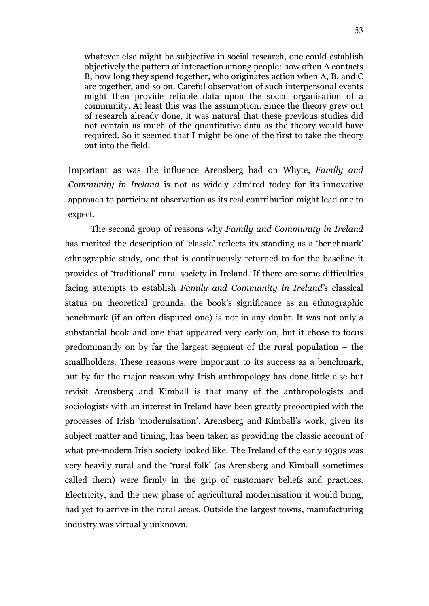whatever else might be subjective in social research, one could establish objectively the pattern of interaction among people: how often A contacts B, how long they spend together, who originates action when A, B, and C are together, and so on. Careful observation of such interpersonal events might then provide reliable data upon the social organisation of a community. At least this was the assumption. Since the theory grew out of research already done, it was natural that these previous studies did not contain as much of the quantitative data as the theory would have required. So it seemed that I might be one of the first to take the theory out into the field.

Important as was the influence Arensberg had on Whyte, *Family and Community in Ireland* is not as widely admired today for its innovative approach to participant observation as its real contribution might lead one to expect.

The second group of reasons why *Family and Community in Ireland* has merited the description of 'classic' reflects its standing as a 'benchmark' ethnographic study, one that is continuously returned to for the baseline it provides of 'traditional' rural society in Ireland. If there are some difficulties facing attempts to establish *Family and Community in Ireland's* classical status on theoretical grounds, the book's significance as an ethnographic benchmark (if an often disputed one) is not in any doubt. It was not only a substantial book and one that appeared very early on, but it chose to focus predominantly on by far the largest segment of the rural population – the smallholders. These reasons were important to its success as a benchmark, but by far the major reason why Irish anthropology has done little else but revisit Arensberg and Kimball is that many of the anthropologists and sociologists with an interest in Ireland have been greatly preoccupied with the processes of Irish 'modernisation'. Arensberg and Kimball's work, given its subject matter and timing, has been taken as providing the classic account of what pre-modern Irish society looked like. The Ireland of the early 1930s was very heavily rural and the 'rural folk' (as Arensberg and Kimball sometimes called them) were firmly in the grip of customary beliefs and practices. Electricity, and the new phase of agricultural modernisation it would bring, had yet to arrive in the rural areas. Outside the largest towns, manufacturing industry was virtually unknown.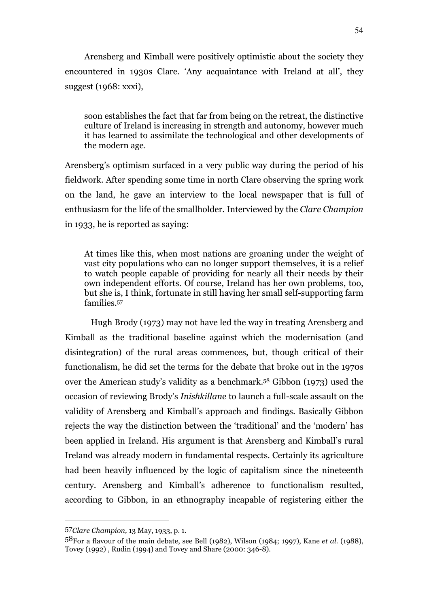Arensberg and Kimball were positively optimistic about the society they encountered in 1930s Clare. 'Any acquaintance with Ireland at all', they suggest (1968: xxxi),

soon establishes the fact that far from being on the retreat, the distinctive culture of Ireland is increasing in strength and autonomy, however much it has learned to assimilate the technological and other developments of the modern age.

Arensberg's optimism surfaced in a very public way during the period of his fieldwork. After spending some time in north Clare observing the spring work on the land, he gave an interview to the local newspaper that is full of enthusiasm for the life of the smallholder. Interviewed by the *Clare Champion* in 1933, he is reported as saying:

At times like this, when most nations are groaning under the weight of vast city populations who can no longer support themselves, it is a relief to watch people capable of providing for nearly all their needs by their own independent efforts. Of course, Ireland has her own problems, too, but she is, I think, fortunate in still having her small self-supporting farm families.<sup>57</sup>

Hugh Brody (1973) may not have led the way in treating Arensberg and Kimball as the traditional baseline against which the modernisation (and disintegration) of the rural areas commences, but, though critical of their functionalism, he did set the terms for the debate that broke out in the 1970s over the American study's validity as a benchmark.<sup>58</sup> Gibbon (1973) used the occasion of reviewing Brody's *Inishkillane* to launch a full-scale assault on the validity of Arensberg and Kimball's approach and findings. Basically Gibbon rejects the way the distinction between the 'traditional' and the 'modern' has been applied in Ireland. His argument is that Arensberg and Kimball's rural Ireland was already modern in fundamental respects. Certainly its agriculture had been heavily influenced by the logic of capitalism since the nineteenth century. Arensberg and Kimball's adherence to functionalism resulted, according to Gibbon, in an ethnography incapable of registering either the

<sup>57</sup>*Clare Champion,* 13 May, 1933, p. 1.

<sup>58</sup>For a flavour of the main debate, see Bell (1982), Wilson (1984; 1997), Kane *et al.* (1988), Tovey (1992) , Rudin (1994) and Tovey and Share (2000: 346-8).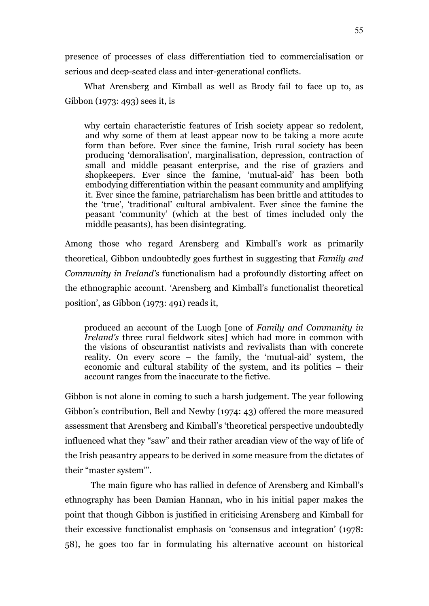presence of processes of class differentiation tied to commercialisation or serious and deep-seated class and inter-generational conflicts.

What Arensberg and Kimball as well as Brody fail to face up to, as Gibbon (1973: 493) sees it, is

why certain characteristic features of Irish society appear so redolent, and why some of them at least appear now to be taking a more acute form than before. Ever since the famine, Irish rural society has been producing 'demoralisation', marginalisation, depression, contraction of small and middle peasant enterprise, and the rise of graziers and shopkeepers. Ever since the famine, 'mutual-aid' has been both embodying differentiation within the peasant community and amplifying it. Ever since the famine, patriarchalism has been brittle and attitudes to the 'true', 'traditional' cultural ambivalent. Ever since the famine the peasant 'community' (which at the best of times included only the middle peasants), has been disintegrating.

Among those who regard Arensberg and Kimball's work as primarily theoretical, Gibbon undoubtedly goes furthest in suggesting that *Family and Community in Ireland's* functionalism had a profoundly distorting affect on the ethnographic account. 'Arensberg and Kimball's functionalist theoretical position', as Gibbon (1973: 491) reads it,

produced an account of the Luogh [one of *Family and Community in Ireland's* three rural fieldwork sites] which had more in common with the visions of obscurantist nativists and revivalists than with concrete reality. On every score – the family, the 'mutual-aid' system, the economic and cultural stability of the system, and its politics – their account ranges from the inaccurate to the fictive.

Gibbon is not alone in coming to such a harsh judgement. The year following Gibbon's contribution, Bell and Newby (1974: 43) offered the more measured assessment that Arensberg and Kimball's 'theoretical perspective undoubtedly influenced what they "saw" and their rather arcadian view of the way of life of the Irish peasantry appears to be derived in some measure from the dictates of their "master system"'.

The main figure who has rallied in defence of Arensberg and Kimball's ethnography has been Damian Hannan, who in his initial paper makes the point that though Gibbon is justified in criticising Arensberg and Kimball for their excessive functionalist emphasis on 'consensus and integration' (1978: 58), he goes too far in formulating his alternative account on historical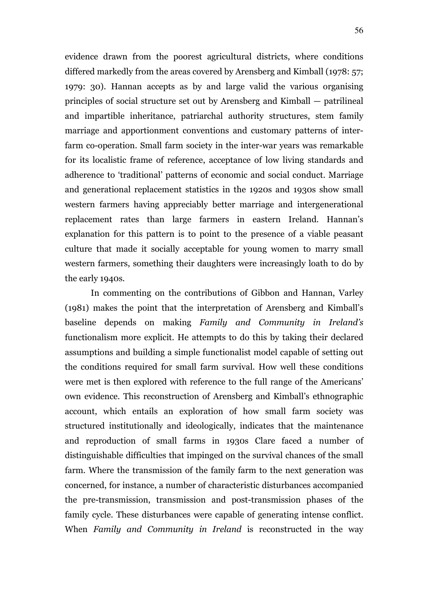evidence drawn from the poorest agricultural districts, where conditions differed markedly from the areas covered by Arensberg and Kimball (1978: 57; 1979: 30). Hannan accepts as by and large valid the various organising principles of social structure set out by Arensberg and Kimball — patrilineal and impartible inheritance, patriarchal authority structures, stem family marriage and apportionment conventions and customary patterns of interfarm co-operation. Small farm society in the inter-war years was remarkable for its localistic frame of reference, acceptance of low living standards and adherence to 'traditional' patterns of economic and social conduct. Marriage and generational replacement statistics in the 1920s and 1930s show small western farmers having appreciably better marriage and intergenerational replacement rates than large farmers in eastern Ireland. Hannan's explanation for this pattern is to point to the presence of a viable peasant culture that made it socially acceptable for young women to marry small western farmers, something their daughters were increasingly loath to do by the early 1940s.

In commenting on the contributions of Gibbon and Hannan, Varley (1981) makes the point that the interpretation of Arensberg and Kimball's baseline depends on making *Family and Community in Ireland's* functionalism more explicit. He attempts to do this by taking their declared assumptions and building a simple functionalist model capable of setting out the conditions required for small farm survival. How well these conditions were met is then explored with reference to the full range of the Americans' own evidence. This reconstruction of Arensberg and Kimball's ethnographic account, which entails an exploration of how small farm society was structured institutionally and ideologically, indicates that the maintenance and reproduction of small farms in 1930s Clare faced a number of distinguishable difficulties that impinged on the survival chances of the small farm. Where the transmission of the family farm to the next generation was concerned, for instance, a number of characteristic disturbances accompanied the pre-transmission, transmission and post-transmission phases of the family cycle. These disturbances were capable of generating intense conflict. When *Family and Community in Ireland* is reconstructed in the way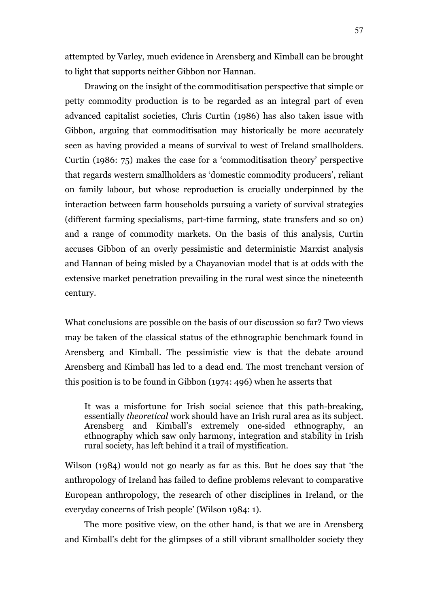attempted by Varley, much evidence in Arensberg and Kimball can be brought to light that supports neither Gibbon nor Hannan.

Drawing on the insight of the commoditisation perspective that simple or petty commodity production is to be regarded as an integral part of even advanced capitalist societies, Chris Curtin (1986) has also taken issue with Gibbon, arguing that commoditisation may historically be more accurately seen as having provided a means of survival to west of Ireland smallholders. Curtin (1986: 75) makes the case for a 'commoditisation theory' perspective that regards western smallholders as 'domestic commodity producers', reliant on family labour, but whose reproduction is crucially underpinned by the interaction between farm households pursuing a variety of survival strategies (different farming specialisms, part-time farming, state transfers and so on) and a range of commodity markets. On the basis of this analysis, Curtin accuses Gibbon of an overly pessimistic and deterministic Marxist analysis and Hannan of being misled by a Chayanovian model that is at odds with the extensive market penetration prevailing in the rural west since the nineteenth century.

What conclusions are possible on the basis of our discussion so far? Two views may be taken of the classical status of the ethnographic benchmark found in Arensberg and Kimball. The pessimistic view is that the debate around Arensberg and Kimball has led to a dead end. The most trenchant version of this position is to be found in Gibbon (1974: 496) when he asserts that

It was a misfortune for Irish social science that this path-breaking, essentially *theoretical* work should have an Irish rural area as its subject. Arensberg and Kimball's extremely one-sided ethnography, an ethnography which saw only harmony, integration and stability in Irish rural society, has left behind it a trail of mystification.

Wilson (1984) would not go nearly as far as this. But he does say that 'the anthropology of Ireland has failed to define problems relevant to comparative European anthropology, the research of other disciplines in Ireland, or the everyday concerns of Irish people' (Wilson 1984: 1).

The more positive view, on the other hand, is that we are in Arensberg and Kimball's debt for the glimpses of a still vibrant smallholder society they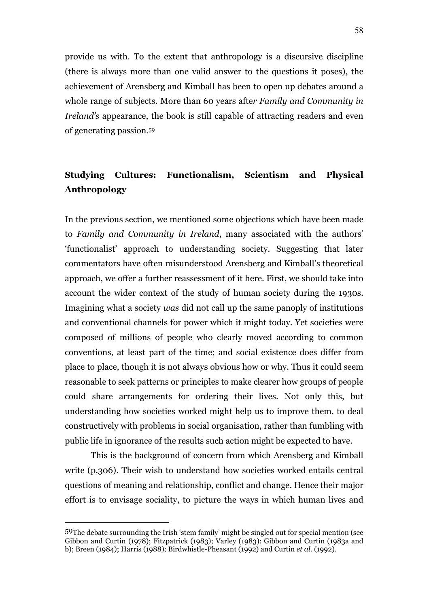provide us with. To the extent that anthropology is a discursive discipline (there is always more than one valid answer to the questions it poses), the achievement of Arensberg and Kimball has been to open up debates around a whole range of subjects. More than 60 years afte*r Family and Community in Ireland's* appearance, the book is still capable of attracting readers and even of generating passion.<sup>59</sup>

## **Studying Cultures: Functionalism, Scientism and Physical Anthropology**

In the previous section, we mentioned some objections which have been made to *Family and Community in Ireland*, many associated with the authors' 'functionalist' approach to understanding society. Suggesting that later commentators have often misunderstood Arensberg and Kimball's theoretical approach, we offer a further reassessment of it here. First, we should take into account the wider context of the study of human society during the 1930s. Imagining what a society *was* did not call up the same panoply of institutions and conventional channels for power which it might today. Yet societies were composed of millions of people who clearly moved according to common conventions, at least part of the time; and social existence does differ from place to place, though it is not always obvious how or why. Thus it could seem reasonable to seek patterns or principles to make clearer how groups of people could share arrangements for ordering their lives. Not only this, but understanding how societies worked might help us to improve them, to deal constructively with problems in social organisation, rather than fumbling with public life in ignorance of the results such action might be expected to have.

This is the background of concern from which Arensberg and Kimball write (p.306). Their wish to understand how societies worked entails central questions of meaning and relationship, conflict and change. Hence their major effort is to envisage sociality, to picture the ways in which human lives and

<sup>59</sup>The debate surrounding the Irish 'stem family' might be singled out for special mention (see Gibbon and Curtin (1978); Fitzpatrick (1983); Varley (1983); Gibbon and Curtin (1983a and b); Breen (1984); Harris (1988); Birdwhistle-Pheasant (1992) and Curtin *et al.* (1992).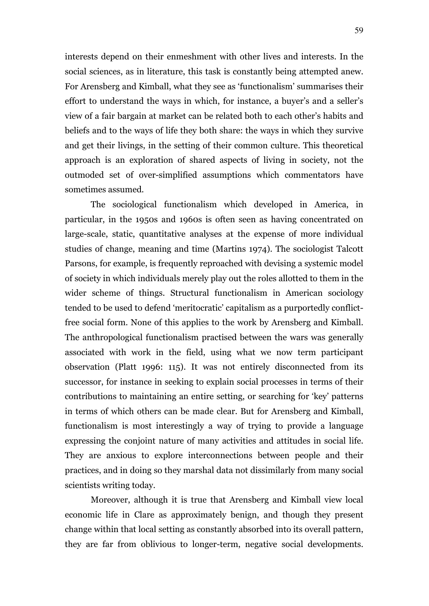interests depend on their enmeshment with other lives and interests. In the social sciences, as in literature, this task is constantly being attempted anew. For Arensberg and Kimball, what they see as 'functionalism' summarises their effort to understand the ways in which, for instance, a buyer's and a seller's view of a fair bargain at market can be related both to each other's habits and beliefs and to the ways of life they both share: the ways in which they survive and get their livings, in the setting of their common culture. This theoretical approach is an exploration of shared aspects of living in society, not the outmoded set of over-simplified assumptions which commentators have sometimes assumed.

The sociological functionalism which developed in America, in particular, in the 1950s and 1960s is often seen as having concentrated on large-scale, static, quantitative analyses at the expense of more individual studies of change, meaning and time (Martins 1974). The sociologist Talcott Parsons, for example, is frequently reproached with devising a systemic model of society in which individuals merely play out the roles allotted to them in the wider scheme of things. Structural functionalism in American sociology tended to be used to defend 'meritocratic' capitalism as a purportedly conflictfree social form. None of this applies to the work by Arensberg and Kimball. The anthropological functionalism practised between the wars was generally associated with work in the field, using what we now term participant observation (Platt 1996: 115). It was not entirely disconnected from its successor, for instance in seeking to explain social processes in terms of their contributions to maintaining an entire setting, or searching for 'key' patterns in terms of which others can be made clear. But for Arensberg and Kimball, functionalism is most interestingly a way of trying to provide a language expressing the conjoint nature of many activities and attitudes in social life. They are anxious to explore interconnections between people and their practices, and in doing so they marshal data not dissimilarly from many social scientists writing today.

Moreover, although it is true that Arensberg and Kimball view local economic life in Clare as approximately benign, and though they present change within that local setting as constantly absorbed into its overall pattern, they are far from oblivious to longer-term, negative social developments.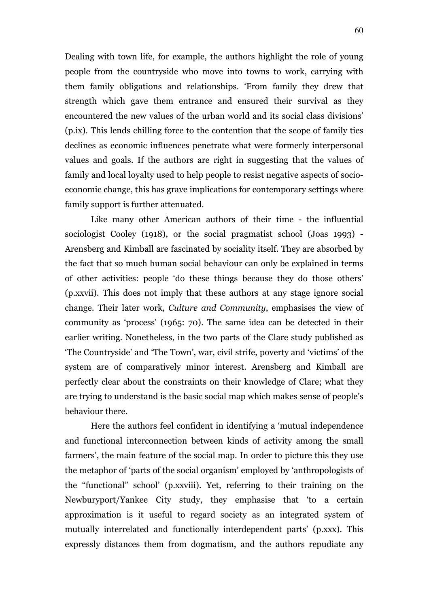Dealing with town life, for example, the authors highlight the role of young people from the countryside who move into towns to work, carrying with them family obligations and relationships. 'From family they drew that strength which gave them entrance and ensured their survival as they encountered the new values of the urban world and its social class divisions' (p.ix). This lends chilling force to the contention that the scope of family ties declines as economic influences penetrate what were formerly interpersonal values and goals. If the authors are right in suggesting that the values of family and local loyalty used to help people to resist negative aspects of socioeconomic change, this has grave implications for contemporary settings where family support is further attenuated.

Like many other American authors of their time - the influential sociologist Cooley (1918), or the social pragmatist school (Joas 1993) - Arensberg and Kimball are fascinated by sociality itself. They are absorbed by the fact that so much human social behaviour can only be explained in terms of other activities: people 'do these things because they do those others' (p.xxvii). This does not imply that these authors at any stage ignore social change. Their later work, *Culture and Community*, emphasises the view of community as 'process' (1965: 70). The same idea can be detected in their earlier writing. Nonetheless, in the two parts of the Clare study published as 'The Countryside' and 'The Town', war, civil strife, poverty and 'victims' of the system are of comparatively minor interest. Arensberg and Kimball are perfectly clear about the constraints on their knowledge of Clare; what they are trying to understand is the basic social map which makes sense of people's behaviour there.

Here the authors feel confident in identifying a 'mutual independence and functional interconnection between kinds of activity among the small farmers', the main feature of the social map. In order to picture this they use the metaphor of 'parts of the social organism' employed by 'anthropologists of the "functional" school' (p.xxviii). Yet, referring to their training on the Newburyport/Yankee City study, they emphasise that 'to a certain approximation is it useful to regard society as an integrated system of mutually interrelated and functionally interdependent parts' (p.xxx). This expressly distances them from dogmatism, and the authors repudiate any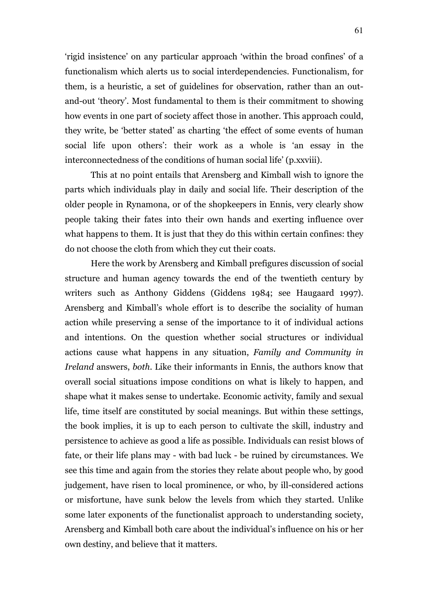'rigid insistence' on any particular approach 'within the broad confines' of a functionalism which alerts us to social interdependencies. Functionalism, for them, is a heuristic, a set of guidelines for observation, rather than an outand-out 'theory'. Most fundamental to them is their commitment to showing how events in one part of society affect those in another. This approach could, they write, be 'better stated' as charting 'the effect of some events of human social life upon others': their work as a whole is 'an essay in the interconnectedness of the conditions of human social life' (p.xxviii).

This at no point entails that Arensberg and Kimball wish to ignore the parts which individuals play in daily and social life. Their description of the older people in Rynamona, or of the shopkeepers in Ennis, very clearly show people taking their fates into their own hands and exerting influence over what happens to them. It is just that they do this within certain confines: they do not choose the cloth from which they cut their coats.

Here the work by Arensberg and Kimball prefigures discussion of social structure and human agency towards the end of the twentieth century by writers such as Anthony Giddens (Giddens 1984; see Haugaard 1997). Arensberg and Kimball's whole effort is to describe the sociality of human action while preserving a sense of the importance to it of individual actions and intentions. On the question whether social structures or individual actions cause what happens in any situation, *Family and Community in Ireland* answers, *both*. Like their informants in Ennis, the authors know that overall social situations impose conditions on what is likely to happen, and shape what it makes sense to undertake. Economic activity, family and sexual life, time itself are constituted by social meanings. But within these settings, the book implies, it is up to each person to cultivate the skill, industry and persistence to achieve as good a life as possible. Individuals can resist blows of fate, or their life plans may - with bad luck - be ruined by circumstances. We see this time and again from the stories they relate about people who, by good judgement, have risen to local prominence, or who, by ill-considered actions or misfortune, have sunk below the levels from which they started. Unlike some later exponents of the functionalist approach to understanding society, Arensberg and Kimball both care about the individual's influence on his or her own destiny, and believe that it matters.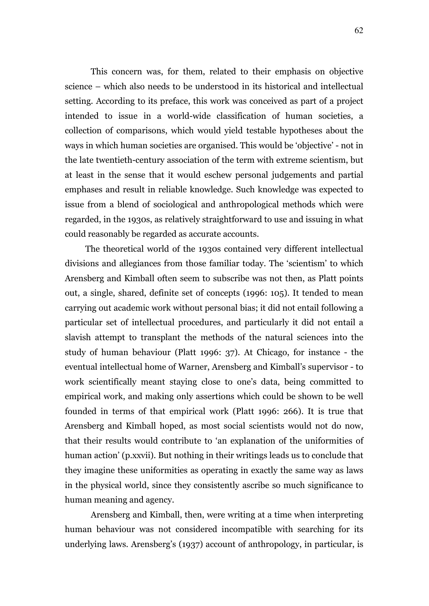This concern was, for them, related to their emphasis on objective science – which also needs to be understood in its historical and intellectual setting. According to its preface, this work was conceived as part of a project intended to issue in a world-wide classification of human societies, a collection of comparisons, which would yield testable hypotheses about the ways in which human societies are organised. This would be 'objective' - not in the late twentieth-century association of the term with extreme scientism, but at least in the sense that it would eschew personal judgements and partial emphases and result in reliable knowledge. Such knowledge was expected to issue from a blend of sociological and anthropological methods which were regarded, in the 1930s, as relatively straightforward to use and issuing in what could reasonably be regarded as accurate accounts.

The theoretical world of the 1930s contained very different intellectual divisions and allegiances from those familiar today. The 'scientism' to which Arensberg and Kimball often seem to subscribe was not then, as Platt points out, a single, shared, definite set of concepts (1996: 105). It tended to mean carrying out academic work without personal bias; it did not entail following a particular set of intellectual procedures, and particularly it did not entail a slavish attempt to transplant the methods of the natural sciences into the study of human behaviour (Platt 1996: 37). At Chicago, for instance - the eventual intellectual home of Warner, Arensberg and Kimball's supervisor - to work scientifically meant staying close to one's data, being committed to empirical work, and making only assertions which could be shown to be well founded in terms of that empirical work (Platt 1996: 266). It is true that Arensberg and Kimball hoped, as most social scientists would not do now, that their results would contribute to 'an explanation of the uniformities of human action' (p.xxvii). But nothing in their writings leads us to conclude that they imagine these uniformities as operating in exactly the same way as laws in the physical world, since they consistently ascribe so much significance to human meaning and agency.

Arensberg and Kimball, then, were writing at a time when interpreting human behaviour was not considered incompatible with searching for its underlying laws. Arensberg's (1937) account of anthropology, in particular, is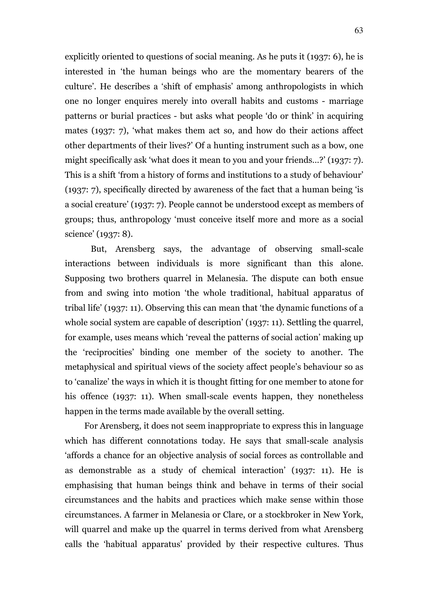explicitly oriented to questions of social meaning. As he puts it (1937: 6), he is interested in 'the human beings who are the momentary bearers of the culture'. He describes a 'shift of emphasis' among anthropologists in which one no longer enquires merely into overall habits and customs - marriage patterns or burial practices - but asks what people 'do or think' in acquiring mates (1937: 7), 'what makes them act so, and how do their actions affect other departments of their lives?' Of a hunting instrument such as a bow, one might specifically ask 'what does it mean to you and your friends…?' (1937: 7). This is a shift 'from a history of forms and institutions to a study of behaviour' (1937: 7), specifically directed by awareness of the fact that a human being 'is a social creature' (1937: 7). People cannot be understood except as members of groups; thus, anthropology 'must conceive itself more and more as a social science' (1937: 8).

But, Arensberg says, the advantage of observing small-scale interactions between individuals is more significant than this alone. Supposing two brothers quarrel in Melanesia. The dispute can both ensue from and swing into motion 'the whole traditional, habitual apparatus of tribal life' (1937: 11). Observing this can mean that 'the dynamic functions of a whole social system are capable of description' (1937: 11). Settling the quarrel, for example, uses means which 'reveal the patterns of social action' making up the 'reciprocities' binding one member of the society to another. The metaphysical and spiritual views of the society affect people's behaviour so as to 'canalize' the ways in which it is thought fitting for one member to atone for his offence (1937: 11). When small-scale events happen, they nonetheless happen in the terms made available by the overall setting.

For Arensberg, it does not seem inappropriate to express this in language which has different connotations today. He says that small-scale analysis 'affords a chance for an objective analysis of social forces as controllable and as demonstrable as a study of chemical interaction' (1937: 11). He is emphasising that human beings think and behave in terms of their social circumstances and the habits and practices which make sense within those circumstances. A farmer in Melanesia or Clare, or a stockbroker in New York, will quarrel and make up the quarrel in terms derived from what Arensberg calls the 'habitual apparatus' provided by their respective cultures. Thus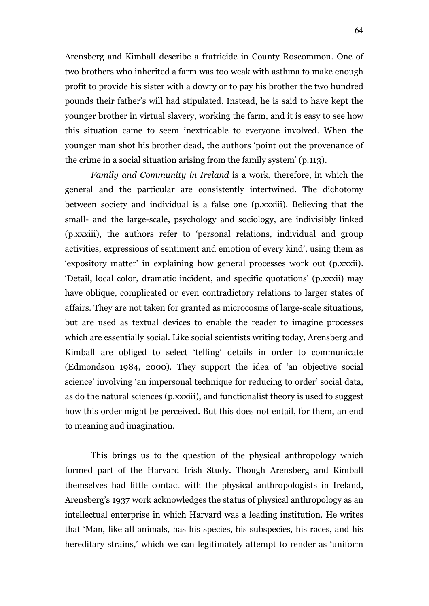Arensberg and Kimball describe a fratricide in County Roscommon. One of two brothers who inherited a farm was too weak with asthma to make enough profit to provide his sister with a dowry or to pay his brother the two hundred pounds their father's will had stipulated. Instead, he is said to have kept the younger brother in virtual slavery, working the farm, and it is easy to see how this situation came to seem inextricable to everyone involved. When the younger man shot his brother dead, the authors 'point out the provenance of the crime in a social situation arising from the family system' (p.113).

*Family and Community in Ireland* is a work, therefore, in which the general and the particular are consistently intertwined. The dichotomy between society and individual is a false one (p.xxxiii). Believing that the small- and the large-scale, psychology and sociology, are indivisibly linked (p.xxxiii), the authors refer to 'personal relations, individual and group activities, expressions of sentiment and emotion of every kind', using them as 'expository matter' in explaining how general processes work out (p.xxxii). 'Detail, local color, dramatic incident, and specific quotations' (p.xxxii) may have oblique, complicated or even contradictory relations to larger states of affairs. They are not taken for granted as microcosms of large-scale situations, but are used as textual devices to enable the reader to imagine processes which are essentially social. Like social scientists writing today, Arensberg and Kimball are obliged to select 'telling' details in order to communicate (Edmondson 1984, 2000). They support the idea of 'an objective social science' involving 'an impersonal technique for reducing to order' social data, as do the natural sciences (p.xxxiii), and functionalist theory is used to suggest how this order might be perceived. But this does not entail, for them, an end to meaning and imagination.

This brings us to the question of the physical anthropology which formed part of the Harvard Irish Study. Though Arensberg and Kimball themselves had little contact with the physical anthropologists in Ireland, Arensberg's 1937 work acknowledges the status of physical anthropology as an intellectual enterprise in which Harvard was a leading institution. He writes that 'Man, like all animals, has his species, his subspecies, his races, and his hereditary strains,' which we can legitimately attempt to render as 'uniform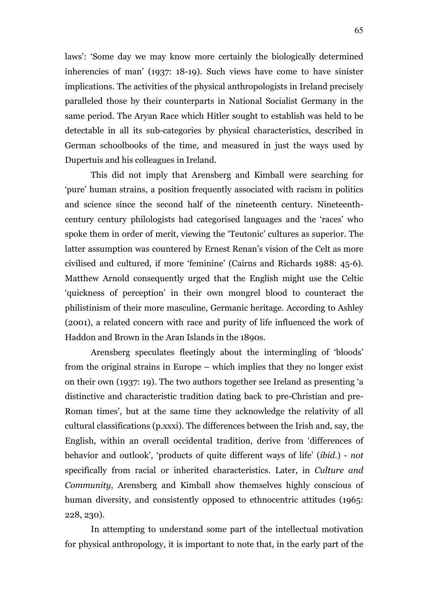laws': 'Some day we may know more certainly the biologically determined inherencies of man' (1937: 18-19). Such views have come to have sinister implications. The activities of the physical anthropologists in Ireland precisely paralleled those by their counterparts in National Socialist Germany in the same period. The Aryan Race which Hitler sought to establish was held to be detectable in all its sub-categories by physical characteristics, described in German schoolbooks of the time, and measured in just the ways used by Dupertuis and his colleagues in Ireland.

This did not imply that Arensberg and Kimball were searching for 'pure' human strains, a position frequently associated with racism in politics and science since the second half of the nineteenth century. Nineteenthcentury century philologists had categorised languages and the 'races' who spoke them in order of merit, viewing the 'Teutonic' cultures as superior. The latter assumption was countered by Ernest Renan's vision of the Celt as more civilised and cultured, if more 'feminine' (Cairns and Richards 1988: 45-6). Matthew Arnold consequently urged that the English might use the Celtic 'quickness of perception' in their own mongrel blood to counteract the philistinism of their more masculine, Germanic heritage. According to Ashley (2001), a related concern with race and purity of life influenced the work of Haddon and Brown in the Aran Islands in the 1890s.

Arensberg speculates fleetingly about the intermingling of 'bloods' from the original strains in Europe – which implies that they no longer exist on their own (1937: 19). The two authors together see Ireland as presenting 'a distinctive and characteristic tradition dating back to pre-Christian and pre-Roman times', but at the same time they acknowledge the relativity of all cultural classifications (p.xxxi). The differences between the Irish and, say, the English, within an overall occidental tradition, derive from 'differences of behavior and outlook', 'products of quite different ways of life' (*ibid*.) - *not* specifically from racial or inherited characteristics. Later, in *Culture and Community*, Arensberg and Kimball show themselves highly conscious of human diversity, and consistently opposed to ethnocentric attitudes (1965: 228, 230).

In attempting to understand some part of the intellectual motivation for physical anthropology, it is important to note that, in the early part of the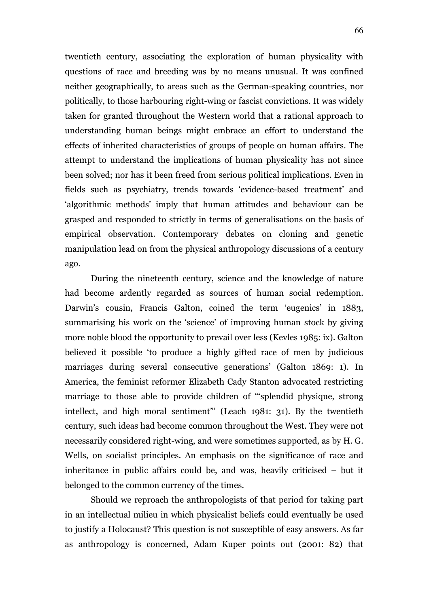twentieth century, associating the exploration of human physicality with questions of race and breeding was by no means unusual. It was confined neither geographically, to areas such as the German-speaking countries, nor politically, to those harbouring right-wing or fascist convictions. It was widely taken for granted throughout the Western world that a rational approach to understanding human beings might embrace an effort to understand the effects of inherited characteristics of groups of people on human affairs. The attempt to understand the implications of human physicality has not since been solved; nor has it been freed from serious political implications. Even in fields such as psychiatry, trends towards 'evidence-based treatment' and 'algorithmic methods' imply that human attitudes and behaviour can be grasped and responded to strictly in terms of generalisations on the basis of empirical observation. Contemporary debates on cloning and genetic manipulation lead on from the physical anthropology discussions of a century ago.

During the nineteenth century, science and the knowledge of nature had become ardently regarded as sources of human social redemption. Darwin's cousin, Francis Galton, coined the term 'eugenics' in 1883, summarising his work on the 'science' of improving human stock by giving more noble blood the opportunity to prevail over less (Kevles 1985: ix). Galton believed it possible 'to produce a highly gifted race of men by judicious marriages during several consecutive generations' (Galton 1869: 1). In America, the feminist reformer Elizabeth Cady Stanton advocated restricting marriage to those able to provide children of '"splendid physique, strong intellect, and high moral sentiment"' (Leach 1981: 31). By the twentieth century, such ideas had become common throughout the West. They were not necessarily considered right-wing, and were sometimes supported, as by H. G. Wells, on socialist principles. An emphasis on the significance of race and inheritance in public affairs could be, and was, heavily criticised – but it belonged to the common currency of the times.

Should we reproach the anthropologists of that period for taking part in an intellectual milieu in which physicalist beliefs could eventually be used to justify a Holocaust? This question is not susceptible of easy answers. As far as anthropology is concerned, Adam Kuper points out (2001: 82) that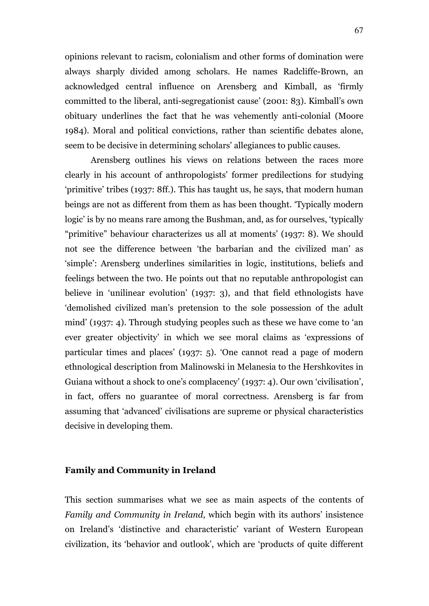opinions relevant to racism, colonialism and other forms of domination were always sharply divided among scholars. He names Radcliffe-Brown, an acknowledged central influence on Arensberg and Kimball, as 'firmly committed to the liberal, anti-segregationist cause' (2001: 83). Kimball's own obituary underlines the fact that he was vehemently anti-colonial (Moore 1984). Moral and political convictions, rather than scientific debates alone, seem to be decisive in determining scholars' allegiances to public causes.

Arensberg outlines his views on relations between the races more clearly in his account of anthropologists' former predilections for studying 'primitive' tribes (1937: 8ff.). This has taught us, he says, that modern human beings are not as different from them as has been thought. 'Typically modern logic' is by no means rare among the Bushman, and, as for ourselves, 'typically "primitive" behaviour characterizes us all at moments' (1937: 8). We should not see the difference between 'the barbarian and the civilized man' as 'simple': Arensberg underlines similarities in logic, institutions, beliefs and feelings between the two. He points out that no reputable anthropologist can believe in 'unilinear evolution' (1937: 3), and that field ethnologists have 'demolished civilized man's pretension to the sole possession of the adult mind' (1937: 4). Through studying peoples such as these we have come to 'an ever greater objectivity' in which we see moral claims as 'expressions of particular times and places' (1937: 5). 'One cannot read a page of modern ethnological description from Malinowski in Melanesia to the Hershkovites in Guiana without a shock to one's complacency' (1937: 4). Our own 'civilisation', in fact, offers no guarantee of moral correctness. Arensberg is far from assuming that 'advanced' civilisations are supreme or physical characteristics decisive in developing them.

## **Family and Community in Ireland**

This section summarises what we see as main aspects of the contents of *Family and Community in Ireland*, which begin with its authors' insistence on Ireland's 'distinctive and characteristic' variant of Western European civilization, its 'behavior and outlook', which are 'products of quite different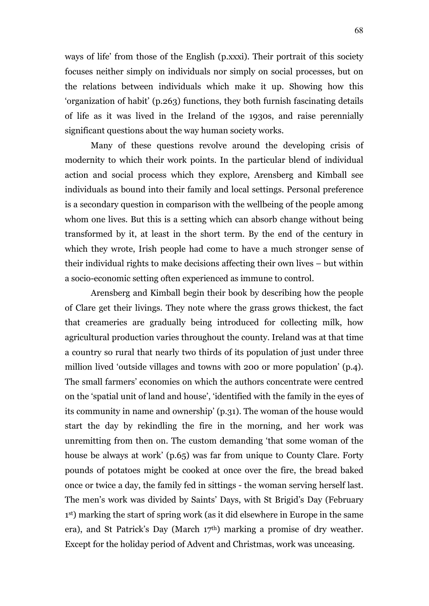ways of life' from those of the English (p.xxxi). Their portrait of this society focuses neither simply on individuals nor simply on social processes, but on the relations between individuals which make it up. Showing how this 'organization of habit' (p.263) functions, they both furnish fascinating details of life as it was lived in the Ireland of the 1930s, and raise perennially significant questions about the way human society works.

Many of these questions revolve around the developing crisis of modernity to which their work points. In the particular blend of individual action and social process which they explore, Arensberg and Kimball see individuals as bound into their family and local settings. Personal preference is a secondary question in comparison with the wellbeing of the people among whom one lives. But this is a setting which can absorb change without being transformed by it, at least in the short term. By the end of the century in which they wrote, Irish people had come to have a much stronger sense of their individual rights to make decisions affecting their own lives – but within a socio-economic setting often experienced as immune to control.

Arensberg and Kimball begin their book by describing how the people of Clare get their livings. They note where the grass grows thickest, the fact that creameries are gradually being introduced for collecting milk, how agricultural production varies throughout the county. Ireland was at that time a country so rural that nearly two thirds of its population of just under three million lived 'outside villages and towns with 200 or more population' (p.4). The small farmers' economies on which the authors concentrate were centred on the 'spatial unit of land and house', 'identified with the family in the eyes of its community in name and ownership' (p.31). The woman of the house would start the day by rekindling the fire in the morning, and her work was unremitting from then on. The custom demanding 'that some woman of the house be always at work' (p.65) was far from unique to County Clare. Forty pounds of potatoes might be cooked at once over the fire, the bread baked once or twice a day, the family fed in sittings - the woman serving herself last. The men's work was divided by Saints' Days, with St Brigid's Day (February 1 st) marking the start of spring work (as it did elsewhere in Europe in the same era), and St Patrick's Day (March 17<sup>th</sup>) marking a promise of dry weather. Except for the holiday period of Advent and Christmas, work was unceasing.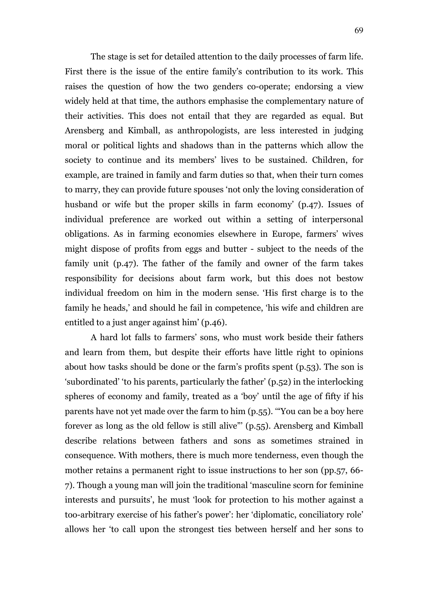The stage is set for detailed attention to the daily processes of farm life. First there is the issue of the entire family's contribution to its work. This raises the question of how the two genders co-operate; endorsing a view widely held at that time, the authors emphasise the complementary nature of their activities. This does not entail that they are regarded as equal. But Arensberg and Kimball, as anthropologists, are less interested in judging moral or political lights and shadows than in the patterns which allow the society to continue and its members' lives to be sustained. Children, for example, are trained in family and farm duties so that, when their turn comes to marry, they can provide future spouses 'not only the loving consideration of husband or wife but the proper skills in farm economy' (p.47). Issues of individual preference are worked out within a setting of interpersonal obligations. As in farming economies elsewhere in Europe, farmers' wives might dispose of profits from eggs and butter - subject to the needs of the family unit (p.47). The father of the family and owner of the farm takes responsibility for decisions about farm work, but this does not bestow individual freedom on him in the modern sense. 'His first charge is to the family he heads,' and should he fail in competence, 'his wife and children are entitled to a just anger against him' (p.46).

A hard lot falls to farmers' sons, who must work beside their fathers and learn from them, but despite their efforts have little right to opinions about how tasks should be done or the farm's profits spent (p.53). The son is 'subordinated' 'to his parents, particularly the father' (p.52) in the interlocking spheres of economy and family, treated as a 'boy' until the age of fifty if his parents have not yet made over the farm to him (p.55). '"You can be a boy here forever as long as the old fellow is still alive"' (p.55). Arensberg and Kimball describe relations between fathers and sons as sometimes strained in consequence. With mothers, there is much more tenderness, even though the mother retains a permanent right to issue instructions to her son (pp.57, 66- 7). Though a young man will join the traditional 'masculine scorn for feminine interests and pursuits', he must 'look for protection to his mother against a too-arbitrary exercise of his father's power': her 'diplomatic, conciliatory role' allows her 'to call upon the strongest ties between herself and her sons to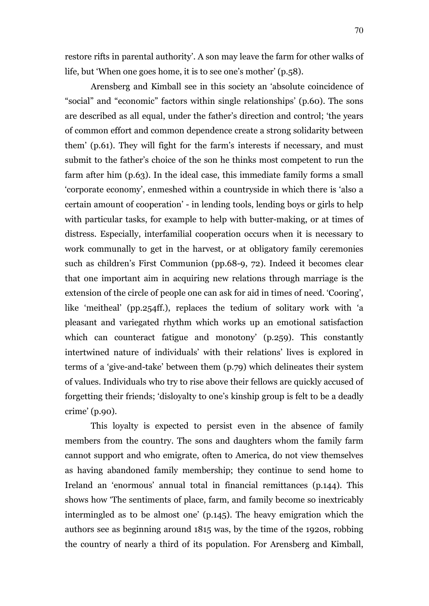restore rifts in parental authority'. A son may leave the farm for other walks of life, but 'When one goes home, it is to see one's mother' (p.58).

Arensberg and Kimball see in this society an 'absolute coincidence of "social" and "economic" factors within single relationships' (p.60). The sons are described as all equal, under the father's direction and control; 'the years of common effort and common dependence create a strong solidarity between them' (p.61). They will fight for the farm's interests if necessary, and must submit to the father's choice of the son he thinks most competent to run the farm after him (p.63). In the ideal case, this immediate family forms a small 'corporate economy', enmeshed within a countryside in which there is 'also a certain amount of cooperation' - in lending tools, lending boys or girls to help with particular tasks, for example to help with butter-making, or at times of distress. Especially, interfamilial cooperation occurs when it is necessary to work communally to get in the harvest, or at obligatory family ceremonies such as children's First Communion (pp.68-9, 72). Indeed it becomes clear that one important aim in acquiring new relations through marriage is the extension of the circle of people one can ask for aid in times of need. 'Cooring', like 'meitheal' (pp.254ff.), replaces the tedium of solitary work with 'a pleasant and variegated rhythm which works up an emotional satisfaction which can counteract fatigue and monotony' (p.259). This constantly intertwined nature of individuals' with their relations' lives is explored in terms of a 'give-and-take' between them (p.79) which delineates their system of values. Individuals who try to rise above their fellows are quickly accused of forgetting their friends; 'disloyalty to one's kinship group is felt to be a deadly crime' (p.90).

This loyalty is expected to persist even in the absence of family members from the country. The sons and daughters whom the family farm cannot support and who emigrate, often to America, do not view themselves as having abandoned family membership; they continue to send home to Ireland an 'enormous' annual total in financial remittances (p.144). This shows how 'The sentiments of place, farm, and family become so inextricably intermingled as to be almost one' (p.145). The heavy emigration which the authors see as beginning around 1815 was, by the time of the 1920s, robbing the country of nearly a third of its population. For Arensberg and Kimball,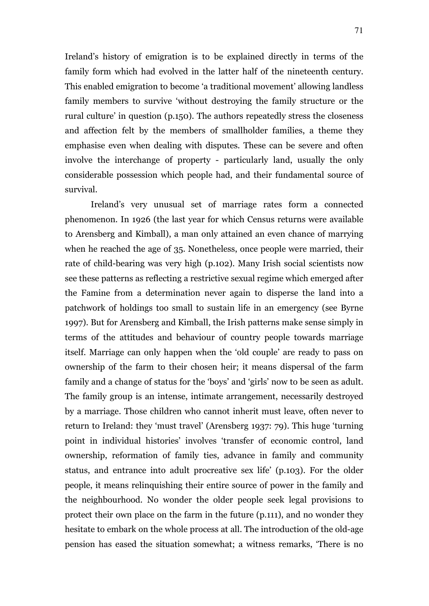Ireland's history of emigration is to be explained directly in terms of the family form which had evolved in the latter half of the nineteenth century. This enabled emigration to become 'a traditional movement' allowing landless family members to survive 'without destroying the family structure or the rural culture' in question (p.150). The authors repeatedly stress the closeness and affection felt by the members of smallholder families, a theme they emphasise even when dealing with disputes. These can be severe and often involve the interchange of property - particularly land, usually the only considerable possession which people had, and their fundamental source of survival.

Ireland's very unusual set of marriage rates form a connected phenomenon. In 1926 (the last year for which Census returns were available to Arensberg and Kimball), a man only attained an even chance of marrying when he reached the age of 35. Nonetheless, once people were married, their rate of child-bearing was very high (p.102). Many Irish social scientists now see these patterns as reflecting a restrictive sexual regime which emerged after the Famine from a determination never again to disperse the land into a patchwork of holdings too small to sustain life in an emergency (see Byrne 1997). But for Arensberg and Kimball, the Irish patterns make sense simply in terms of the attitudes and behaviour of country people towards marriage itself. Marriage can only happen when the 'old couple' are ready to pass on ownership of the farm to their chosen heir; it means dispersal of the farm family and a change of status for the 'boys' and 'girls' now to be seen as adult. The family group is an intense, intimate arrangement, necessarily destroyed by a marriage. Those children who cannot inherit must leave, often never to return to Ireland: they 'must travel' (Arensberg 1937: 79). This huge 'turning point in individual histories' involves 'transfer of economic control, land ownership, reformation of family ties, advance in family and community status, and entrance into adult procreative sex life' (p.103). For the older people, it means relinquishing their entire source of power in the family and the neighbourhood. No wonder the older people seek legal provisions to protect their own place on the farm in the future (p.111), and no wonder they hesitate to embark on the whole process at all. The introduction of the old-age pension has eased the situation somewhat; a witness remarks, 'There is no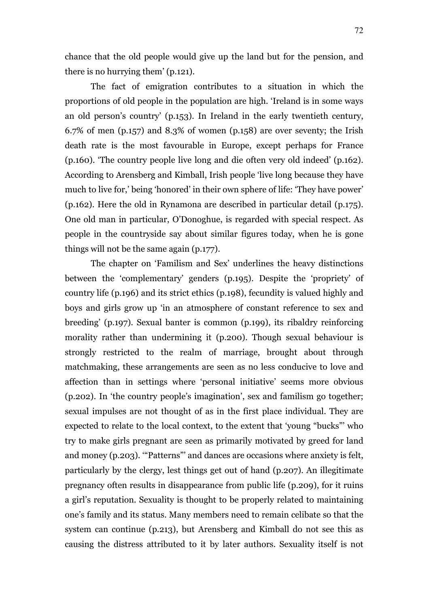chance that the old people would give up the land but for the pension, and there is no hurrying them' (p.121).

The fact of emigration contributes to a situation in which the proportions of old people in the population are high. 'Ireland is in some ways an old person's country' (p.153). In Ireland in the early twentieth century, 6.7% of men (p.157) and 8.3% of women (p.158) are over seventy; the Irish death rate is the most favourable in Europe, except perhaps for France (p.160). 'The country people live long and die often very old indeed' (p.162). According to Arensberg and Kimball, Irish people 'live long because they have much to live for,' being 'honored' in their own sphere of life: 'They have power' (p.162). Here the old in Rynamona are described in particular detail (p.175). One old man in particular, O'Donoghue, is regarded with special respect. As people in the countryside say about similar figures today, when he is gone things will not be the same again (p.177).

The chapter on 'Familism and Sex' underlines the heavy distinctions between the 'complementary' genders (p.195). Despite the 'propriety' of country life (p.196) and its strict ethics (p.198), fecundity is valued highly and boys and girls grow up 'in an atmosphere of constant reference to sex and breeding' (p.197). Sexual banter is common (p.199), its ribaldry reinforcing morality rather than undermining it (p.200). Though sexual behaviour is strongly restricted to the realm of marriage, brought about through matchmaking, these arrangements are seen as no less conducive to love and affection than in settings where 'personal initiative' seems more obvious (p.202). In 'the country people's imagination', sex and familism go together; sexual impulses are not thought of as in the first place individual. They are expected to relate to the local context, to the extent that 'young "bucks"' who try to make girls pregnant are seen as primarily motivated by greed for land and money (p.203). '"Patterns"' and dances are occasions where anxiety is felt, particularly by the clergy, lest things get out of hand (p.207). An illegitimate pregnancy often results in disappearance from public life (p.209), for it ruins a girl's reputation. Sexuality is thought to be properly related to maintaining one's family and its status. Many members need to remain celibate so that the system can continue (p.213), but Arensberg and Kimball do not see this as causing the distress attributed to it by later authors. Sexuality itself is not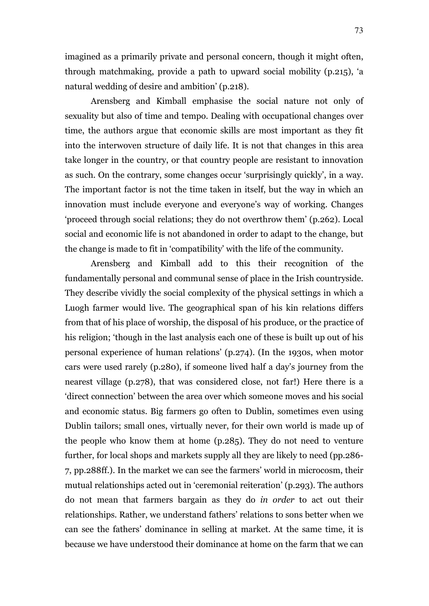imagined as a primarily private and personal concern, though it might often, through matchmaking, provide a path to upward social mobility (p.215), 'a natural wedding of desire and ambition' (p.218).

Arensberg and Kimball emphasise the social nature not only of sexuality but also of time and tempo. Dealing with occupational changes over time, the authors argue that economic skills are most important as they fit into the interwoven structure of daily life. It is not that changes in this area take longer in the country, or that country people are resistant to innovation as such. On the contrary, some changes occur 'surprisingly quickly', in a way. The important factor is not the time taken in itself, but the way in which an innovation must include everyone and everyone's way of working. Changes 'proceed through social relations; they do not overthrow them' (p.262). Local social and economic life is not abandoned in order to adapt to the change, but the change is made to fit in 'compatibility' with the life of the community.

Arensberg and Kimball add to this their recognition of the fundamentally personal and communal sense of place in the Irish countryside. They describe vividly the social complexity of the physical settings in which a Luogh farmer would live. The geographical span of his kin relations differs from that of his place of worship, the disposal of his produce, or the practice of his religion; 'though in the last analysis each one of these is built up out of his personal experience of human relations' (p.274). (In the 1930s, when motor cars were used rarely (p.280), if someone lived half a day's journey from the nearest village (p.278), that was considered close, not far!) Here there is a 'direct connection' between the area over which someone moves and his social and economic status. Big farmers go often to Dublin, sometimes even using Dublin tailors; small ones, virtually never, for their own world is made up of the people who know them at home (p.285). They do not need to venture further, for local shops and markets supply all they are likely to need (pp.286- 7, pp.288ff.). In the market we can see the farmers' world in microcosm, their mutual relationships acted out in 'ceremonial reiteration' (p.293). The authors do not mean that farmers bargain as they do *in order* to act out their relationships. Rather, we understand fathers' relations to sons better when we can see the fathers' dominance in selling at market. At the same time, it is because we have understood their dominance at home on the farm that we can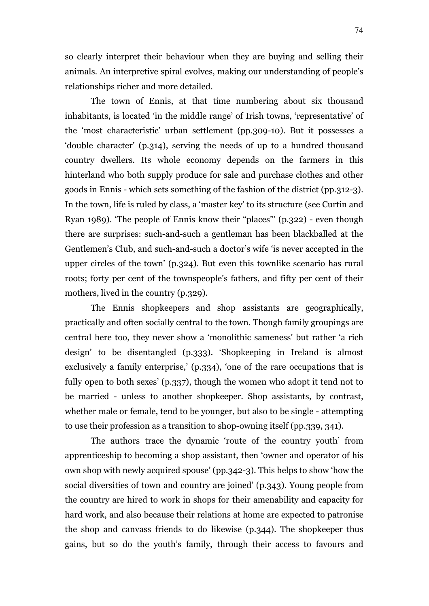so clearly interpret their behaviour when they are buying and selling their animals. An interpretive spiral evolves, making our understanding of people's relationships richer and more detailed.

The town of Ennis, at that time numbering about six thousand inhabitants, is located 'in the middle range' of Irish towns, 'representative' of the 'most characteristic' urban settlement (pp.309-10). But it possesses a 'double character' (p.314), serving the needs of up to a hundred thousand country dwellers. Its whole economy depends on the farmers in this hinterland who both supply produce for sale and purchase clothes and other goods in Ennis - which sets something of the fashion of the district (pp.312-3). In the town, life is ruled by class, a 'master key' to its structure (see Curtin and Ryan 1989). 'The people of Ennis know their "places"' (p.322) - even though there are surprises: such-and-such a gentleman has been blackballed at the Gentlemen's Club, and such-and-such a doctor's wife 'is never accepted in the upper circles of the town' (p.324). But even this townlike scenario has rural roots; forty per cent of the townspeople's fathers, and fifty per cent of their mothers, lived in the country (p.329).

The Ennis shopkeepers and shop assistants are geographically, practically and often socially central to the town. Though family groupings are central here too, they never show a 'monolithic sameness' but rather 'a rich design' to be disentangled (p.333). 'Shopkeeping in Ireland is almost exclusively a family enterprise,' (p.334), 'one of the rare occupations that is fully open to both sexes' (p.337), though the women who adopt it tend not to be married - unless to another shopkeeper. Shop assistants, by contrast, whether male or female, tend to be younger, but also to be single - attempting to use their profession as a transition to shop-owning itself (pp.339, 341).

The authors trace the dynamic 'route of the country youth' from apprenticeship to becoming a shop assistant, then 'owner and operator of his own shop with newly acquired spouse' (pp.342-3). This helps to show 'how the social diversities of town and country are joined' (p.343). Young people from the country are hired to work in shops for their amenability and capacity for hard work, and also because their relations at home are expected to patronise the shop and canvass friends to do likewise (p.344). The shopkeeper thus gains, but so do the youth's family, through their access to favours and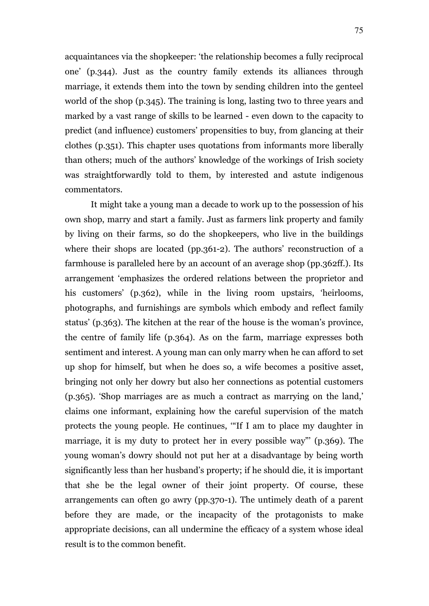acquaintances via the shopkeeper: 'the relationship becomes a fully reciprocal one' (p.344). Just as the country family extends its alliances through marriage, it extends them into the town by sending children into the genteel world of the shop (p.345). The training is long, lasting two to three years and marked by a vast range of skills to be learned - even down to the capacity to predict (and influence) customers' propensities to buy, from glancing at their clothes (p.351). This chapter uses quotations from informants more liberally than others; much of the authors' knowledge of the workings of Irish society was straightforwardly told to them, by interested and astute indigenous commentators.

It might take a young man a decade to work up to the possession of his own shop, marry and start a family. Just as farmers link property and family by living on their farms, so do the shopkeepers, who live in the buildings where their shops are located (pp.361-2). The authors' reconstruction of a farmhouse is paralleled here by an account of an average shop (pp.362ff.). Its arrangement 'emphasizes the ordered relations between the proprietor and his customers' (p.362), while in the living room upstairs, 'heirlooms, photographs, and furnishings are symbols which embody and reflect family status' (p.363). The kitchen at the rear of the house is the woman's province, the centre of family life (p.364). As on the farm, marriage expresses both sentiment and interest. A young man can only marry when he can afford to set up shop for himself, but when he does so, a wife becomes a positive asset, bringing not only her dowry but also her connections as potential customers (p.365). 'Shop marriages are as much a contract as marrying on the land,' claims one informant, explaining how the careful supervision of the match protects the young people. He continues, '"If I am to place my daughter in marriage, it is my duty to protect her in every possible way" (p.369). The young woman's dowry should not put her at a disadvantage by being worth significantly less than her husband's property; if he should die, it is important that she be the legal owner of their joint property. Of course, these arrangements can often go awry (pp.370-1). The untimely death of a parent before they are made, or the incapacity of the protagonists to make appropriate decisions, can all undermine the efficacy of a system whose ideal result is to the common benefit.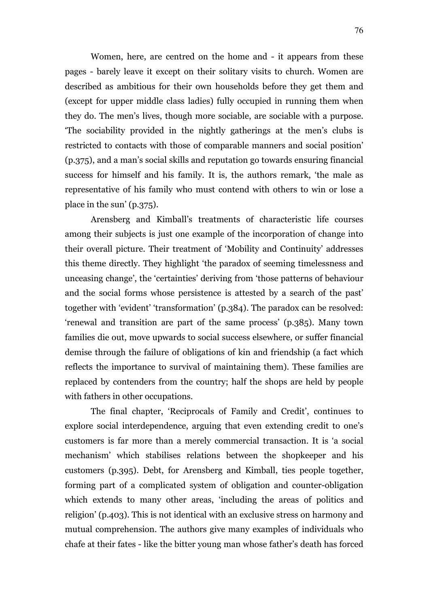Women, here, are centred on the home and - it appears from these pages - barely leave it except on their solitary visits to church. Women are described as ambitious for their own households before they get them and (except for upper middle class ladies) fully occupied in running them when they do. The men's lives, though more sociable, are sociable with a purpose. 'The sociability provided in the nightly gatherings at the men's clubs is restricted to contacts with those of comparable manners and social position' (p.375), and a man's social skills and reputation go towards ensuring financial success for himself and his family. It is, the authors remark, 'the male as representative of his family who must contend with others to win or lose a place in the sun' (p.375).

Arensberg and Kimball's treatments of characteristic life courses among their subjects is just one example of the incorporation of change into their overall picture. Their treatment of 'Mobility and Continuity' addresses this theme directly. They highlight 'the paradox of seeming timelessness and unceasing change', the 'certainties' deriving from 'those patterns of behaviour and the social forms whose persistence is attested by a search of the past' together with 'evident' 'transformation' (p.384). The paradox can be resolved: 'renewal and transition are part of the same process' (p.385). Many town families die out, move upwards to social success elsewhere, or suffer financial demise through the failure of obligations of kin and friendship (a fact which reflects the importance to survival of maintaining them). These families are replaced by contenders from the country; half the shops are held by people with fathers in other occupations.

The final chapter, 'Reciprocals of Family and Credit', continues to explore social interdependence, arguing that even extending credit to one's customers is far more than a merely commercial transaction. It is 'a social mechanism' which stabilises relations between the shopkeeper and his customers (p.395). Debt, for Arensberg and Kimball, ties people together, forming part of a complicated system of obligation and counter-obligation which extends to many other areas, 'including the areas of politics and religion' (p.403). This is not identical with an exclusive stress on harmony and mutual comprehension. The authors give many examples of individuals who chafe at their fates - like the bitter young man whose father's death has forced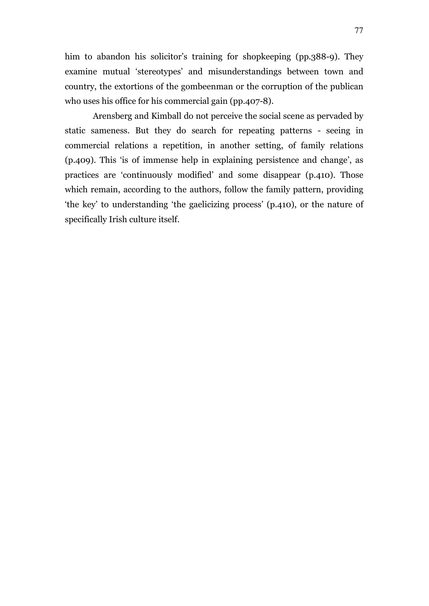him to abandon his solicitor's training for shopkeeping (pp.388-9). They examine mutual 'stereotypes' and misunderstandings between town and country, the extortions of the gombeenman or the corruption of the publican who uses his office for his commercial gain (pp.407-8).

Arensberg and Kimball do not perceive the social scene as pervaded by static sameness. But they do search for repeating patterns - seeing in commercial relations a repetition, in another setting, of family relations (p.409). This 'is of immense help in explaining persistence and change', as practices are 'continuously modified' and some disappear (p.410). Those which remain, according to the authors, follow the family pattern, providing 'the key' to understanding 'the gaelicizing process' (p.410), or the nature of specifically Irish culture itself.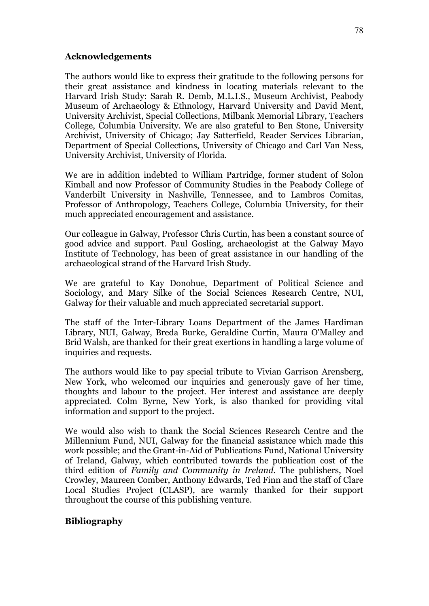## **Acknowledgements**

The authors would like to express their gratitude to the following persons for their great assistance and kindness in locating materials relevant to the Harvard Irish Study: Sarah R. Demb, M.L.I.S., Museum Archivist, Peabody Museum of Archaeology & Ethnology, Harvard University and David Ment, University Archivist, Special Collections, Milbank Memorial Library, Teachers College, Columbia University. We are also grateful to Ben Stone, University Archivist, University of Chicago; Jay Satterfield, Reader Services Librarian, Department of Special Collections, University of Chicago and Carl Van Ness, University Archivist, University of Florida.

We are in addition indebted to William Partridge, former student of Solon Kimball and now Professor of Community Studies in the Peabody College of Vanderbilt University in Nashville, Tennessee, and to Lambros Comitas, Professor of Anthropology, Teachers College, Columbia University, for their much appreciated encouragement and assistance.

Our colleague in Galway, Professor Chris Curtin, has been a constant source of good advice and support. Paul Gosling, archaeologist at the Galway Mayo Institute of Technology, has been of great assistance in our handling of the archaeological strand of the Harvard Irish Study.

We are grateful to Kay Donohue, Department of Political Science and Sociology, and Mary Silke of the Social Sciences Research Centre, NUI, Galway for their valuable and much appreciated secretarial support.

The staff of the Inter-Library Loans Department of the James Hardiman Library, NUI, Galway, Breda Burke, Geraldine Curtin, Maura O'Malley and Bríd Walsh, are thanked for their great exertions in handling a large volume of inquiries and requests.

The authors would like to pay special tribute to Vivian Garrison Arensberg, New York, who welcomed our inquiries and generously gave of her time, thoughts and labour to the project. Her interest and assistance are deeply appreciated. Colm Byrne, New York, is also thanked for providing vital information and support to the project.

We would also wish to thank the Social Sciences Research Centre and the Millennium Fund, NUI, Galway for the financial assistance which made this work possible; and the Grant-in-Aid of Publications Fund, National University of Ireland, Galway, which contributed towards the publication cost of the third edition of *Family and Community in Ireland.* The publishers, Noel Crowley, Maureen Comber, Anthony Edwards, Ted Finn and the staff of Clare Local Studies Project (CLASP), are warmly thanked for their support throughout the course of this publishing venture.

## **Bibliography**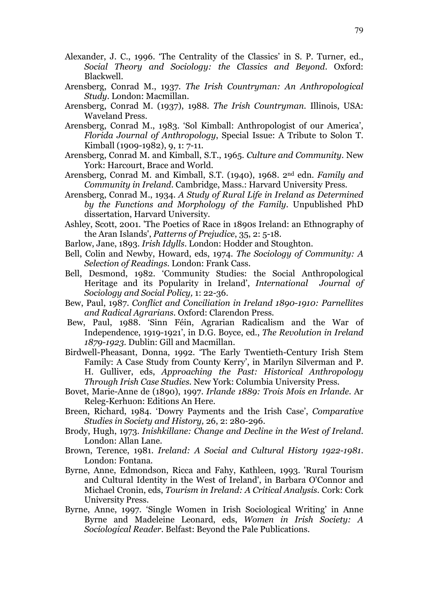- Alexander, J. C., 1996. 'The Centrality of the Classics' in S. P. Turner, ed., *Social Theory and Sociology: the Classics and Beyond*. Oxford: Blackwell.
- Arensberg, Conrad M., 1937. *The Irish Countryman: An Anthropological Study*. London: Macmillan.
- Arensberg, Conrad M. (1937), 1988*. The Irish Countryman.* Illinois, USA: Waveland Press.
- Arensberg, Conrad M., 1983. 'Sol Kimball: Anthropologist of our America', *Florida Journal of Anthropology*, Special Issue: A Tribute to Solon T. Kimball (1909-1982), 9, 1: 7-11.
- Arensberg, Conrad M. and Kimball, S.T., 1965. *Culture and Community*. New York: Harcourt, Brace and World.
- Arensberg, Conrad M. and Kimball, S.T. (1940), 1968. 2nd edn. *Family and Community in Ireland*. Cambridge, Mass.: Harvard University Press.
- Arensberg, Conrad M., 1934. *A Study of Rural Life in Ireland as Determined by the Functions and Morphology of the Family*. Unpublished PhD dissertation, Harvard University.
- Ashley, Scott, 2001. 'The Poetics of Race in 1890s Ireland: an Ethnography of the Aran Islands', *Patterns of Prejudice*, 35, 2: 5-18.
- Barlow, Jane, 1893. *Irish Idylls*. London: Hodder and Stoughton.
- Bell, Colin and Newby, Howard, eds, 1974. *The Sociology of Community: A Selection of Readings*. London: Frank Cass.
- Bell, Desmond, 1982. 'Community Studies: the Social Anthropological Heritage and its Popularity in Ireland', *International Journal of Sociology and Social Policy,* 1: 22-36.
- Bew, Paul, 1987. *Conflict and Conciliation in Ireland 1890-1910: Parnellites and Radical Agrarians.* Oxford: Clarendon Press.
- Bew, Paul, 1988. 'Sinn Féin, Agrarian Radicalism and the War of Independence, 1919-1921', in D.G. Boyce, ed., *The Revolution in Ireland 1879-1923.* Dublin: Gill and Macmillan.
- Birdwell-Pheasant, Donna, 1992. 'The Early Twentieth-Century Irish Stem Family: A Case Study from County Kerry', in Marilyn Silverman and P. H. Gulliver, eds, *Approaching the Past: Historical Anthropology Through Irish Case Studies.* New York: Columbia University Press.
- Bovet, Marie-Anne de (1890), 1997. *Irlande 1889: Trois Mois en Irlande*. Ar Releg-Kerhuon: Editions An Here.
- Breen, Richard, 1984. 'Dowry Payments and the Irish Case', *Comparative Studies in Society and History,* 26, 2: 280-296.
- Brody, Hugh, 1973. *Inishkillane: Change and Decline in the West of Ireland*. London: Allan Lane.
- Brown, Terence, 1981. *Ireland: A Social and Cultural History 1922-1981*. London: Fontana.
- Byrne, Anne, Edmondson, Ricca and Fahy, Kathleen, 1993. 'Rural Tourism and Cultural Identity in the West of Ireland', in Barbara O'Connor and Michael Cronin, eds, *Tourism in Ireland: A Critical Analysis*. Cork: Cork University Press.
- Byrne, Anne, 1997. 'Single Women in Irish Sociological Writing' in Anne Byrne and Madeleine Leonard, eds, *Women in Irish Society: A Sociological Reader*. Belfast: Beyond the Pale Publications.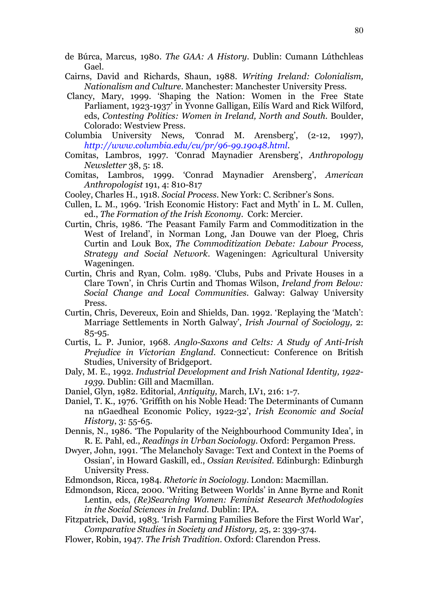- de Búrca, Marcus, 1980. *The GAA: A History*. Dublin: Cumann Lúthchleas Gael.
- Cairns, David and Richards, Shaun, 1988*. Writing Ireland: Colonialism, Nationalism and Culture*. Manchester: Manchester University Press.
- Clancy, Mary, 1999. 'Shaping the Nation: Women in the Free State Parliament, 1923-1937' in Yvonne Galligan, Eilís Ward and Rick Wilford, eds, *Contesting Politics: Women in Ireland, North and South.* Boulder, Colorado: Westview Press.
- Columbia University News*, '*Conrad M. Arensberg', (2-12, 1997), *http://www.columbia.edu/cu/pr/96-99.19048.html*.
- Comitas, Lambros, 1997. 'Conrad Maynadier Arensberg', *Anthropology Newsletter* 38, 5: 18*.*
- Comitas, Lambros, 1999. 'Conrad Maynadier Arensberg', *American Anthropologist* 191, 4: 810-817
- Cooley, Charles H., 1918. *Social Process*. New York: C. Scribner's Sons.
- Cullen, L. M., 1969. 'Irish Economic History: Fact and Myth' in L. M. Cullen, ed., *The Formation of the Irish Economy*. Cork: Mercier.
- Curtin, Chris, 1986. 'The Peasant Family Farm and Commoditization in the West of Ireland', in Norman Long, Jan Douwe van der Ploeg, Chris Curtin and Louk Box, *The Commoditization Debate: Labour Process, Strategy and Social Network*. Wageningen: Agricultural University Wageningen.
- Curtin, Chris and Ryan, Colm. 1989. 'Clubs, Pubs and Private Houses in a Clare Town', in Chris Curtin and Thomas Wilson, *Ireland from Below: Social Change and Local Communities*. Galway: Galway University Press.
- Curtin, Chris, Devereux, Eoin and Shields, Dan. 1992. 'Replaying the 'Match': Marriage Settlements in North Galway', *Irish Journal of Sociology,* 2: 85-95.
- Curtis, L. P. Junior, 1968. *Anglo-Saxons and Celts: A Study of Anti-Irish Prejudice in Victorian England*. Connecticut: Conference on British Studies, University of Bridgeport.
- Daly, M. E., 1992. *Industrial Development and Irish National Identity, 1922- 1939.* Dublin: Gill and Macmillan.
- Daniel, Glyn, 1982. Editorial, *Antiquity,* March, LV1, 216: 1-7.
- Daniel, T. K., 1976. 'Griffith on his Noble Head: The Determinants of Cumann na nGaedheal Economic Policy, 1922-32', *Irish Economic and Social History*, 3: 55-65.
- Dennis, N., 1986. 'The Popularity of the Neighbourhood Community Idea', in R. E. Pahl, ed., *Readings in Urban Sociology*. Oxford: Pergamon Press.
- Dwyer, John, 1991. 'The Melancholy Savage: Text and Context in the Poems of Ossian', in Howard Gaskill, ed., *Ossian Revisited*. Edinburgh: Edinburgh University Press.
- Edmondson, Ricca, 1984. *Rhetoric in Sociology*. London: Macmillan.
- Edmondson, Ricca, 2000. 'Writing Between Worlds' in Anne Byrne and Ronit Lentin, eds, *(Re)Searching Women: Feminist Research Methodologies in the Social Sciences in Ireland*. Dublin: IPA.
- Fitzpatrick, David, 1983. 'Irish Farming Families Before the First World War', *Comparative Studies in Society and History,* 25, 2: 339-374.
- Flower, Robin, 1947. *The Irish Tradition*. Oxford: Clarendon Press.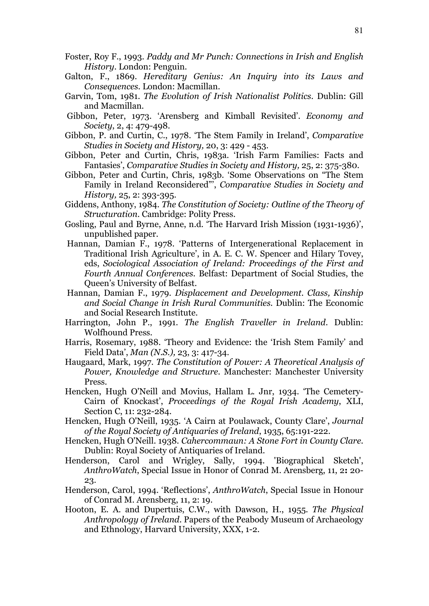- Foster, Roy F., 1993. *Paddy and Mr Punch: Connections in Irish and English History*. London: Penguin.
- Galton, F., 1869. *Hereditary Genius: An Inquiry into its Laws and Consequences.* London: Macmillan.
- Garvin, Tom, 1981. *The Evolution of Irish Nationalist Politics*. Dublin: Gill and Macmillan.
- Gibbon, Peter, 1973. 'Arensberg and Kimball Revisited'. *Economy and Society*, 2, 4: 479-498.
- Gibbon, P. and Curtin, C., 1978. 'The Stem Family in Ireland', *Comparative Studies in Society and History,* 20, 3: 429 - 453.
- Gibbon, Peter and Curtin, Chris, 1983a. 'Irish Farm Families: Facts and Fantasies', *Comparative Studies in Society and History,* 25, 2: 375-380.
- Gibbon, Peter and Curtin, Chris, 1983b. 'Some Observations on "The Stem Family in Ireland Reconsidered"', *Comparative Studies in Society and History,* 25, 2: 393-395.
- Giddens, Anthony, 1984. *The Constitution of Society: Outline of the Theory of Structuration*. Cambridge: Polity Press.
- Gosling, Paul and Byrne, Anne, n.d. 'The Harvard Irish Mission (1931-1936)', unpublished paper.
- Hannan, Damian F., 1978. 'Patterns of Intergenerational Replacement in Traditional Irish Agriculture', in A. E. C. W. Spencer and Hilary Tovey, eds, *Sociological Association of Ireland: Proceedings of the First and Fourth Annual Conferences.* Belfast: Department of Social Studies, the Queen's University of Belfast.
- Hannan, Damian F., 1979. *Displacement and Development. Class, Kinship and Social Change in Irish Rural Communities.* Dublin: The Economic and Social Research Institute.
- Harrington, John P., 1991. *The English Traveller in Ireland*. Dublin: Wolfhound Press.
- Harris, Rosemary, 1988. 'Theory and Evidence: the 'Irish Stem Family' and Field Data', *Man (N.S.),* 23, 3: 417-34.
- Haugaard, Mark, 1997. *The Constitution of Power: A Theoretical Analysis of Power, Knowledge and Structure*. Manchester: Manchester University Press.
- Hencken, Hugh O'Neill and Movius, Hallam L. Jnr, 1934. 'The Cemetery-Cairn of Knockast', *Proceedings of the Royal Irish Academy*, XLI, Section C, 11: 232-284.
- Hencken, Hugh O'Neill, 1935. 'A Cairn at Poulawack, County Clare', *Journal of the Royal Society of Antiquaries of Ireland*, 1935, 65:191-222.
- Hencken, Hugh O'Neill. 1938*. Cahercommaun: A Stone Fort in County Clare.* Dublin: Royal Society of Antiquaries of Ireland.
- Henderson, Carol and Wrigley, Sally, 1994. 'Biographical Sketch', *AnthroWatch*, Special Issue in Honor of Conrad M. Arensberg, 11, 2**:** 20- 23.
- Henderson, Carol, 1994. 'Reflections', *AnthroWatch*, Special Issue in Honour of Conrad M. Arensberg, 11, 2: 19.
- Hooton, E. A. and Dupertuis, C.W., with Dawson, H., 1955*. The Physical Anthropology of Ireland*. Papers of the Peabody Museum of Archaeology and Ethnology, Harvard University, XXX, 1-2.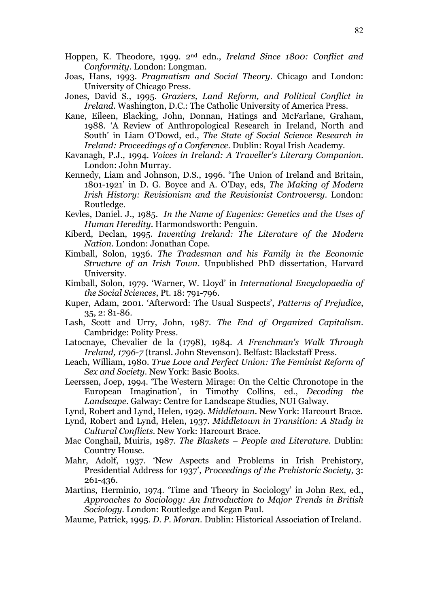- Hoppen, K. Theodore, 1999. 2nd edn., *Ireland Since 1800: Conflict and Conformity*. London: Longman.
- Joas, Hans, 1993. *Pragmatism and Social Theory*. Chicago and London: University of Chicago Press.
- Jones, David S., 1995. *Graziers, Land Reform, and Political Conflict in Ireland*. Washington, D.C.: The Catholic University of America Press.
- Kane, Eileen, Blacking, John, Donnan, Hatings and McFarlane, Graham, 1988. 'A Review of Anthropological Research in Ireland, North and South' in Liam O'Dowd, ed., *The State of Social Science Research in Ireland: Proceedings of a Conference*. Dublin: Royal Irish Academy.
- Kavanagh, P.J., 1994. *Voices in Ireland: A Traveller's Literary Companion*. London: John Murray.
- Kennedy, Liam and Johnson, D.S., 1996. 'The Union of Ireland and Britain, 1801-1921' in D. G. Boyce and A. O'Day, eds, *The Making of Modern Irish History: Revisionism and the Revisionist Controversy*. London: Routledge.
- Kevles, Daniel. J., 1985. *In the Name of Eugenics: Genetics and the Uses of Human Heredity.* Harmondsworth: Penguin.
- Kiberd, Declan, 1995. *Inventing Ireland: The Literature of the Modern Nation*. London: Jonathan Cope.
- Kimball, Solon, 1936. *The Tradesman and his Family in the Economic Structure of an Irish Town*. Unpublished PhD dissertation, Harvard University.
- Kimball, Solon, 1979. 'Warner, W. Lloyd' in *International Encyclopaedia of the Social Sciences*, Pt. 18: 791-796.
- Kuper, Adam, 2001. 'Afterword: The Usual Suspects', *Patterns of Prejudice*, 35, 2: 81-86.
- Lash, Scott and Urry, John, 1987. *The End of Organized Capitalism.* Cambridge: Polity Press.
- Latocnaye, Chevalier de la (1798), 1984. *A Frenchman's Walk Through Ireland, 1796-7* (transl. John Stevenson). Belfast: Blackstaff Press.
- Leach, William, 1980. *True Love and Perfect Union: The Feminist Reform of Sex and Society*. New York: Basic Books.
- Leerssen, Joep, 1994. 'The Western Mirage: On the Celtic Chronotope in the European Imagination', in Timothy Collins, ed., *Decoding the Landscape*. Galway: Centre for Landscape Studies, NUI Galway.
- Lynd, Robert and Lynd, Helen, 1929*. Middletown.* New York: Harcourt Brace.
- Lynd, Robert and Lynd, Helen, 1937*. Middletown in Transition: A Study in Cultural Conflicts*. New York: Harcourt Brace.
- Mac Conghail, Muiris, 1987. *The Blaskets – People and Literature*. Dublin: Country House.
- Mahr, Adolf, 1937. 'New Aspects and Problems in Irish Prehistory, Presidential Address for 1937', *Proceedings of the Prehistoric Society*, 3: 261-436.
- Martins, Herminio, 1974. 'Time and Theory in Sociology' in John Rex, ed., *Approaches to Sociology: An Introduction to Major Trends in British Sociology*. London: Routledge and Kegan Paul.
- Maume, Patrick, 1995. *D. P. Moran.* Dublin: Historical Association of Ireland.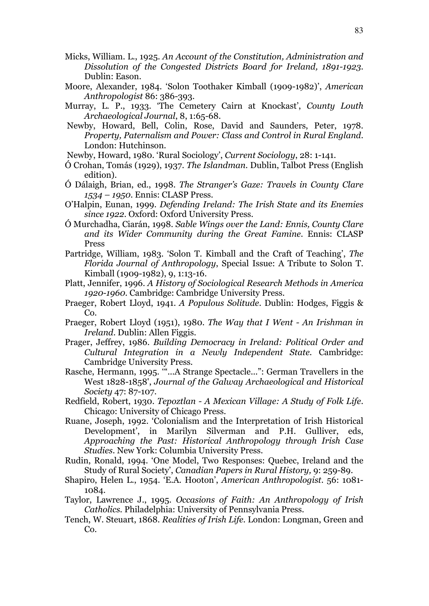- Micks, William. L., 1925. *An Account of the Constitution, Administration and Dissolution of the Congested Districts Board for Ireland, 1891-1923*. Dublin: Eason.
- Moore, Alexander, 1984. 'Solon Toothaker Kimball (1909-1982)', *American Anthropologist* 86: 386-393.
- Murray, L. P., 1933. 'The Cemetery Cairn at Knockast', *County Louth Archaeological Journal*, 8, 1:65-68.
- Newby, Howard, Bell, Colin, Rose, David and Saunders, Peter, 1978*. Property, Paternalism and Power: Class and Control in Rural England*. London: Hutchinson.
- Newby, Howard, 1980. 'Rural Sociology', *Current Sociology*, 28: 1-141.
- Ó Crohan, Tomás (1929), 1937. *The Islandman*. Dublin, Talbot Press (English edition).
- Ó Dálaigh, Brian, ed., 1998. *The Stranger's Gaze: Travels in County Clare 1534 – 1950*. Ennis: CLASP Press.
- O'Halpin, Eunan, 1999. *Defending Ireland: The Irish State and its Enemies since 1922.* Oxford: Oxford University Press.
- Ó Murchadha, Ciarán, 1998. *Sable Wings over the Land: Ennis, County Clare and its Wider Community during the Great Famine.* Ennis: CLASP Press
- Partridge, William, 1983. 'Solon T. Kimball and the Craft of Teaching', *The Florida Journal of Anthropology*, Special Issue: A Tribute to Solon T. Kimball (1909-1982), 9, 1:13-16.
- Platt, Jennifer, 1996. *A History of Sociological Research Methods in America 1920-1960.* Cambridge: Cambridge University Press.
- Praeger, Robert Lloyd, 1941. *A Populous Solitude*. Dublin: Hodges, Figgis & Co.
- Praeger, Robert Lloyd (1951), 1980. *The Way that I Went - An Irishman in Ireland*. Dublin: Allen Figgis.
- Prager, Jeffrey, 1986. *Building Democracy in Ireland: Political Order and Cultural Integration in a Newly Independent State.* Cambridge: Cambridge University Press.
- Rasche, Hermann, 1995. '"...A Strange Spectacle...": German Travellers in the West 1828-1858', *Journal of the Galway Archaeological and Historical Society* 47: 87-107.
- Redfield, Robert, 1930. *Tepoztlan - A Mexican Village: A Study of Folk Life*. Chicago: University of Chicago Press.
- Ruane, Joseph, 1992. 'Colonialism and the Interpretation of Irish Historical Development', in Marilyn Silverman and P.H. Gulliver, eds, *Approaching the Past: Historical Anthropology through Irish Case Studies*. New York: Columbia University Press.
- Rudin, Ronald, 1994. 'One Model, Two Responses: Quebec, Ireland and the Study of Rural Society', *Canadian Papers in Rural History,* 9: 259-89.
- Shapiro, Helen L., 1954. 'E.A. Hooton', *American Anthropologist*. 56: 1081- 1084.
- Taylor, Lawrence J., 1995. *Occasions of Faith: An Anthropology of Irish Catholics.* Philadelphia: University of Pennsylvania Press.
- Tench, W. Steuart, 1868. *Realities of Irish Life.* London: Longman, Green and Co.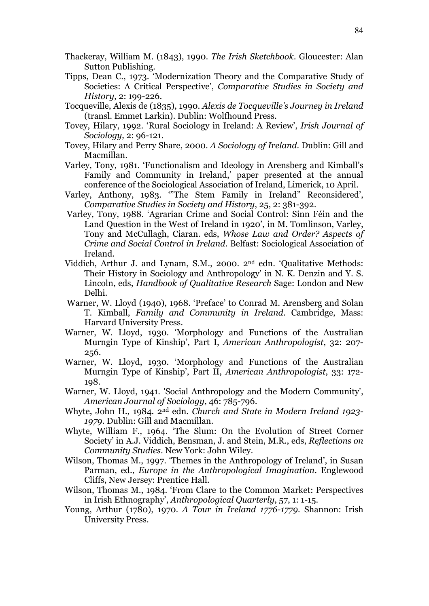- Thackeray, William M. (1843), 1990. *The Irish Sketchbook*. Gloucester: Alan Sutton Publishing.
- Tipps, Dean C., 1973. 'Modernization Theory and the Comparative Study of Societies: A Critical Perspective', *Comparative Studies in Society and History*, 2: 199-226.
- Tocqueville, Alexis de (1835), 1990. *Alexis de Tocqueville's Journey in Ireland* (transl. Emmet Larkin). Dublin: Wolfhound Press.
- Tovey, Hilary, 1992. 'Rural Sociology in Ireland: A Review', *Irish Journal of Sociology,* 2: 96-121.
- Tovey, Hilary and Perry Share, 2000. *A Sociology of Ireland.* Dublin: Gill and Macmillan.
- Varley, Tony, 1981. 'Functionalism and Ideology in Arensberg and Kimball's Family and Community in Ireland,' paper presented at the annual conference of the Sociological Association of Ireland, Limerick, 10 April.
- Varley, Anthony, 1983. '"The Stem Family in Ireland" Reconsidered', *Comparative Studies in Society and History*, 25, 2: 381-392.
- Varley, Tony, 1988. 'Agrarian Crime and Social Control: Sinn Féin and the Land Question in the West of Ireland in 1920', in M. Tomlinson, Varley, Tony and McCullagh, Ciaran. eds, *Whose Law and Order? Aspects of Crime and Social Control in Ireland*. Belfast: Sociological Association of Ireland.
- Viddich, Arthur J. and Lynam, S.M., 2000. 2nd edn. 'Qualitative Methods: Their History in Sociology and Anthropology' in N. K. Denzin and Y. S. Lincoln, eds, *Handbook of Qualitative Research* Sage: London and New Delhi.
- Warner, W. Lloyd (1940), 1968. 'Preface' to Conrad M. Arensberg and Solan T. Kimball, *Family and Community in Ireland.* Cambridge, Mass: Harvard University Press.
- Warner, W. Lloyd, 1930. 'Morphology and Functions of the Australian Murngin Type of Kinship', Part I, *American Anthropologist*, 32: 207- 256.
- Warner, W. Lloyd, 1930. 'Morphology and Functions of the Australian Murngin Type of Kinship', Part II, *American Anthropologist*, 33: 172- 198.
- Warner, W. Lloyd, 1941. 'Social Anthropology and the Modern Community', *American Journal of Sociology*, 46: 785-796.
- Whyte, John H., 1984. 2nd edn. *Church and State in Modern Ireland 1923- 1979*. Dublin: Gill and Macmillan.
- Whyte, William F., 1964. 'The Slum: On the Evolution of Street Corner Society' in A.J. Viddich, Bensman, J. and Stein, M.R., eds, *Reflections on Community Studies*. New York: John Wiley.
- Wilson, Thomas M., 1997. 'Themes in the Anthropology of Ireland', in Susan Parman, ed., *Europe in the Anthropological Imagination.* Englewood Cliffs, New Jersey: Prentice Hall.
- Wilson, Thomas M., 1984. 'From Clare to the Common Market: Perspectives in Irish Ethnography', *Anthropological Quarterly*, 57, 1: 1-15.
- Young, Arthur (1780), 1970. *A Tour in Ireland 1776-1779.* Shannon: Irish University Press.